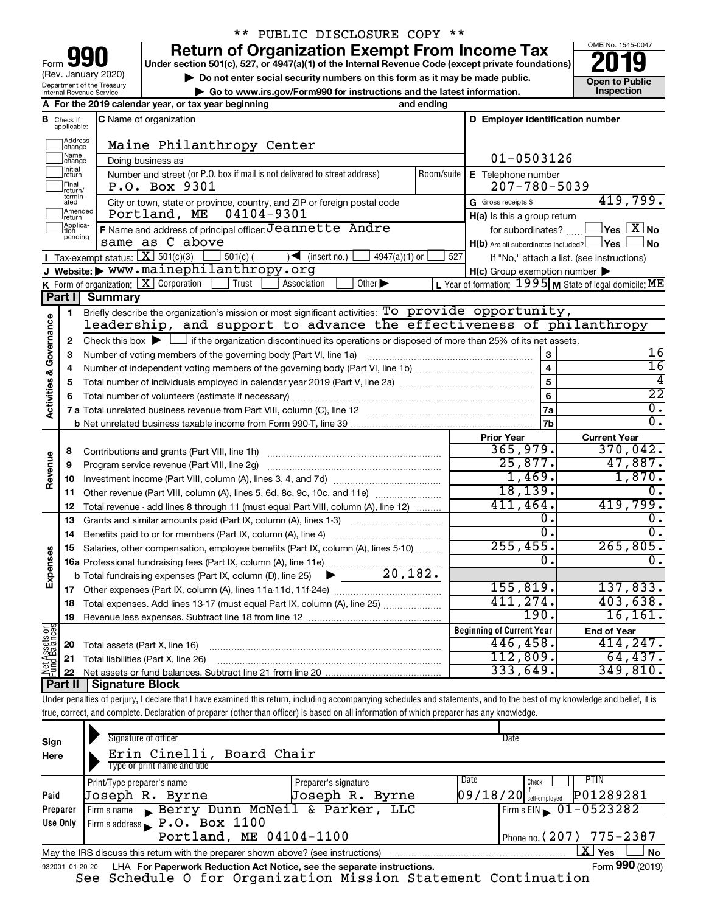| 90<br>Form                                             |
|--------------------------------------------------------|
| (Rev. January 2020)                                    |
| Department of the Treasury<br>Internal Revenue Service |

### \*\* PUBLIC DISCLOSURE COPY \*\*

**your Section 501(c), 527, or 4947(a)(1) of the Internal Revenue Code (except private foundations) 2019** 

▶ Do not enter social security numbers on this form as it may be made public. <br>
inspection and the latest information. **Dependent in the latest information** and the latest information. **| Go to www.irs.gov/Form990 for instructions and the latest information. Inspection**



|                         |                              | A For the 2019 calendar year, or tax year beginning                                                                                         | and ending         |                                                         |                                                           |
|-------------------------|------------------------------|---------------------------------------------------------------------------------------------------------------------------------------------|--------------------|---------------------------------------------------------|-----------------------------------------------------------|
| в                       | Check if<br>applicable:      | <b>C</b> Name of organization                                                                                                               |                    | D Employer identification number                        |                                                           |
|                         | Address<br>change            | Maine Philanthropy Center                                                                                                                   |                    |                                                         |                                                           |
|                         | Name<br> change              | Doing business as                                                                                                                           |                    | $01 - 0503126$                                          |                                                           |
|                         | Initial<br>Jreturn           | Number and street (or P.O. box if mail is not delivered to street address)<br>P.O. Box 9301                                                 | E Telephone number |                                                         |                                                           |
|                         | <b>TFinal</b><br>return/     | $207 - 780 - 5039$                                                                                                                          |                    |                                                         |                                                           |
|                         | termin-<br>ated              | City or town, state or province, country, and ZIP or foreign postal code                                                                    |                    | G Gross receipts \$                                     | 419,799.                                                  |
|                         | Amended<br>return            | 04104-9301<br>Portland, ME                                                                                                                  |                    | $H(a)$ is this a group return                           |                                                           |
|                         | Applica-<br>Ition<br>pending | F Name and address of principal officer: Jeannette Andre                                                                                    |                    | for subordinates?                                       | $ {\mathsf Y}$ es $\boxed{{\mathbf X}}$ No                |
|                         |                              | same as C above                                                                                                                             |                    | $H(b)$ Are all subordinates included? $\Box$ Yes $\Box$ | ⊥No                                                       |
|                         |                              | <b>I</b> Tax-exempt status: $X \over 301(c)(3)$<br>$\sqrt{\frac{1}{1}}$ (insert no.)<br>$\frac{1}{2}$ 501(c) (<br>$4947(a)(1)$ or           | 527                |                                                         | If "No," attach a list. (see instructions)                |
|                         |                              | J Website: > www.mainephilanthropy.org                                                                                                      |                    | $H(c)$ Group exemption number $\blacktriangleright$     |                                                           |
|                         |                              | K Form of organization: X Corporation<br>Other $\blacktriangleright$<br>Trust<br>Association                                                |                    |                                                         | L Year of formation: $1995$ M State of legal domicile: ME |
|                         | Part I                       | Summary                                                                                                                                     |                    |                                                         |                                                           |
|                         | 1                            | Briefly describe the organization's mission or most significant activities: To provide opportunity,                                         |                    |                                                         |                                                           |
|                         |                              | leadership, and support to advance the effectiveness of philanthropy                                                                        |                    |                                                         |                                                           |
| Governance              | $\mathbf{2}$                 | Check this box $\blacktriangleright$ $\Box$ if the organization discontinued its operations or disposed of more than 25% of its net assets. |                    |                                                         |                                                           |
|                         | 3                            | Number of voting members of the governing body (Part VI, line 1a)                                                                           |                    | 3                                                       | 16                                                        |
|                         | 4                            |                                                                                                                                             |                    | $\overline{4}$                                          | $\overline{16}$                                           |
|                         | 5                            |                                                                                                                                             |                    | 5                                                       | 4                                                         |
| <b>Activities &amp;</b> |                              |                                                                                                                                             |                    | 6                                                       | $\overline{22}$                                           |
|                         |                              |                                                                                                                                             |                    | 7a                                                      | $\overline{0}$ .                                          |
|                         |                              |                                                                                                                                             |                    | 7b                                                      | 0.                                                        |
|                         |                              |                                                                                                                                             |                    | <b>Prior Year</b>                                       | <b>Current Year</b>                                       |
|                         | 8                            |                                                                                                                                             |                    | 365,979.                                                | 370,042.                                                  |
| Revenue                 | 9                            |                                                                                                                                             |                    | 25,877.                                                 | 47,887.                                                   |
|                         |                              |                                                                                                                                             |                    | 1,469.                                                  | 1,870.                                                    |
|                         | 11                           | Other revenue (Part VIII, column (A), lines 5, 6d, 8c, 9c, 10c, and 11e)                                                                    |                    | 18, 139.<br>411,464.                                    | 0.                                                        |
|                         | 12                           | Total revenue - add lines 8 through 11 (must equal Part VIII, column (A), line 12)                                                          |                    | 0.                                                      | 419,799.<br>0.                                            |
|                         | 13                           | Grants and similar amounts paid (Part IX, column (A), lines 1-3)                                                                            |                    | 0.                                                      | 0.                                                        |
|                         | 14                           |                                                                                                                                             |                    | 255, 455.                                               | 265,805.                                                  |
|                         | 15                           | Salaries, other compensation, employee benefits (Part IX, column (A), lines 5-10)                                                           |                    | Ω.                                                      | $\overline{0}$ .                                          |
| Expenses                |                              | 16a Professional fundraising fees (Part IX, column (A), line 11e)<br>20, 182.                                                               |                    |                                                         |                                                           |
|                         |                              | <b>b</b> Total fundraising expenses (Part IX, column (D), line 25)                                                                          |                    | 155, 819.                                               | 137,833.                                                  |
|                         |                              |                                                                                                                                             |                    | 411, 274.                                               | 403,638.                                                  |
|                         | 18                           | Total expenses. Add lines 13-17 (must equal Part IX, column (A), line 25) <i></i>                                                           |                    | 190.                                                    | 16, 161.                                                  |
|                         | 19                           |                                                                                                                                             |                    |                                                         |                                                           |
| $rac{5}{66}$            |                              |                                                                                                                                             |                    | <b>Beginning of Current Year</b><br>446,458.            | <b>End of Year</b><br>414, 247.                           |
| Assets<br>1 Balanc      |                              | 20 Total assets (Part X, line 16)                                                                                                           |                    | 112,809.                                                | 64,437.                                                   |
| Net<br>Fund             |                              | 21 Total liabilities (Part X, line 26)                                                                                                      |                    | 333,649.                                                | 349,810.                                                  |
|                         |                              | Dort II Cianoturo Plook                                                                                                                     |                    |                                                         |                                                           |

**Part II Signature Block**

Under penalties of perjury, I declare that I have examined this return, including accompanying schedules and statements, and to the best of my knowledge and belief, it is true, correct, and complete. Declaration of preparer (other than officer) is based on all information of which preparer has any knowledge.

| Sign<br>Here    | Signature of officer<br>Erin Cinelli, Board Chair<br>Type or print name and title |                      | Date                     |                                |
|-----------------|-----------------------------------------------------------------------------------|----------------------|--------------------------|--------------------------------|
|                 | Print/Type preparer's name                                                        | Preparer's signature | Date<br>Check            | <b>PTIN</b>                    |
| Paid            | Joseph R. Byrne                                                                   | Joseph R. Byrne      | $09/18/20$ self-employed | P01289281                      |
| Preparer        | Firm's name Berry Dunn McNeil & Parker, LLC                                       |                      |                          | Firm's EIN $\sqrt{01-0523282}$ |
| Use Only        | Firm's address $\blacktriangleright$ P.O. Box 1100                                |                      |                          |                                |
|                 | Portland, ME 04104-1100                                                           |                      |                          | Phone no. $(207)$ 775 - 2387   |
|                 | May the IRS discuss this return with the preparer shown above? (see instructions) |                      |                          | x.<br><b>No</b><br>Yes         |
| 932001 01-20-20 | LHA For Paperwork Reduction Act Notice, see the separate instructions.            |                      |                          | Form 990 (2019)                |

See Schedule O for Organization Mission Statement Continuation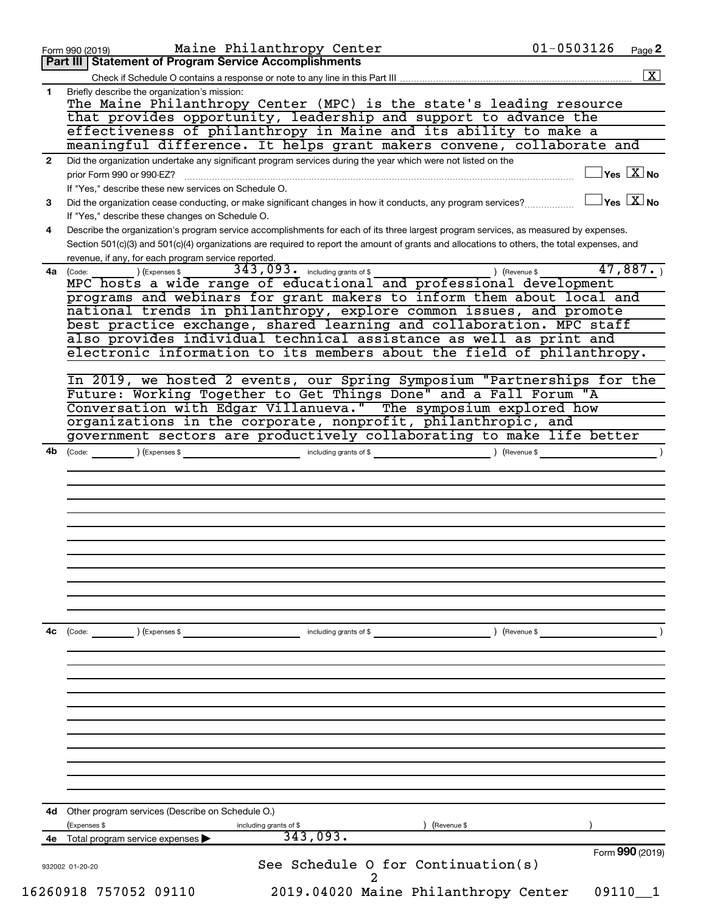| 1.<br>$\mathbf{2}$<br>3<br>4<br>4a (Code: | Part III   Statement of Program Service Accomplishments<br>Briefly describe the organization's mission:<br>The Maine Philanthropy Center (MPC) is the state's leading resource<br>that provides opportunity, leadership and support to advance the<br>effectiveness of philanthropy in Maine and its ability to make a<br>meaningful difference. It helps grant makers convene, collaborate and<br>Did the organization undertake any significant program services during the year which were not listed on the<br>$\overline{\ }$ Yes $\overline{\rm \bf X}$ No<br>prior Form 990 or 990-EZ?<br>If "Yes," describe these new services on Schedule O.<br>$\sqrt{\ }$ Yes $\sqrt{\ \text{X}}$ No<br>Did the organization cease conducting, or make significant changes in how it conducts, any program services?<br>If "Yes," describe these changes on Schedule O.<br>Describe the organization's program service accomplishments for each of its three largest program services, as measured by expenses.<br>Section 501(c)(3) and 501(c)(4) organizations are required to report the amount of grants and allocations to others, the total expenses, and<br>revenue, if any, for each program service reported.<br>343,093. including grants of \$<br>47,887. |
|-------------------------------------------|-----------------------------------------------------------------------------------------------------------------------------------------------------------------------------------------------------------------------------------------------------------------------------------------------------------------------------------------------------------------------------------------------------------------------------------------------------------------------------------------------------------------------------------------------------------------------------------------------------------------------------------------------------------------------------------------------------------------------------------------------------------------------------------------------------------------------------------------------------------------------------------------------------------------------------------------------------------------------------------------------------------------------------------------------------------------------------------------------------------------------------------------------------------------------------------------------------------------------------------------------------------------|
|                                           |                                                                                                                                                                                                                                                                                                                                                                                                                                                                                                                                                                                                                                                                                                                                                                                                                                                                                                                                                                                                                                                                                                                                                                                                                                                                 |
|                                           |                                                                                                                                                                                                                                                                                                                                                                                                                                                                                                                                                                                                                                                                                                                                                                                                                                                                                                                                                                                                                                                                                                                                                                                                                                                                 |
|                                           |                                                                                                                                                                                                                                                                                                                                                                                                                                                                                                                                                                                                                                                                                                                                                                                                                                                                                                                                                                                                                                                                                                                                                                                                                                                                 |
|                                           |                                                                                                                                                                                                                                                                                                                                                                                                                                                                                                                                                                                                                                                                                                                                                                                                                                                                                                                                                                                                                                                                                                                                                                                                                                                                 |
|                                           |                                                                                                                                                                                                                                                                                                                                                                                                                                                                                                                                                                                                                                                                                                                                                                                                                                                                                                                                                                                                                                                                                                                                                                                                                                                                 |
|                                           |                                                                                                                                                                                                                                                                                                                                                                                                                                                                                                                                                                                                                                                                                                                                                                                                                                                                                                                                                                                                                                                                                                                                                                                                                                                                 |
|                                           |                                                                                                                                                                                                                                                                                                                                                                                                                                                                                                                                                                                                                                                                                                                                                                                                                                                                                                                                                                                                                                                                                                                                                                                                                                                                 |
|                                           |                                                                                                                                                                                                                                                                                                                                                                                                                                                                                                                                                                                                                                                                                                                                                                                                                                                                                                                                                                                                                                                                                                                                                                                                                                                                 |
|                                           |                                                                                                                                                                                                                                                                                                                                                                                                                                                                                                                                                                                                                                                                                                                                                                                                                                                                                                                                                                                                                                                                                                                                                                                                                                                                 |
|                                           |                                                                                                                                                                                                                                                                                                                                                                                                                                                                                                                                                                                                                                                                                                                                                                                                                                                                                                                                                                                                                                                                                                                                                                                                                                                                 |
|                                           |                                                                                                                                                                                                                                                                                                                                                                                                                                                                                                                                                                                                                                                                                                                                                                                                                                                                                                                                                                                                                                                                                                                                                                                                                                                                 |
|                                           |                                                                                                                                                                                                                                                                                                                                                                                                                                                                                                                                                                                                                                                                                                                                                                                                                                                                                                                                                                                                                                                                                                                                                                                                                                                                 |
|                                           |                                                                                                                                                                                                                                                                                                                                                                                                                                                                                                                                                                                                                                                                                                                                                                                                                                                                                                                                                                                                                                                                                                                                                                                                                                                                 |
|                                           |                                                                                                                                                                                                                                                                                                                                                                                                                                                                                                                                                                                                                                                                                                                                                                                                                                                                                                                                                                                                                                                                                                                                                                                                                                                                 |
|                                           | ) (Revenue \$<br>) (Expenses \$                                                                                                                                                                                                                                                                                                                                                                                                                                                                                                                                                                                                                                                                                                                                                                                                                                                                                                                                                                                                                                                                                                                                                                                                                                 |
|                                           | MPC hosts a wide range of educational and professional development                                                                                                                                                                                                                                                                                                                                                                                                                                                                                                                                                                                                                                                                                                                                                                                                                                                                                                                                                                                                                                                                                                                                                                                              |
|                                           | programs and webinars for grant makers to inform them about local and                                                                                                                                                                                                                                                                                                                                                                                                                                                                                                                                                                                                                                                                                                                                                                                                                                                                                                                                                                                                                                                                                                                                                                                           |
|                                           | national trends in philanthropy, explore common issues, and promote                                                                                                                                                                                                                                                                                                                                                                                                                                                                                                                                                                                                                                                                                                                                                                                                                                                                                                                                                                                                                                                                                                                                                                                             |
|                                           | best practice exchange, shared learning and collaboration. MPC staff<br>also provides individual technical assistance as well as print and                                                                                                                                                                                                                                                                                                                                                                                                                                                                                                                                                                                                                                                                                                                                                                                                                                                                                                                                                                                                                                                                                                                      |
|                                           | electronic information to its members about the field of philanthropy.                                                                                                                                                                                                                                                                                                                                                                                                                                                                                                                                                                                                                                                                                                                                                                                                                                                                                                                                                                                                                                                                                                                                                                                          |
|                                           |                                                                                                                                                                                                                                                                                                                                                                                                                                                                                                                                                                                                                                                                                                                                                                                                                                                                                                                                                                                                                                                                                                                                                                                                                                                                 |
|                                           | In 2019, we hosted 2 events, our Spring Symposium "Partnerships for the                                                                                                                                                                                                                                                                                                                                                                                                                                                                                                                                                                                                                                                                                                                                                                                                                                                                                                                                                                                                                                                                                                                                                                                         |
|                                           | Future: Working Together to Get Things Done" and a Fall Forum "A                                                                                                                                                                                                                                                                                                                                                                                                                                                                                                                                                                                                                                                                                                                                                                                                                                                                                                                                                                                                                                                                                                                                                                                                |
|                                           | Conversation with Edgar Villanueva." The symposium explored how                                                                                                                                                                                                                                                                                                                                                                                                                                                                                                                                                                                                                                                                                                                                                                                                                                                                                                                                                                                                                                                                                                                                                                                                 |
|                                           | organizations in the corporate, nonprofit, philanthropic, and                                                                                                                                                                                                                                                                                                                                                                                                                                                                                                                                                                                                                                                                                                                                                                                                                                                                                                                                                                                                                                                                                                                                                                                                   |
|                                           | government sectors are productively collaborating to make life better                                                                                                                                                                                                                                                                                                                                                                                                                                                                                                                                                                                                                                                                                                                                                                                                                                                                                                                                                                                                                                                                                                                                                                                           |
|                                           |                                                                                                                                                                                                                                                                                                                                                                                                                                                                                                                                                                                                                                                                                                                                                                                                                                                                                                                                                                                                                                                                                                                                                                                                                                                                 |
|                                           |                                                                                                                                                                                                                                                                                                                                                                                                                                                                                                                                                                                                                                                                                                                                                                                                                                                                                                                                                                                                                                                                                                                                                                                                                                                                 |
|                                           |                                                                                                                                                                                                                                                                                                                                                                                                                                                                                                                                                                                                                                                                                                                                                                                                                                                                                                                                                                                                                                                                                                                                                                                                                                                                 |
|                                           |                                                                                                                                                                                                                                                                                                                                                                                                                                                                                                                                                                                                                                                                                                                                                                                                                                                                                                                                                                                                                                                                                                                                                                                                                                                                 |
|                                           |                                                                                                                                                                                                                                                                                                                                                                                                                                                                                                                                                                                                                                                                                                                                                                                                                                                                                                                                                                                                                                                                                                                                                                                                                                                                 |
|                                           |                                                                                                                                                                                                                                                                                                                                                                                                                                                                                                                                                                                                                                                                                                                                                                                                                                                                                                                                                                                                                                                                                                                                                                                                                                                                 |
| 4с                                        | $\left(\text{Code:}\right)$ $\left(\text{Expenses $}\right)$<br>) (Revenue \$<br>including grants of \$                                                                                                                                                                                                                                                                                                                                                                                                                                                                                                                                                                                                                                                                                                                                                                                                                                                                                                                                                                                                                                                                                                                                                         |
|                                           |                                                                                                                                                                                                                                                                                                                                                                                                                                                                                                                                                                                                                                                                                                                                                                                                                                                                                                                                                                                                                                                                                                                                                                                                                                                                 |
|                                           |                                                                                                                                                                                                                                                                                                                                                                                                                                                                                                                                                                                                                                                                                                                                                                                                                                                                                                                                                                                                                                                                                                                                                                                                                                                                 |
|                                           |                                                                                                                                                                                                                                                                                                                                                                                                                                                                                                                                                                                                                                                                                                                                                                                                                                                                                                                                                                                                                                                                                                                                                                                                                                                                 |
|                                           |                                                                                                                                                                                                                                                                                                                                                                                                                                                                                                                                                                                                                                                                                                                                                                                                                                                                                                                                                                                                                                                                                                                                                                                                                                                                 |
|                                           |                                                                                                                                                                                                                                                                                                                                                                                                                                                                                                                                                                                                                                                                                                                                                                                                                                                                                                                                                                                                                                                                                                                                                                                                                                                                 |
|                                           |                                                                                                                                                                                                                                                                                                                                                                                                                                                                                                                                                                                                                                                                                                                                                                                                                                                                                                                                                                                                                                                                                                                                                                                                                                                                 |
|                                           |                                                                                                                                                                                                                                                                                                                                                                                                                                                                                                                                                                                                                                                                                                                                                                                                                                                                                                                                                                                                                                                                                                                                                                                                                                                                 |
|                                           |                                                                                                                                                                                                                                                                                                                                                                                                                                                                                                                                                                                                                                                                                                                                                                                                                                                                                                                                                                                                                                                                                                                                                                                                                                                                 |
|                                           |                                                                                                                                                                                                                                                                                                                                                                                                                                                                                                                                                                                                                                                                                                                                                                                                                                                                                                                                                                                                                                                                                                                                                                                                                                                                 |
|                                           |                                                                                                                                                                                                                                                                                                                                                                                                                                                                                                                                                                                                                                                                                                                                                                                                                                                                                                                                                                                                                                                                                                                                                                                                                                                                 |
|                                           |                                                                                                                                                                                                                                                                                                                                                                                                                                                                                                                                                                                                                                                                                                                                                                                                                                                                                                                                                                                                                                                                                                                                                                                                                                                                 |
|                                           |                                                                                                                                                                                                                                                                                                                                                                                                                                                                                                                                                                                                                                                                                                                                                                                                                                                                                                                                                                                                                                                                                                                                                                                                                                                                 |
| 4d.                                       | Other program services (Describe on Schedule O.)                                                                                                                                                                                                                                                                                                                                                                                                                                                                                                                                                                                                                                                                                                                                                                                                                                                                                                                                                                                                                                                                                                                                                                                                                |
|                                           | (Expenses \$<br>(Revenue \$<br>including grants of \$                                                                                                                                                                                                                                                                                                                                                                                                                                                                                                                                                                                                                                                                                                                                                                                                                                                                                                                                                                                                                                                                                                                                                                                                           |
|                                           | 343,093.<br>Total program service expenses                                                                                                                                                                                                                                                                                                                                                                                                                                                                                                                                                                                                                                                                                                                                                                                                                                                                                                                                                                                                                                                                                                                                                                                                                      |
|                                           | Form 990 (2019)                                                                                                                                                                                                                                                                                                                                                                                                                                                                                                                                                                                                                                                                                                                                                                                                                                                                                                                                                                                                                                                                                                                                                                                                                                                 |
|                                           | See Schedule O for Continuation(s)<br>932002 01-20-20                                                                                                                                                                                                                                                                                                                                                                                                                                                                                                                                                                                                                                                                                                                                                                                                                                                                                                                                                                                                                                                                                                                                                                                                           |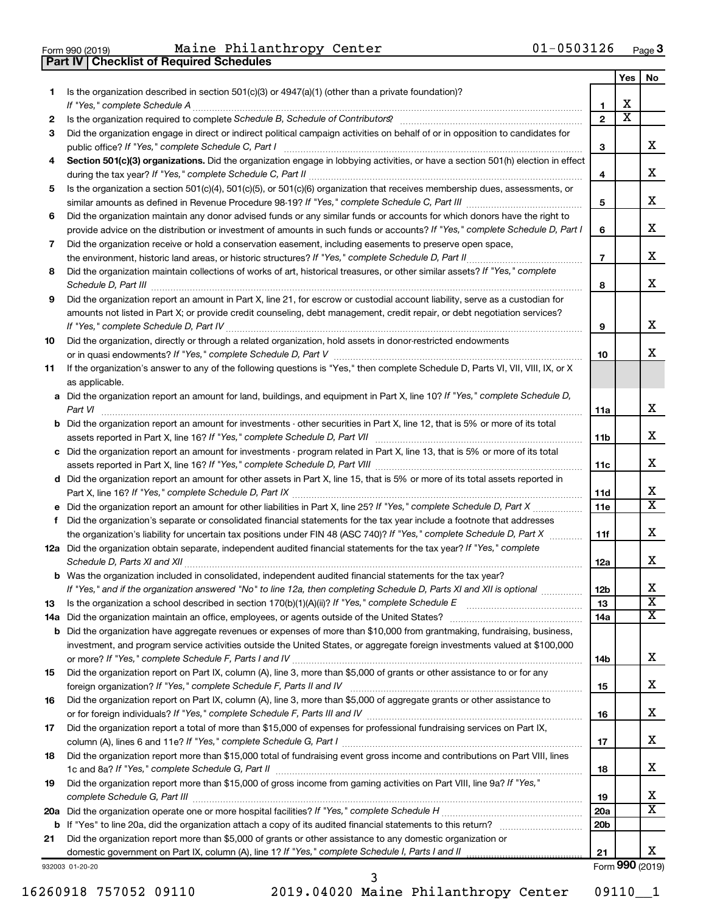| Form 990 (2019) |  |  |
|-----------------|--|--|

**Part IV Checklist of Required Schedules**

Form 990 (2019) Page Maine Philanthropy Center 01-0503126

|    |                                                                                                                                                                                                                                           |                 | Yes                   | No.                     |
|----|-------------------------------------------------------------------------------------------------------------------------------------------------------------------------------------------------------------------------------------------|-----------------|-----------------------|-------------------------|
| 1. | Is the organization described in section $501(c)(3)$ or $4947(a)(1)$ (other than a private foundation)?                                                                                                                                   | 1               | х                     |                         |
| 2  |                                                                                                                                                                                                                                           | $\mathbf{2}$    | $\overline{\text{x}}$ |                         |
| 3  | Did the organization engage in direct or indirect political campaign activities on behalf of or in opposition to candidates for                                                                                                           |                 |                       |                         |
|    | public office? If "Yes," complete Schedule C, Part I                                                                                                                                                                                      | З               |                       | x                       |
| 4  | Section 501(c)(3) organizations. Did the organization engage in lobbying activities, or have a section 501(h) election in effect                                                                                                          | 4               |                       | x                       |
| 5  | Is the organization a section 501(c)(4), 501(c)(5), or 501(c)(6) organization that receives membership dues, assessments, or                                                                                                              |                 |                       |                         |
|    |                                                                                                                                                                                                                                           | 5               |                       | х                       |
| 6  | Did the organization maintain any donor advised funds or any similar funds or accounts for which donors have the right to                                                                                                                 |                 |                       | х                       |
| 7  | provide advice on the distribution or investment of amounts in such funds or accounts? If "Yes," complete Schedule D, Part I<br>Did the organization receive or hold a conservation easement, including easements to preserve open space, | 6               |                       |                         |
|    | the environment, historic land areas, or historic structures? If "Yes," complete Schedule D, Part II                                                                                                                                      | $\overline{7}$  |                       | х                       |
| 8  | Did the organization maintain collections of works of art, historical treasures, or other similar assets? If "Yes," complete                                                                                                              |                 |                       |                         |
|    | Schedule D, Part III                                                                                                                                                                                                                      | 8               |                       | x                       |
| 9  | Did the organization report an amount in Part X, line 21, for escrow or custodial account liability, serve as a custodian for                                                                                                             |                 |                       |                         |
|    | amounts not listed in Part X; or provide credit counseling, debt management, credit repair, or debt negotiation services?                                                                                                                 | 9               |                       | х                       |
| 10 | Did the organization, directly or through a related organization, hold assets in donor-restricted endowments                                                                                                                              |                 |                       |                         |
|    |                                                                                                                                                                                                                                           | 10              |                       | x                       |
| 11 | If the organization's answer to any of the following questions is "Yes," then complete Schedule D, Parts VI, VII, VIII, IX, or X<br>as applicable.                                                                                        |                 |                       |                         |
|    | a Did the organization report an amount for land, buildings, and equipment in Part X, line 10? If "Yes," complete Schedule D,                                                                                                             |                 |                       |                         |
|    |                                                                                                                                                                                                                                           | 11a             |                       | X                       |
|    | <b>b</b> Did the organization report an amount for investments - other securities in Part X, line 12, that is 5% or more of its total                                                                                                     | 11 <sub>b</sub> |                       | x                       |
|    | c Did the organization report an amount for investments - program related in Part X, line 13, that is 5% or more of its total                                                                                                             |                 |                       |                         |
|    |                                                                                                                                                                                                                                           | 11c             |                       | х                       |
|    | d Did the organization report an amount for other assets in Part X, line 15, that is 5% or more of its total assets reported in                                                                                                           |                 |                       |                         |
|    |                                                                                                                                                                                                                                           | 11d             |                       | x                       |
|    |                                                                                                                                                                                                                                           | 11c             |                       | $\overline{\text{x}}$   |
| f. | Did the organization's separate or consolidated financial statements for the tax year include a footnote that addresses                                                                                                                   |                 |                       |                         |
|    | the organization's liability for uncertain tax positions under FIN 48 (ASC 740)? If "Yes," complete Schedule D, Part X                                                                                                                    | 11f             |                       | х                       |
|    | 12a Did the organization obtain separate, independent audited financial statements for the tax year? If "Yes," complete                                                                                                                   | 12a             |                       | х                       |
|    | <b>b</b> Was the organization included in consolidated, independent audited financial statements for the tax year?                                                                                                                        |                 |                       |                         |
|    | If "Yes," and if the organization answered "No" to line 12a, then completing Schedule D, Parts XI and XII is optional                                                                                                                     | 12 <sub>b</sub> |                       | х                       |
| 13 |                                                                                                                                                                                                                                           | 13              |                       | $\overline{\textbf{x}}$ |
|    |                                                                                                                                                                                                                                           | 14a             |                       | x                       |
|    | <b>b</b> Did the organization have aggregate revenues or expenses of more than \$10,000 from grantmaking, fundraising, business,                                                                                                          |                 |                       |                         |
|    | investment, and program service activities outside the United States, or aggregate foreign investments valued at \$100,000                                                                                                                |                 |                       |                         |
|    |                                                                                                                                                                                                                                           | 14b             |                       | x                       |
| 15 | Did the organization report on Part IX, column (A), line 3, more than \$5,000 of grants or other assistance to or for any                                                                                                                 |                 |                       | x                       |
|    | Did the organization report on Part IX, column (A), line 3, more than \$5,000 of aggregate grants or other assistance to                                                                                                                  | 15              |                       |                         |
| 16 |                                                                                                                                                                                                                                           | 16              |                       | x                       |
| 17 | Did the organization report a total of more than \$15,000 of expenses for professional fundraising services on Part IX,                                                                                                                   |                 |                       |                         |
|    |                                                                                                                                                                                                                                           | 17              |                       | x                       |
| 18 | Did the organization report more than \$15,000 total of fundraising event gross income and contributions on Part VIII, lines                                                                                                              | 18              |                       | x                       |
| 19 | Did the organization report more than \$15,000 of gross income from gaming activities on Part VIII, line 9a? If "Yes,"                                                                                                                    | 19              |                       | х                       |
|    |                                                                                                                                                                                                                                           | <b>20a</b>      |                       | $\overline{\text{X}}$   |
|    |                                                                                                                                                                                                                                           | 20 <sub>b</sub> |                       |                         |
| 21 | Did the organization report more than \$5,000 of grants or other assistance to any domestic organization or                                                                                                                               |                 |                       |                         |
|    |                                                                                                                                                                                                                                           | 21              |                       | x                       |
|    | 932003 01-20-20                                                                                                                                                                                                                           |                 |                       | Form 990 (2019)         |

932003 01-20-20

16260918 757052 09110 2019.04020 Maine Philanthropy Center 09110\_\_1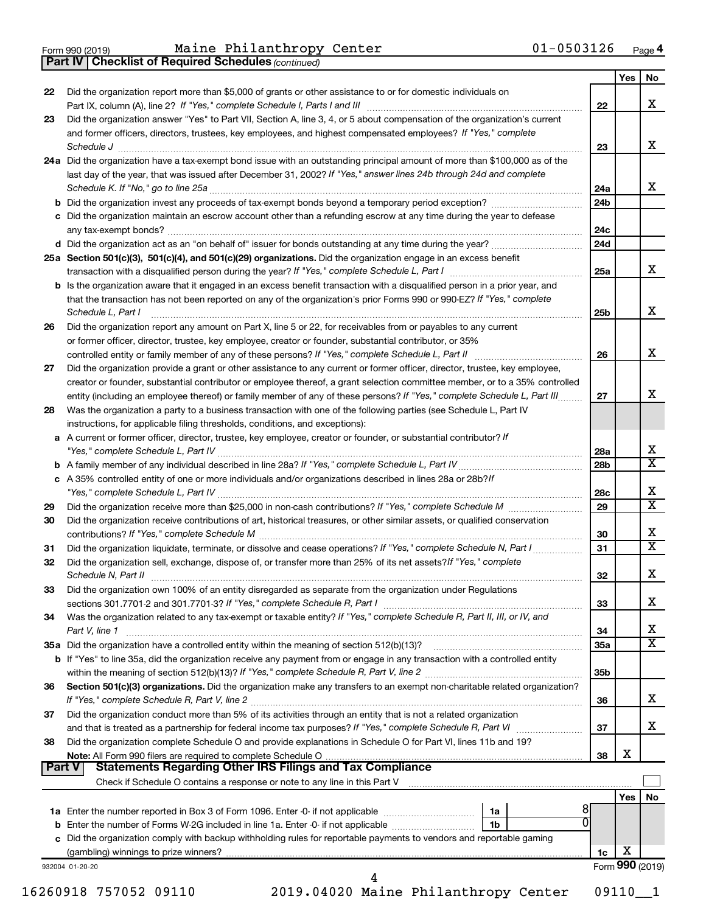**Part IV Checklist of Required Schedules**

*(continued)*

|               |                                                                                                                                                                                                    |                        | Yes | No                           |
|---------------|----------------------------------------------------------------------------------------------------------------------------------------------------------------------------------------------------|------------------------|-----|------------------------------|
| 22            | Did the organization report more than \$5,000 of grants or other assistance to or for domestic individuals on                                                                                      |                        |     |                              |
|               |                                                                                                                                                                                                    | 22                     |     | x                            |
| 23            | Did the organization answer "Yes" to Part VII, Section A, line 3, 4, or 5 about compensation of the organization's current                                                                         |                        |     |                              |
|               | and former officers, directors, trustees, key employees, and highest compensated employees? If "Yes," complete                                                                                     |                        |     |                              |
|               | Schedule J <b>Execute Schedule J Execute Schedule J</b>                                                                                                                                            | 23                     |     | x                            |
|               | 24a Did the organization have a tax-exempt bond issue with an outstanding principal amount of more than \$100,000 as of the                                                                        |                        |     |                              |
|               | last day of the year, that was issued after December 31, 2002? If "Yes," answer lines 24b through 24d and complete                                                                                 |                        |     | x                            |
|               |                                                                                                                                                                                                    | 24a<br>24 <sub>b</sub> |     |                              |
|               | c Did the organization maintain an escrow account other than a refunding escrow at any time during the year to defease                                                                             |                        |     |                              |
|               |                                                                                                                                                                                                    | 24c                    |     |                              |
|               |                                                                                                                                                                                                    | 24d                    |     |                              |
|               | 25a Section 501(c)(3), 501(c)(4), and 501(c)(29) organizations. Did the organization engage in an excess benefit                                                                                   |                        |     |                              |
|               |                                                                                                                                                                                                    | 25a                    |     | x                            |
|               | <b>b</b> Is the organization aware that it engaged in an excess benefit transaction with a disqualified person in a prior year, and                                                                |                        |     |                              |
|               | that the transaction has not been reported on any of the organization's prior Forms 990 or 990-EZ? If "Yes," complete                                                                              |                        |     |                              |
|               | Schedule L, Part I                                                                                                                                                                                 | 25b                    |     | x                            |
| 26            | Did the organization report any amount on Part X, line 5 or 22, for receivables from or payables to any current                                                                                    |                        |     |                              |
|               | or former officer, director, trustee, key employee, creator or founder, substantial contributor, or 35%                                                                                            |                        |     |                              |
|               | controlled entity or family member of any of these persons? If "Yes," complete Schedule L, Part II                                                                                                 | 26                     |     | x                            |
| 27            | Did the organization provide a grant or other assistance to any current or former officer, director, trustee, key employee,                                                                        |                        |     |                              |
|               | creator or founder, substantial contributor or employee thereof, a grant selection committee member, or to a 35% controlled                                                                        |                        |     |                              |
|               | entity (including an employee thereof) or family member of any of these persons? If "Yes," complete Schedule L, Part III                                                                           | 27                     |     | X                            |
| 28            | Was the organization a party to a business transaction with one of the following parties (see Schedule L, Part IV                                                                                  |                        |     |                              |
|               | instructions, for applicable filing thresholds, conditions, and exceptions):<br>a A current or former officer, director, trustee, key employee, creator or founder, or substantial contributor? If |                        |     |                              |
|               |                                                                                                                                                                                                    | 28a                    |     | X                            |
|               |                                                                                                                                                                                                    | 28 <sub>b</sub>        |     | $\overline{\mathtt{x}}$      |
|               | c A 35% controlled entity of one or more individuals and/or organizations described in lines 28a or 28b?If                                                                                         |                        |     |                              |
|               |                                                                                                                                                                                                    | 28c                    |     | x                            |
| 29            |                                                                                                                                                                                                    | 29                     |     | $\overline{\mathtt{x}}$      |
| 30            | Did the organization receive contributions of art, historical treasures, or other similar assets, or qualified conservation                                                                        |                        |     |                              |
|               |                                                                                                                                                                                                    | 30                     |     | х                            |
| 31            | Did the organization liquidate, terminate, or dissolve and cease operations? If "Yes," complete Schedule N, Part I                                                                                 | 31                     |     | $\overline{\mathtt{x}}$      |
| 32            | Did the organization sell, exchange, dispose of, or transfer more than 25% of its net assets? If "Yes," complete                                                                                   |                        |     |                              |
|               |                                                                                                                                                                                                    | 32                     |     | x                            |
| 33            | Did the organization own 100% of an entity disregarded as separate from the organization under Regulations                                                                                         |                        |     |                              |
|               |                                                                                                                                                                                                    | 33                     |     | х                            |
| 34            | Was the organization related to any tax-exempt or taxable entity? If "Yes," complete Schedule R, Part II, III, or IV, and                                                                          |                        |     |                              |
|               | Part V, line 1                                                                                                                                                                                     | 34                     |     | x<br>$\overline{\texttt{x}}$ |
|               |                                                                                                                                                                                                    | 35a                    |     |                              |
|               | b If "Yes" to line 35a, did the organization receive any payment from or engage in any transaction with a controlled entity                                                                        | 35 <sub>b</sub>        |     |                              |
| 36            | Section 501(c)(3) organizations. Did the organization make any transfers to an exempt non-charitable related organization?                                                                         |                        |     |                              |
|               |                                                                                                                                                                                                    | 36                     |     | x                            |
| 37            | Did the organization conduct more than 5% of its activities through an entity that is not a related organization                                                                                   |                        |     |                              |
|               |                                                                                                                                                                                                    | 37                     |     | x                            |
| 38            | Did the organization complete Schedule O and provide explanations in Schedule O for Part VI, lines 11b and 19?                                                                                     |                        |     |                              |
|               |                                                                                                                                                                                                    | 38                     | x   |                              |
| <b>Part V</b> | <b>Statements Regarding Other IRS Filings and Tax Compliance</b>                                                                                                                                   |                        |     |                              |
|               |                                                                                                                                                                                                    |                        |     |                              |
|               |                                                                                                                                                                                                    |                        | Yes | No                           |
|               | 8<br>1a<br>0                                                                                                                                                                                       |                        |     |                              |
|               | 1 <sub>b</sub><br>c Did the organization comply with backup withholding rules for reportable payments to vendors and reportable gaming                                                             |                        |     |                              |
|               |                                                                                                                                                                                                    | 1c                     | х   |                              |
|               | 932004 01-20-20                                                                                                                                                                                    |                        |     | Form 990 (2019)              |
|               | 4                                                                                                                                                                                                  |                        |     |                              |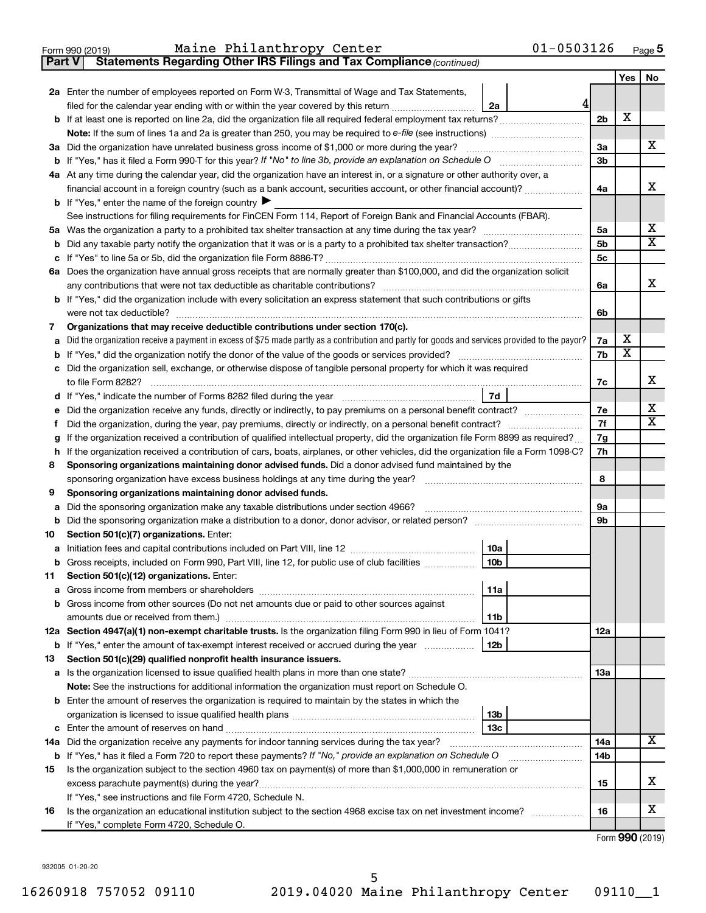| Form 990 (2019) | Maine Philanthropy Center                                                           | $01 - 0503126$ | Page |
|-----------------|-------------------------------------------------------------------------------------|----------------|------|
|                 | <b>Part V</b> Statements Regarding Other IRS Filings and Tax Compliance (continued) |                |      |

|    |                                                                                                                                                 |                | Yes                     | No                           |  |
|----|-------------------------------------------------------------------------------------------------------------------------------------------------|----------------|-------------------------|------------------------------|--|
|    | 2a Enter the number of employees reported on Form W-3, Transmittal of Wage and Tax Statements,                                                  |                |                         |                              |  |
|    | 4<br>filed for the calendar year ending with or within the year covered by this return<br>2a                                                    |                |                         |                              |  |
|    | b If at least one is reported on line 2a, did the organization file all required federal employment tax returns?                                | 2 <sub>b</sub> | X                       |                              |  |
|    |                                                                                                                                                 |                |                         |                              |  |
|    | 3a Did the organization have unrelated business gross income of \$1,000 or more during the year?                                                | За             |                         | x                            |  |
|    |                                                                                                                                                 | 3b             |                         |                              |  |
|    | 4a At any time during the calendar year, did the organization have an interest in, or a signature or other authority over, a                    |                |                         |                              |  |
|    | financial account in a foreign country (such as a bank account, securities account, or other financial account)?                                | 4a             |                         | х                            |  |
|    | <b>b</b> If "Yes," enter the name of the foreign country $\blacktriangleright$                                                                  |                |                         |                              |  |
|    | See instructions for filing requirements for FinCEN Form 114, Report of Foreign Bank and Financial Accounts (FBAR).                             |                |                         |                              |  |
| 5а |                                                                                                                                                 | 5a             |                         | х                            |  |
| b  |                                                                                                                                                 | 5b             |                         | $\overline{\textbf{X}}$      |  |
|    |                                                                                                                                                 | 5c             |                         |                              |  |
|    | 6a Does the organization have annual gross receipts that are normally greater than \$100,000, and did the organization solicit                  |                |                         |                              |  |
|    | any contributions that were not tax deductible as charitable contributions?                                                                     | 6a             |                         | х                            |  |
|    | b If "Yes," did the organization include with every solicitation an express statement that such contributions or gifts                          |                |                         |                              |  |
|    | were not tax deductible?                                                                                                                        | 6b             |                         |                              |  |
| 7  | Organizations that may receive deductible contributions under section 170(c).                                                                   |                |                         |                              |  |
|    | Did the organization receive a payment in excess of \$75 made partly as a contribution and partly for goods and services provided to the payor? | 7a             | х                       |                              |  |
|    |                                                                                                                                                 | 7b             | $\overline{\textbf{x}}$ |                              |  |
|    | Did the organization sell, exchange, or otherwise dispose of tangible personal property for which it was required                               |                |                         |                              |  |
|    |                                                                                                                                                 | 7c             |                         | х                            |  |
|    | 7d                                                                                                                                              |                |                         |                              |  |
|    | Did the organization receive any funds, directly or indirectly, to pay premiums on a personal benefit contract?                                 | 7е             |                         | х<br>$\overline{\textbf{X}}$ |  |
| t  | Did the organization, during the year, pay premiums, directly or indirectly, on a personal benefit contract?                                    | 7f<br>7g       |                         |                              |  |
|    | If the organization received a contribution of qualified intellectual property, did the organization file Form 8899 as required?                |                |                         |                              |  |
|    | If the organization received a contribution of cars, boats, airplanes, or other vehicles, did the organization file a Form 1098-C?<br>h         |                |                         |                              |  |
| 8  | Sponsoring organizations maintaining donor advised funds. Did a donor advised fund maintained by the                                            | 8              |                         |                              |  |
| 9  | Sponsoring organizations maintaining donor advised funds.                                                                                       |                |                         |                              |  |
| а  | Did the sponsoring organization make any taxable distributions under section 4966?                                                              | 9a             |                         |                              |  |
| b  |                                                                                                                                                 | 9b             |                         |                              |  |
| 10 | Section 501(c)(7) organizations. Enter:                                                                                                         |                |                         |                              |  |
| а  | 10a                                                                                                                                             |                |                         |                              |  |
| b  | 10 <sub>b</sub><br>Gross receipts, included on Form 990, Part VIII, line 12, for public use of club facilities                                  |                |                         |                              |  |
| 11 | Section 501(c)(12) organizations. Enter:                                                                                                        |                |                         |                              |  |
|    | 11a                                                                                                                                             |                |                         |                              |  |
|    | b Gross income from other sources (Do not net amounts due or paid to other sources against                                                      |                |                         |                              |  |
|    | 11 <sub>b</sub>                                                                                                                                 |                |                         |                              |  |
|    | 12a Section 4947(a)(1) non-exempt charitable trusts. Is the organization filing Form 990 in lieu of Form 1041?                                  | 12a            |                         |                              |  |
|    | 12 <sub>b</sub><br><b>b</b> If "Yes," enter the amount of tax-exempt interest received or accrued during the year                               |                |                         |                              |  |
| 13 | Section 501(c)(29) qualified nonprofit health insurance issuers.                                                                                |                |                         |                              |  |
|    | a Is the organization licensed to issue qualified health plans in more than one state?                                                          | 13a            |                         |                              |  |
|    | Note: See the instructions for additional information the organization must report on Schedule O.                                               |                |                         |                              |  |
|    | <b>b</b> Enter the amount of reserves the organization is required to maintain by the states in which the                                       |                |                         |                              |  |
|    | 13b                                                                                                                                             |                |                         |                              |  |
|    | 13 <sub>c</sub>                                                                                                                                 |                |                         |                              |  |
|    | 14a Did the organization receive any payments for indoor tanning services during the tax year?                                                  | 14a            |                         | x                            |  |
|    | <b>b</b> If "Yes," has it filed a Form 720 to report these payments? If "No," provide an explanation on Schedule O                              | 14b            |                         |                              |  |
| 15 | Is the organization subject to the section 4960 tax on payment(s) of more than \$1,000,000 in remuneration or                                   |                |                         |                              |  |
|    | excess parachute payment(s) during the year?                                                                                                    | 15             |                         | х                            |  |
|    | If "Yes," see instructions and file Form 4720, Schedule N.                                                                                      |                |                         |                              |  |
| 16 | Is the organization an educational institution subject to the section 4968 excise tax on net investment income?                                 | 16             |                         | х                            |  |
|    | If "Yes," complete Form 4720, Schedule O.                                                                                                       |                |                         |                              |  |

Form (2019) **990**

932005 01-20-20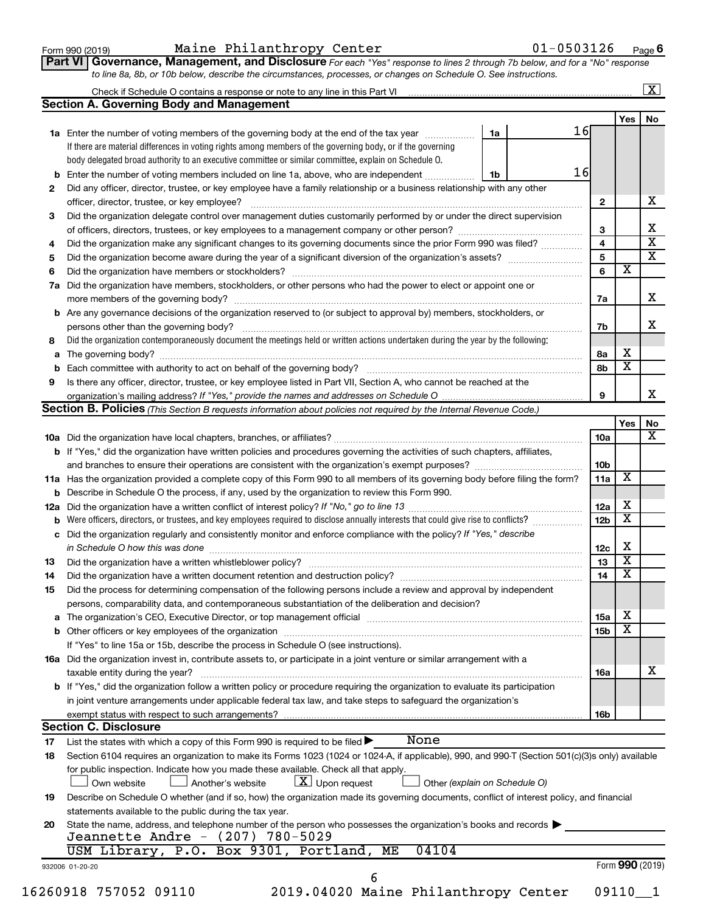|  |  | Form 990 (2019) |  |
|--|--|-----------------|--|
|--|--|-----------------|--|

### Form 990 (2019) Maine Philanthropy Center 01-0503126 <sub>Page</sub>

**Part VI** Governance, Management, and Disclosure For each "Yes" response to lines 2 through 7b below, and for a "No" response *to line 8a, 8b, or 10b below, describe the circumstances, processes, or changes on Schedule O. See instructions.*

|     |                                                                                                                                                  |                               |                 |                         | $\overline{\mathbf{x}}$ |
|-----|--------------------------------------------------------------------------------------------------------------------------------------------------|-------------------------------|-----------------|-------------------------|-------------------------|
|     | <b>Section A. Governing Body and Management</b>                                                                                                  |                               |                 |                         |                         |
|     |                                                                                                                                                  |                               |                 | Yes                     | No                      |
|     | 1a Enter the number of voting members of the governing body at the end of the tax year                                                           | 16<br>1a                      |                 |                         |                         |
|     | If there are material differences in voting rights among members of the governing body, or if the governing                                      |                               |                 |                         |                         |
|     | body delegated broad authority to an executive committee or similar committee, explain on Schedule O.                                            |                               |                 |                         |                         |
|     | <b>b</b> Enter the number of voting members included on line 1a, above, who are independent                                                      | 16<br>1b                      |                 |                         |                         |
| 2   | Did any officer, director, trustee, or key employee have a family relationship or a business relationship with any other                         |                               |                 |                         |                         |
|     | officer, director, trustee, or key employee?                                                                                                     |                               | $\mathbf{2}$    |                         | х                       |
| 3   | Did the organization delegate control over management duties customarily performed by or under the direct supervision                            |                               |                 |                         |                         |
|     |                                                                                                                                                  |                               | 3               |                         | х                       |
| 4   | Did the organization make any significant changes to its governing documents since the prior Form 990 was filed?                                 |                               | 4               |                         | $\overline{\mathbf{x}}$ |
| 5   |                                                                                                                                                  |                               | 5               |                         | $\overline{\mathbf{x}}$ |
| 6   |                                                                                                                                                  |                               | 6               | $\overline{\mathbf{x}}$ |                         |
| 7a  | Did the organization have members, stockholders, or other persons who had the power to elect or appoint one or                                   |                               |                 |                         |                         |
|     |                                                                                                                                                  |                               | 7a              |                         | х                       |
|     | <b>b</b> Are any governance decisions of the organization reserved to (or subject to approval by) members, stockholders, or                      |                               |                 |                         |                         |
|     | persons other than the governing body?                                                                                                           |                               | 7b              |                         | x                       |
| 8   | Did the organization contemporaneously document the meetings held or written actions undertaken during the year by the following:                |                               |                 |                         |                         |
|     |                                                                                                                                                  |                               | 8a              | X                       |                         |
|     |                                                                                                                                                  |                               | 8b              | $\overline{\textbf{x}}$ |                         |
| 9   | Is there any officer, director, trustee, or key employee listed in Part VII, Section A, who cannot be reached at the                             |                               |                 |                         |                         |
|     | organization's mailing address? If "Yes," provide the names and addresses on Schedule O manual content content                                   |                               | 9               |                         | х                       |
|     | Section B. Policies (This Section B requests information about policies not required by the Internal Revenue Code.)                              |                               |                 |                         |                         |
|     |                                                                                                                                                  |                               |                 | Yes                     | No                      |
|     |                                                                                                                                                  |                               | 10a             |                         | $\mathbf x$             |
|     | <b>b</b> If "Yes," did the organization have written policies and procedures governing the activities of such chapters, affiliates,              |                               |                 |                         |                         |
|     |                                                                                                                                                  |                               | 10b             |                         |                         |
|     | 11a Has the organization provided a complete copy of this Form 990 to all members of its governing body before filing the form?                  |                               | 11a             | X                       |                         |
|     | <b>b</b> Describe in Schedule O the process, if any, used by the organization to review this Form 990.                                           |                               |                 |                         |                         |
| 12a |                                                                                                                                                  |                               | 12a             | х                       |                         |
| b   |                                                                                                                                                  |                               | 12 <sub>b</sub> | $\overline{\textbf{x}}$ |                         |
|     | c Did the organization regularly and consistently monitor and enforce compliance with the policy? If "Yes," describe                             |                               |                 |                         |                         |
|     | in Schedule O how this was done <i>machine and a continuum continuum continuum continuum continuum continuum continuum</i>                       |                               | 12c             | х                       |                         |
| 13  |                                                                                                                                                  |                               | 13              | $\overline{\mathbf{x}}$ |                         |
| 14  | Did the organization have a written document retention and destruction policy? [11] manufaction manufaction in                                   |                               | 14              | $\overline{\mathbf{x}}$ |                         |
| 15  | Did the process for determining compensation of the following persons include a review and approval by independent                               |                               |                 |                         |                         |
|     | persons, comparability data, and contemporaneous substantiation of the deliberation and decision?                                                |                               |                 |                         |                         |
|     |                                                                                                                                                  |                               | <b>15a</b>      | х                       |                         |
|     |                                                                                                                                                  |                               | 15b             | $\overline{\textbf{x}}$ |                         |
|     | If "Yes" to line 15a or 15b, describe the process in Schedule O (see instructions).                                                              |                               |                 |                         |                         |
|     | 16a Did the organization invest in, contribute assets to, or participate in a joint venture or similar arrangement with a                        |                               |                 |                         |                         |
|     | taxable entity during the year?                                                                                                                  |                               | 16a             |                         | x                       |
|     | <b>b</b> If "Yes," did the organization follow a written policy or procedure requiring the organization to evaluate its participation            |                               |                 |                         |                         |
|     | in joint venture arrangements under applicable federal tax law, and take steps to safeguard the organization's                                   |                               |                 |                         |                         |
|     | exempt status with respect to such arrangements?                                                                                                 |                               | 16b             |                         |                         |
|     | <b>Section C. Disclosure</b>                                                                                                                     |                               |                 |                         |                         |
| 17  | None<br>List the states with which a copy of this Form 990 is required to be filed >                                                             |                               |                 |                         |                         |
| 18  | Section 6104 requires an organization to make its Forms 1023 (1024 or 1024-A, if applicable), 990, and 990-T (Section 501(c)(3)s only) available |                               |                 |                         |                         |
|     | for public inspection. Indicate how you made these available. Check all that apply.                                                              |                               |                 |                         |                         |
|     | $\lfloor x \rfloor$ Upon request<br>Own website<br>Another's website                                                                             | Other (explain on Schedule O) |                 |                         |                         |
| 19  | Describe on Schedule O whether (and if so, how) the organization made its governing documents, conflict of interest policy, and financial        |                               |                 |                         |                         |
|     | statements available to the public during the tax year.                                                                                          |                               |                 |                         |                         |
| 20  | State the name, address, and telephone number of the person who possesses the organization's books and records                                   |                               |                 |                         |                         |
|     | Jeannette Andre - (207) 780-5029                                                                                                                 |                               |                 |                         |                         |
|     | USM Library, P.O. Box 9301, Portland, ME<br>04104                                                                                                |                               |                 |                         |                         |
|     |                                                                                                                                                  |                               |                 | Form 990 (2019)         |                         |
|     | 932006 01-20-20                                                                                                                                  |                               |                 |                         |                         |
|     | 16260918 757052 09110<br>2019.04020 Maine Philanthropy Center                                                                                    |                               |                 | 09110                   | $\mathbf{1}$            |
|     |                                                                                                                                                  |                               |                 |                         |                         |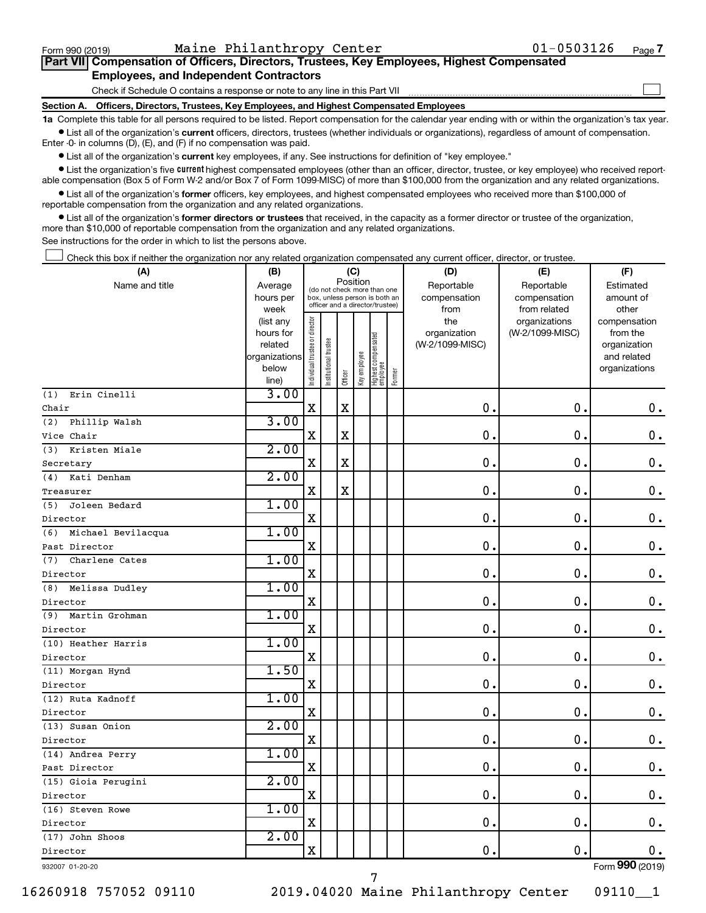$\Box$ 

| Part VII Compensation of Officers, Directors, Trustees, Key Employees, Highest Compensated |  |  |  |  |
|--------------------------------------------------------------------------------------------|--|--|--|--|
| <b>Employees, and Independent Contractors</b>                                              |  |  |  |  |

Check if Schedule O contains a response or note to any line in this Part VII

**Section A. Officers, Directors, Trustees, Key Employees, and Highest Compensated Employees**

**1a**  Complete this table for all persons required to be listed. Report compensation for the calendar year ending with or within the organization's tax year.  $\bullet$  List all of the organization's current officers, directors, trustees (whether individuals or organizations), regardless of amount of compensation.

Enter -0- in columns (D), (E), and (F) if no compensation was paid.

**•** List all of the organization's current key employees, if any. See instructions for definition of "key employee."

• List the organization's five *current* highest compensated employees (other than an officer, director, trustee, or key employee) who received reportable compensation (Box 5 of Form W-2 and/or Box 7 of Form 1099-MISC) of more than \$100,000 from the organization and any related organizations.

 $\bullet$  List all of the organization's former officers, key employees, and highest compensated employees who received more than \$100,000 of reportable compensation from the organization and any related organizations.

**•** List all of the organization's former directors or trustees that received, in the capacity as a former director or trustee of the organization, more than \$10,000 of reportable compensation from the organization and any related organizations.

See instructions for the order in which to list the persons above.

Check this box if neither the organization nor any related organization compensated any current officer, director, or trustee.  $\Box$ 

| (A)                       | (B)                    |                                |                                                                  | (C)         |              |                                   |        | (D)                 | (E)                              | (F)                      |
|---------------------------|------------------------|--------------------------------|------------------------------------------------------------------|-------------|--------------|-----------------------------------|--------|---------------------|----------------------------------|--------------------------|
| Name and title            | Average                |                                | (do not check more than one                                      | Position    |              |                                   |        | Reportable          | Reportable                       | Estimated                |
|                           | hours per              |                                | box, unless person is both an<br>officer and a director/trustee) |             |              |                                   |        | compensation        | compensation                     | amount of                |
|                           | week                   |                                |                                                                  |             |              |                                   |        | from                | from related                     | other                    |
|                           | (list any<br>hours for |                                |                                                                  |             |              |                                   |        | the<br>organization | organizations<br>(W-2/1099-MISC) | compensation<br>from the |
|                           | related                |                                |                                                                  |             |              |                                   |        | (W-2/1099-MISC)     |                                  | organization             |
|                           | organizations          |                                |                                                                  |             |              |                                   |        |                     |                                  | and related              |
|                           | below                  | Individual trustee or director | nstitutional trustee                                             |             | Key employee |                                   |        |                     |                                  | organizations            |
|                           | line)                  |                                |                                                                  | Officer     |              | Highest compensated<br>  employee | Former |                     |                                  |                          |
| Erin Cinelli<br>(1)       | 3.00                   |                                |                                                                  |             |              |                                   |        |                     |                                  |                          |
| Chair                     |                        | $\mathbf x$                    |                                                                  | $\mathbf x$ |              |                                   |        | 0.                  | $\mathbf 0$ .                    | 0.                       |
| Phillip Walsh<br>(2)      | 3.00                   |                                |                                                                  |             |              |                                   |        |                     |                                  |                          |
| Vice Chair                |                        | X                              |                                                                  | $\mathbf X$ |              |                                   |        | 0.                  | $\mathbf 0$ .                    | $\mathbf 0$ .            |
| Kristen Miale<br>(3)      | 2.00                   |                                |                                                                  |             |              |                                   |        |                     |                                  |                          |
| Secretary                 |                        | X                              |                                                                  | X           |              |                                   |        | $\mathbf 0$ .       | 0.                               | 0.                       |
| Kati Denham<br>(4)        | 2.00                   |                                |                                                                  |             |              |                                   |        |                     |                                  |                          |
| Treasurer                 |                        | $\mathbf X$                    |                                                                  | $\mathbf X$ |              |                                   |        | $\mathbf 0$ .       | $\mathbf 0$ .                    | $\mathbf 0$ .            |
| Joleen Bedard<br>(5)      | 1.00                   |                                |                                                                  |             |              |                                   |        |                     |                                  |                          |
| Director                  |                        | $\mathbf X$                    |                                                                  |             |              |                                   |        | $\mathbf 0$ .       | $\mathbf 0$ .                    | $\mathbf 0$ .            |
| Michael Bevilacqua<br>(6) | 1.00                   |                                |                                                                  |             |              |                                   |        |                     |                                  |                          |
| Past Director             |                        | $\mathbf X$                    |                                                                  |             |              |                                   |        | $\mathbf 0$ .       | $\mathbf 0$ .                    | 0.                       |
| Charlene Cates<br>(7)     | 1.00                   |                                |                                                                  |             |              |                                   |        |                     |                                  |                          |
| Director                  |                        | $\mathbf X$                    |                                                                  |             |              |                                   |        | 0.                  | $\mathbf 0$                      | $\mathbf 0$ .            |
| Melissa Dudley<br>(8)     | 1.00                   |                                |                                                                  |             |              |                                   |        |                     |                                  |                          |
| Director                  |                        | $\mathbf X$                    |                                                                  |             |              |                                   |        | $\mathbf 0$ .       | $\mathbf 0$ .                    | $\mathbf 0$ .            |
| Martin Grohman<br>(9)     | 1.00                   |                                |                                                                  |             |              |                                   |        |                     |                                  |                          |
| Director                  |                        | X                              |                                                                  |             |              |                                   |        | $\mathbf{0}$ .      | $\mathbf 0$ .                    | $\mathbf 0$ .            |
| (10) Heather Harris       | 1.00                   |                                |                                                                  |             |              |                                   |        |                     |                                  |                          |
| Director                  |                        | $\mathbf X$                    |                                                                  |             |              |                                   |        | 0.                  | $\mathbf 0$ .                    | 0.                       |
| (11) Morgan Hynd          | 1.50                   |                                |                                                                  |             |              |                                   |        |                     |                                  |                          |
| Director                  |                        | $\mathbf X$                    |                                                                  |             |              |                                   |        | $\mathbf 0$ .       | $\mathbf 0$                      | $\mathbf 0$ .            |
| (12) Ruta Kadnoff         | 1.00                   |                                |                                                                  |             |              |                                   |        |                     |                                  |                          |
| Director                  |                        | $\mathbf X$                    |                                                                  |             |              |                                   |        | $\mathbf 0$ .       | $\mathbf 0$ .                    | 0.                       |
| (13) Susan Onion          | 2.00                   |                                |                                                                  |             |              |                                   |        |                     |                                  |                          |
| Director                  |                        | $\mathbf X$                    |                                                                  |             |              |                                   |        | $\mathbf 0$ .       | $\mathbf 0$ .                    | $\mathbf 0$ .            |
| (14) Andrea Perry         | 1.00                   |                                |                                                                  |             |              |                                   |        |                     |                                  |                          |
| Past Director             |                        | $\mathbf X$                    |                                                                  |             |              |                                   |        | 0.                  | $\mathbf 0$ .                    | $\mathbf 0$ .            |
| (15) Gioia Perugini       | 2.00                   |                                |                                                                  |             |              |                                   |        |                     |                                  |                          |
| Director                  |                        | $\mathbf X$                    |                                                                  |             |              |                                   |        | $\mathbf 0$ .       | $\mathbf 0$ .                    | $\mathbf 0$ .            |
| (16) Steven Rowe          | 1.00                   |                                |                                                                  |             |              |                                   |        |                     |                                  |                          |
| Director                  |                        | $\mathbf X$                    |                                                                  |             |              |                                   |        | 0.                  | $\mathbf 0$ .                    | $0$ .                    |
| (17) John Shoos           | 2.00                   |                                |                                                                  |             |              |                                   |        |                     |                                  |                          |
| Director                  |                        | $\mathbf X$                    |                                                                  |             |              |                                   |        | 0.                  | $\mathbf 0$ .                    | $0$ .                    |
| 932007 01-20-20           |                        |                                |                                                                  |             |              |                                   |        |                     |                                  | Form 990 (2019)          |

16260918 757052 09110 2019.04020 Maine Philanthropy Center 09110\_\_1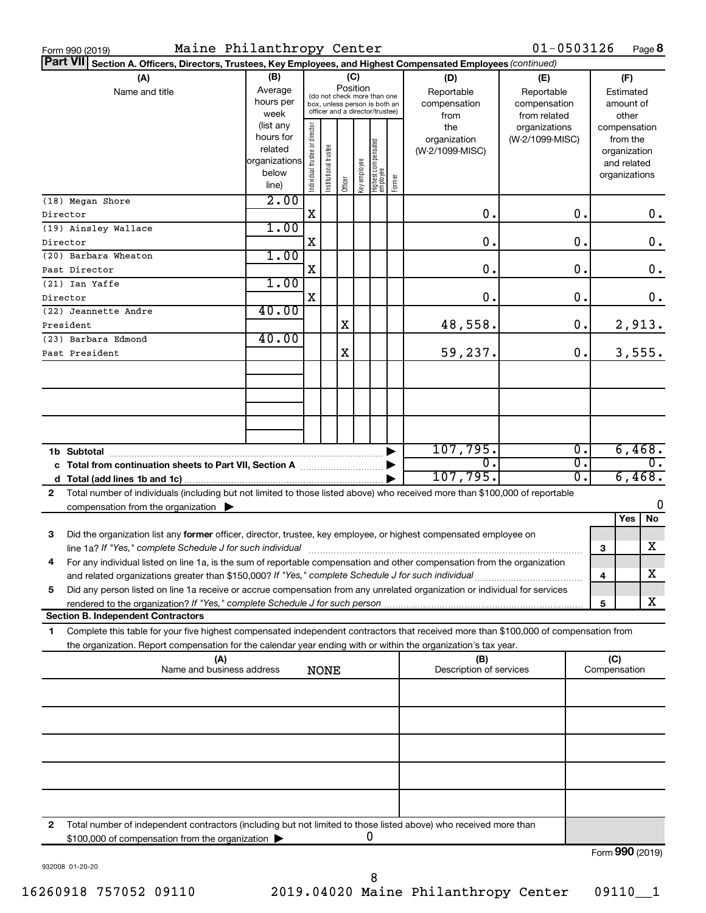|   | Maine Philanthropy Center<br>Form 990 (2019)                                                                                         |               |                                |                       |         |              |                                                              |        |                         | $01 - 0503126$  |                  |   |               | Page 8           |
|---|--------------------------------------------------------------------------------------------------------------------------------------|---------------|--------------------------------|-----------------------|---------|--------------|--------------------------------------------------------------|--------|-------------------------|-----------------|------------------|---|---------------|------------------|
|   | <b>Part VII</b><br>Section A. Officers, Directors, Trustees, Key Employees, and Highest Compensated Employees (continued)            |               |                                |                       |         |              |                                                              |        |                         |                 |                  |   |               |                  |
|   | (A)                                                                                                                                  | (B)           |                                |                       |         | (C)          |                                                              |        | (D)                     | (E)             |                  |   | (F)           |                  |
|   | Name and title                                                                                                                       | Average       |                                |                       |         | Position     |                                                              |        | Reportable              | Reportable      |                  |   | Estimated     |                  |
|   |                                                                                                                                      | hours per     |                                |                       |         |              | (do not check more than one<br>box, unless person is both an |        | compensation            | compensation    |                  |   | amount of     |                  |
|   |                                                                                                                                      | week          |                                |                       |         |              | officer and a director/trustee)                              |        | from                    | from related    |                  |   | other         |                  |
|   |                                                                                                                                      | (list any     |                                |                       |         |              |                                                              |        | the                     | organizations   |                  |   | compensation  |                  |
|   |                                                                                                                                      | hours for     |                                |                       |         |              |                                                              |        | organization            | (W-2/1099-MISC) |                  |   | from the      |                  |
|   |                                                                                                                                      | related       |                                |                       |         |              |                                                              |        | (W-2/1099-MISC)         |                 |                  |   | organization  |                  |
|   |                                                                                                                                      | organizations |                                |                       |         |              |                                                              |        |                         |                 |                  |   | and related   |                  |
|   |                                                                                                                                      | below         | Individual trustee or director | Institutional trustee |         | Key employee | Highest compensated<br> employee                             | Former |                         |                 |                  |   | organizations |                  |
|   |                                                                                                                                      | line)         |                                |                       | Officer |              |                                                              |        |                         |                 |                  |   |               |                  |
|   | (18) Megan Shore                                                                                                                     | 2.00          |                                |                       |         |              |                                                              |        |                         |                 |                  |   |               |                  |
|   | Director                                                                                                                             |               | X                              |                       |         |              |                                                              |        | $\mathbf 0$ .           |                 | 0.               |   |               | 0.               |
|   | (19) Ainsley Wallace                                                                                                                 | 1.00          |                                |                       |         |              |                                                              |        |                         |                 |                  |   |               |                  |
|   | Director                                                                                                                             |               | X                              |                       |         |              |                                                              |        | 0.                      |                 | $\mathbf 0$ .    |   |               | $\mathbf 0$ .    |
|   | (20) Barbara Wheaton                                                                                                                 | 1.00          |                                |                       |         |              |                                                              |        |                         |                 |                  |   |               |                  |
|   | Past Director                                                                                                                        |               | X                              |                       |         |              |                                                              |        | 0.                      |                 | $\mathbf 0$ .    |   |               | $\mathbf 0$ .    |
|   | (21) Ian Yaffe                                                                                                                       | 1.00          |                                |                       |         |              |                                                              |        |                         |                 |                  |   |               |                  |
|   | Director                                                                                                                             |               | X                              |                       |         |              |                                                              |        | 0.                      |                 | $\mathbf 0$ .    |   |               | 0.               |
|   | (22) Jeannette Andre                                                                                                                 | 40.00         |                                |                       |         |              |                                                              |        |                         |                 |                  |   |               |                  |
|   | President                                                                                                                            |               |                                |                       | X       |              |                                                              |        | 48,558.                 |                 | 0.               |   | 2,913.        |                  |
|   | (23) Barbara Edmond                                                                                                                  | 40.00         |                                |                       |         |              |                                                              |        |                         |                 |                  |   |               |                  |
|   | Past President                                                                                                                       |               |                                |                       | Χ       |              |                                                              |        | 59,237.                 |                 | 0.               |   | 3,555.        |                  |
|   |                                                                                                                                      |               |                                |                       |         |              |                                                              |        |                         |                 |                  |   |               |                  |
|   |                                                                                                                                      |               |                                |                       |         |              |                                                              |        |                         |                 |                  |   |               |                  |
|   |                                                                                                                                      |               |                                |                       |         |              |                                                              |        |                         |                 |                  |   |               |                  |
|   |                                                                                                                                      |               |                                |                       |         |              |                                                              |        |                         |                 |                  |   |               |                  |
|   |                                                                                                                                      |               |                                |                       |         |              |                                                              |        |                         |                 |                  |   |               |                  |
|   |                                                                                                                                      |               |                                |                       |         |              |                                                              |        |                         |                 |                  |   |               |                  |
|   |                                                                                                                                      |               |                                |                       |         |              |                                                              |        |                         |                 |                  |   |               |                  |
|   |                                                                                                                                      |               |                                |                       |         |              |                                                              |        | 107,795.                |                 | Ο.               |   |               | 6,468.           |
|   | c Total from continuation sheets to Part VII, Section A manuscreen continuum                                                         |               |                                |                       |         |              |                                                              |        | σ.                      |                 | $\overline{0}$ . |   |               | $\overline{0}$ . |
|   |                                                                                                                                      |               |                                |                       |         |              |                                                              |        | 107,795.                |                 | σ.               |   | 6,468.        |                  |
| 2 | Total number of individuals (including but not limited to those listed above) who received more than \$100,000 of reportable         |               |                                |                       |         |              |                                                              |        |                         |                 |                  |   |               |                  |
|   | compensation from the organization $\blacktriangleright$                                                                             |               |                                |                       |         |              |                                                              |        |                         |                 |                  |   |               | 0                |
|   |                                                                                                                                      |               |                                |                       |         |              |                                                              |        |                         |                 |                  |   | Yes           | No               |
| 3 | Did the organization list any former officer, director, trustee, key employee, or highest compensated employee on                    |               |                                |                       |         |              |                                                              |        |                         |                 |                  |   |               |                  |
|   | line 1a? If "Yes," complete Schedule J for such individual manufacture content to the successive complete schedu                     |               |                                |                       |         |              |                                                              |        |                         |                 |                  | 3 |               | X                |
|   | For any individual listed on line 1a, is the sum of reportable compensation and other compensation from the organization             |               |                                |                       |         |              |                                                              |        |                         |                 |                  |   |               |                  |
|   | and related organizations greater than \$150,000? If "Yes," complete Schedule J for such individual                                  |               |                                |                       |         |              |                                                              |        |                         |                 |                  | 4 |               | х                |
| 5 | Did any person listed on line 1a receive or accrue compensation from any unrelated organization or individual for services           |               |                                |                       |         |              |                                                              |        |                         |                 |                  |   |               |                  |
|   |                                                                                                                                      |               |                                |                       |         |              |                                                              |        |                         |                 |                  | 5 |               | х                |
|   | <b>Section B. Independent Contractors</b>                                                                                            |               |                                |                       |         |              |                                                              |        |                         |                 |                  |   |               |                  |
| 1 | Complete this table for your five highest compensated independent contractors that received more than \$100,000 of compensation from |               |                                |                       |         |              |                                                              |        |                         |                 |                  |   |               |                  |
|   | the organization. Report compensation for the calendar year ending with or within the organization's tax year.                       |               |                                |                       |         |              |                                                              |        |                         |                 |                  |   |               |                  |
|   | (A)                                                                                                                                  |               |                                |                       |         |              |                                                              |        | (B)                     |                 |                  |   | (C)           |                  |
|   | Name and business address                                                                                                            |               |                                | <b>NONE</b>           |         |              |                                                              |        | Description of services |                 |                  |   | Compensation  |                  |
|   |                                                                                                                                      |               |                                |                       |         |              |                                                              |        |                         |                 |                  |   |               |                  |
|   |                                                                                                                                      |               |                                |                       |         |              |                                                              |        |                         |                 |                  |   |               |                  |
|   |                                                                                                                                      |               |                                |                       |         |              |                                                              |        |                         |                 |                  |   |               |                  |
|   |                                                                                                                                      |               |                                |                       |         |              |                                                              |        |                         |                 |                  |   |               |                  |
|   |                                                                                                                                      |               |                                |                       |         |              |                                                              |        |                         |                 |                  |   |               |                  |
|   |                                                                                                                                      |               |                                |                       |         |              |                                                              |        |                         |                 |                  |   |               |                  |
|   |                                                                                                                                      |               |                                |                       |         |              |                                                              |        |                         |                 |                  |   |               |                  |
|   |                                                                                                                                      |               |                                |                       |         |              |                                                              |        |                         |                 |                  |   |               |                  |
|   |                                                                                                                                      |               |                                |                       |         |              |                                                              |        |                         |                 |                  |   |               |                  |
|   |                                                                                                                                      |               |                                |                       |         |              |                                                              |        |                         |                 |                  |   |               |                  |
|   |                                                                                                                                      |               |                                |                       |         |              |                                                              |        |                         |                 |                  |   |               |                  |
| 2 | Total number of independent contractors (including but not limited to those listed above) who received more than                     |               |                                |                       |         |              |                                                              |        |                         |                 |                  |   |               |                  |
|   | \$100,000 of compensation from the organization                                                                                      |               |                                |                       |         |              | 0                                                            |        |                         |                 |                  |   |               |                  |
|   |                                                                                                                                      |               |                                |                       |         |              |                                                              |        |                         |                 |                  |   |               | Form 990 (2019)  |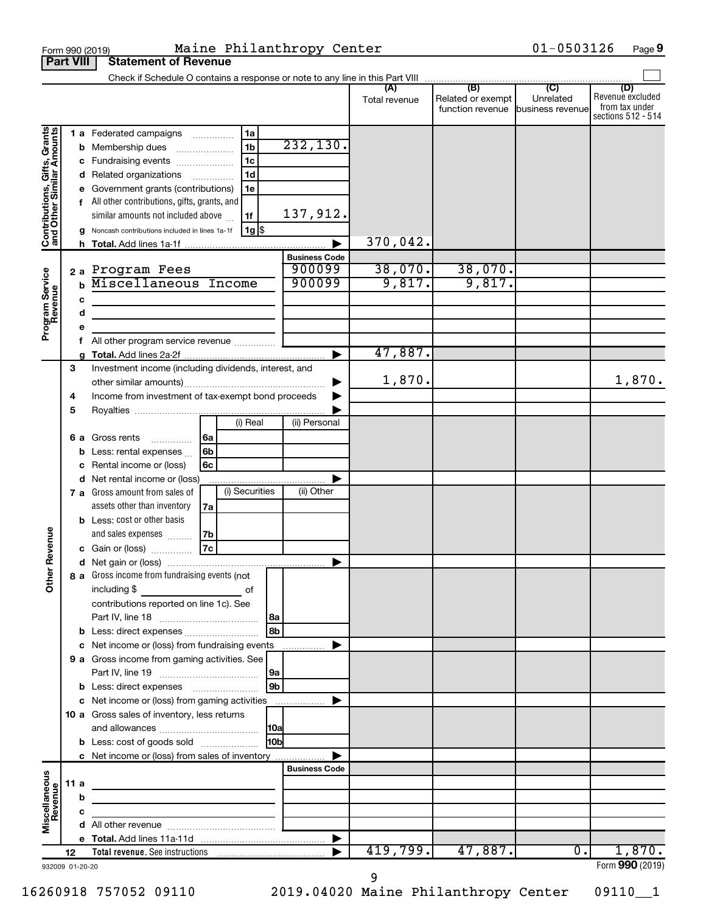|                                                                                         |                  |                                                       | Maine Philanthropy Center<br>Form 990 (2019)                                                                                                                                                                                                                                                                                                                                                                                                                                                          |                                                                   |                               |                                                               | $01 - 0503126$              | Page 9                                                          |
|-----------------------------------------------------------------------------------------|------------------|-------------------------------------------------------|-------------------------------------------------------------------------------------------------------------------------------------------------------------------------------------------------------------------------------------------------------------------------------------------------------------------------------------------------------------------------------------------------------------------------------------------------------------------------------------------------------|-------------------------------------------------------------------|-------------------------------|---------------------------------------------------------------|-----------------------------|-----------------------------------------------------------------|
|                                                                                         | <b>Part VIII</b> |                                                       | <b>Statement of Revenue</b>                                                                                                                                                                                                                                                                                                                                                                                                                                                                           |                                                                   |                               |                                                               |                             |                                                                 |
|                                                                                         |                  |                                                       | Check if Schedule O contains a response or note to any line in this Part VIII                                                                                                                                                                                                                                                                                                                                                                                                                         |                                                                   |                               |                                                               |                             |                                                                 |
|                                                                                         |                  |                                                       |                                                                                                                                                                                                                                                                                                                                                                                                                                                                                                       |                                                                   | (A)<br>Total revenue          | (B)<br>Related or exempt<br>function revenue business revenue | $\overline{C}$<br>Unrelated | (D)<br>Revenue excluded<br>from tax under<br>sections 512 - 514 |
| Contributions, Gifts, Grants<br>and Other Similar Amounts<br>Program Service<br>Revenue |                  | b<br>c<br>d<br>е<br>h.<br>2a<br>$\mathbf b$<br>c<br>d | 1a<br>1 a Federated campaigns<br>1 <sub>b</sub><br>Membership dues<br>1 <sub>c</sub><br>Fundraising events<br>1 <sub>d</sub><br>Related organizations<br>Government grants (contributions)<br>1e<br>All other contributions, gifts, grants, and<br>similar amounts not included above<br>1f<br>1g \$<br>Noncash contributions included in lines 1a-1f<br>Total. Add lines 1a-1f<br>Program Fees<br>Miscellaneous Income<br>the control of the control of the control of the control of the control of | 232, 130.<br>137,912.<br><b>Business Code</b><br>900099<br>900099 | 370,042.<br>38,070.<br>9,817. | 38,070.<br>9,817.                                             |                             |                                                                 |
|                                                                                         |                  | е                                                     |                                                                                                                                                                                                                                                                                                                                                                                                                                                                                                       |                                                                   |                               |                                                               |                             |                                                                 |
|                                                                                         |                  | f                                                     | All other program service revenue                                                                                                                                                                                                                                                                                                                                                                                                                                                                     |                                                                   | 47,887.                       |                                                               |                             |                                                                 |
|                                                                                         | 3<br>4           |                                                       | Investment income (including dividends, interest, and<br>other similar amounts)<br>Income from investment of tax-exempt bond proceeds                                                                                                                                                                                                                                                                                                                                                                 |                                                                   | 1,870.                        |                                                               |                             | 1,870.                                                          |
|                                                                                         | 5                | 6а<br>с<br>d<br>7 а                                   | (i) Real<br>6a<br>Gross rents<br>.<br>6b<br>Less: rental expenses<br>Rental income or (loss)<br>6с<br>Net rental income or (loss)<br>(i) Securities<br>Gross amount from sales of                                                                                                                                                                                                                                                                                                                     | (ii) Personal<br>(ii) Other                                       |                               |                                                               |                             |                                                                 |
| evenue<br>Œ<br>Other                                                                    |                  |                                                       | assets other than inventory<br>7a<br><b>b</b> Less: cost or other basis<br>and sales expenses<br>7b<br>7c<br>c Gain or (loss)<br>8 a Gross income from fundraising events (not<br>including \$<br>of<br>contributions reported on line 1c). See                                                                                                                                                                                                                                                       |                                                                   |                               |                                                               |                             |                                                                 |
|                                                                                         |                  | b<br>c                                                | Less: direct expenses<br>Net income or (loss) from fundraising events<br>9 a Gross income from gaming activities. See                                                                                                                                                                                                                                                                                                                                                                                 | 8a<br>8b<br>9a                                                    |                               |                                                               |                             |                                                                 |
|                                                                                         |                  |                                                       | <b>b</b> Less: direct expenses <b>contained b</b> Less: direct expenses<br>c Net income or (loss) from gaming activities<br>10 a Gross sales of inventory, less returns<br><b>b</b> Less: cost of goods sold                                                                                                                                                                                                                                                                                          | 9 <sub>b</sub><br> 10a <br>H <sub>0b</sub>                        |                               |                                                               |                             |                                                                 |
|                                                                                         | 11a              |                                                       | c Net income or (loss) from sales of inventory                                                                                                                                                                                                                                                                                                                                                                                                                                                        | <b>Business Code</b>                                              |                               |                                                               |                             |                                                                 |
| Miscellaneous<br>Revenue                                                                |                  | b<br>c                                                |                                                                                                                                                                                                                                                                                                                                                                                                                                                                                                       |                                                                   |                               |                                                               |                             |                                                                 |
|                                                                                         | 12               |                                                       |                                                                                                                                                                                                                                                                                                                                                                                                                                                                                                       |                                                                   | 419,799.                      | 47,887.                                                       | 0.                          | 1,870.                                                          |
| 932009 01-20-20                                                                         |                  |                                                       |                                                                                                                                                                                                                                                                                                                                                                                                                                                                                                       |                                                                   |                               |                                                               |                             | Form 990 (2019)                                                 |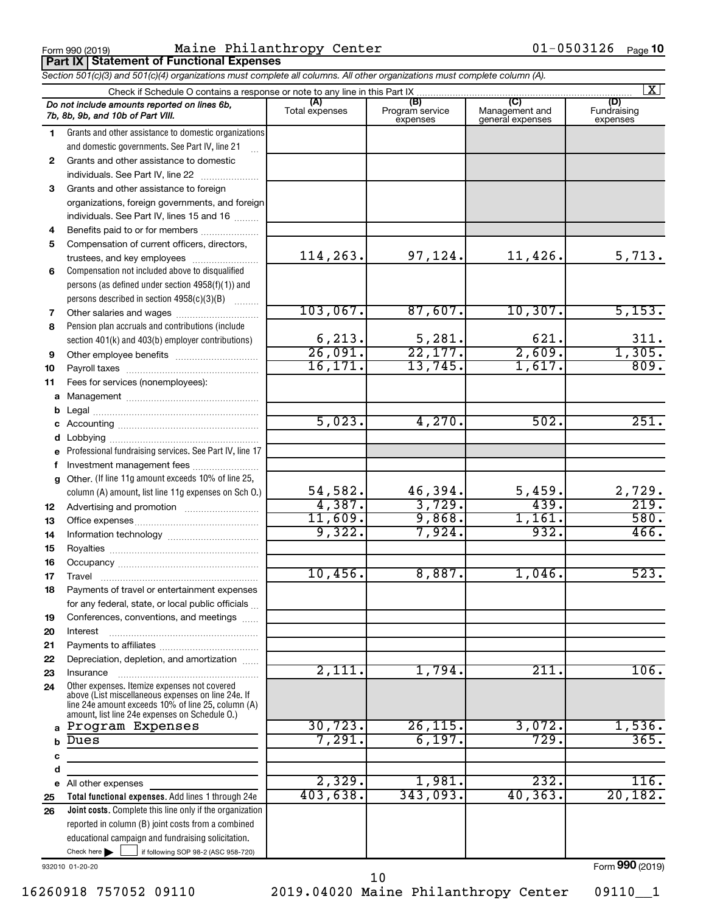Form 990 (2019) Maine Philanthropy Center 01-0503126 Page **Part IX Statement of Functional Expenses**

*Section 501(c)(3) and 501(c)(4) organizations must complete all columns. All other organizations must complete column (A).*

|              | $\mathbf{X}$<br>Check if Schedule O contains a response or note to any line in this Part IX                                                                                                                |                       |                                    |                                           |                                |  |  |  |  |  |  |
|--------------|------------------------------------------------------------------------------------------------------------------------------------------------------------------------------------------------------------|-----------------------|------------------------------------|-------------------------------------------|--------------------------------|--|--|--|--|--|--|
|              | Do not include amounts reported on lines 6b,<br>7b, 8b, 9b, and 10b of Part VIII.                                                                                                                          | (A)<br>Total expenses | (B)<br>Program service<br>expenses | (C)<br>Management and<br>general expenses | (D)<br>Fundraising<br>expenses |  |  |  |  |  |  |
| 1.           | Grants and other assistance to domestic organizations                                                                                                                                                      |                       |                                    |                                           |                                |  |  |  |  |  |  |
|              | and domestic governments. See Part IV, line 21                                                                                                                                                             |                       |                                    |                                           |                                |  |  |  |  |  |  |
| $\mathbf{2}$ | Grants and other assistance to domestic                                                                                                                                                                    |                       |                                    |                                           |                                |  |  |  |  |  |  |
|              | individuals. See Part IV, line 22                                                                                                                                                                          |                       |                                    |                                           |                                |  |  |  |  |  |  |
| 3            | Grants and other assistance to foreign                                                                                                                                                                     |                       |                                    |                                           |                                |  |  |  |  |  |  |
|              | organizations, foreign governments, and foreign                                                                                                                                                            |                       |                                    |                                           |                                |  |  |  |  |  |  |
|              | individuals. See Part IV, lines 15 and 16                                                                                                                                                                  |                       |                                    |                                           |                                |  |  |  |  |  |  |
| 4            | Benefits paid to or for members                                                                                                                                                                            |                       |                                    |                                           |                                |  |  |  |  |  |  |
| 5            | Compensation of current officers, directors,                                                                                                                                                               |                       |                                    |                                           |                                |  |  |  |  |  |  |
|              |                                                                                                                                                                                                            | 114,263.              | 97,124.                            | $11,426$ .                                | 5,713.                         |  |  |  |  |  |  |
| 6            | Compensation not included above to disqualified                                                                                                                                                            |                       |                                    |                                           |                                |  |  |  |  |  |  |
|              | persons (as defined under section $4958(f)(1)$ ) and                                                                                                                                                       |                       |                                    |                                           |                                |  |  |  |  |  |  |
|              | persons described in section 4958(c)(3)(B)                                                                                                                                                                 |                       |                                    |                                           |                                |  |  |  |  |  |  |
| 7            |                                                                                                                                                                                                            | 103,067.              | 87,607.                            | 10, 307.                                  | 5,153.                         |  |  |  |  |  |  |
| 8            | Pension plan accruals and contributions (include                                                                                                                                                           |                       |                                    |                                           |                                |  |  |  |  |  |  |
|              | section 401(k) and 403(b) employer contributions)                                                                                                                                                          | 6, 213.               | 5,281.                             | 621.                                      | 311.                           |  |  |  |  |  |  |
| 9            |                                                                                                                                                                                                            | 26,091.               | 22,177.                            | 2,609.                                    | 1,305.                         |  |  |  |  |  |  |
| 10           |                                                                                                                                                                                                            | 16, 171.              | 13,745.                            | 1,617.                                    | 809.                           |  |  |  |  |  |  |
| 11           | Fees for services (nonemployees):                                                                                                                                                                          |                       |                                    |                                           |                                |  |  |  |  |  |  |
|              |                                                                                                                                                                                                            |                       |                                    |                                           |                                |  |  |  |  |  |  |
|              |                                                                                                                                                                                                            |                       |                                    |                                           |                                |  |  |  |  |  |  |
|              |                                                                                                                                                                                                            | 5,023.                | 4,270.                             | 502.                                      | 251.                           |  |  |  |  |  |  |
|              |                                                                                                                                                                                                            |                       |                                    |                                           |                                |  |  |  |  |  |  |
|              | e Professional fundraising services. See Part IV, line 17                                                                                                                                                  |                       |                                    |                                           |                                |  |  |  |  |  |  |
| f            | Investment management fees                                                                                                                                                                                 |                       |                                    |                                           |                                |  |  |  |  |  |  |
|              | g Other. (If line 11g amount exceeds 10% of line 25,                                                                                                                                                       |                       |                                    |                                           |                                |  |  |  |  |  |  |
|              | column (A) amount, list line 11g expenses on Sch O.)                                                                                                                                                       | 54,582.               | 46,394.                            | 5,459.                                    | 2,729.                         |  |  |  |  |  |  |
| 12           |                                                                                                                                                                                                            | 4,387.                | 3,729.                             | 439.                                      | 219.                           |  |  |  |  |  |  |
| 13           |                                                                                                                                                                                                            | 11,609.               | 9,868.                             | 1,161.                                    | 580.                           |  |  |  |  |  |  |
| 14           |                                                                                                                                                                                                            | 9,322.                | 7,924.                             | 932.                                      | 466.                           |  |  |  |  |  |  |
| 15           |                                                                                                                                                                                                            |                       |                                    |                                           |                                |  |  |  |  |  |  |
| 16           |                                                                                                                                                                                                            |                       |                                    |                                           |                                |  |  |  |  |  |  |
| 17           |                                                                                                                                                                                                            | 10,456.               | 8,887.                             | $1,046$ .                                 | 523.                           |  |  |  |  |  |  |
| 18           | Payments of travel or entertainment expenses                                                                                                                                                               |                       |                                    |                                           |                                |  |  |  |  |  |  |
|              | for any federal, state, or local public officials                                                                                                                                                          |                       |                                    |                                           |                                |  |  |  |  |  |  |
| 19           | Conferences, conventions, and meetings                                                                                                                                                                     |                       |                                    |                                           |                                |  |  |  |  |  |  |
| 20           | Interest                                                                                                                                                                                                   |                       |                                    |                                           |                                |  |  |  |  |  |  |
| 21           |                                                                                                                                                                                                            |                       |                                    |                                           |                                |  |  |  |  |  |  |
| 22           | Depreciation, depletion, and amortization                                                                                                                                                                  |                       |                                    |                                           |                                |  |  |  |  |  |  |
| 23           | Insurance                                                                                                                                                                                                  | 2,111.                | 1,794.                             | 211.                                      | 106.                           |  |  |  |  |  |  |
| 24           | Other expenses. Itemize expenses not covered<br>above (List miscellaneous expenses on line 24e. If<br>line 24e amount exceeds 10% of line 25, column (A)<br>amount, list line 24e expenses on Schedule O.) |                       |                                    |                                           |                                |  |  |  |  |  |  |
|              | Program Expenses                                                                                                                                                                                           | 30, 723.              | 26, 115.                           | 3,072.                                    | 1,536.                         |  |  |  |  |  |  |
| b            | Dues                                                                                                                                                                                                       | 7,291.                | 6,197.                             | 729.                                      | 365.                           |  |  |  |  |  |  |
| с            |                                                                                                                                                                                                            |                       |                                    |                                           |                                |  |  |  |  |  |  |
| d            |                                                                                                                                                                                                            |                       |                                    |                                           |                                |  |  |  |  |  |  |
| е            | All other expenses                                                                                                                                                                                         | 2,329.                | 1,981.                             | 232.                                      | 116.                           |  |  |  |  |  |  |
| 25           | Total functional expenses. Add lines 1 through 24e                                                                                                                                                         | 403,638.              | 343,093.                           | 40, 363.                                  | 20,182.                        |  |  |  |  |  |  |
| 26           | Joint costs. Complete this line only if the organization                                                                                                                                                   |                       |                                    |                                           |                                |  |  |  |  |  |  |
|              | reported in column (B) joint costs from a combined                                                                                                                                                         |                       |                                    |                                           |                                |  |  |  |  |  |  |
|              | educational campaign and fundraising solicitation.                                                                                                                                                         |                       |                                    |                                           |                                |  |  |  |  |  |  |
|              | Check here $\blacktriangleright$<br>if following SOP 98-2 (ASC 958-720)                                                                                                                                    |                       |                                    |                                           |                                |  |  |  |  |  |  |

932010 01-20-20

Form (2019) **990**

16260918 757052 09110 2019.04020 Maine Philanthropy Center 09110\_\_1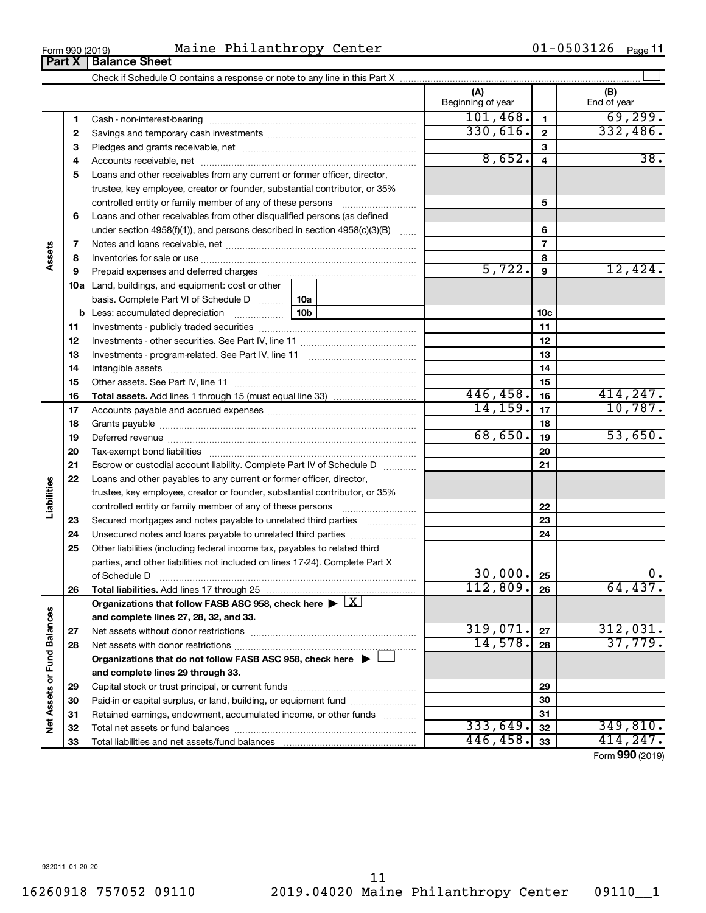**32 33**

**Net Assets or Fund Balances**

Net Assets or Fund Balances

**32 33**

 $333,649.$   $32$   $349,810.$  $446, 458.$   $33$   $414, 247.$ 

Form (2019) **990**

#### Form 990 (2019) Maine Philanthropy Center 61-0503126 Page **Part X** | **Balance Sheet**

Check if Schedule O contains a response or note to any line in this Part X

Total net assets or fund balances ~~~~~~~~~~~~~~~~~~~~~~

Total liabilities and net assets/fund balances ...

**1 2 3** Pledges and grants receivable, net ~~~~~~~~~~~~~~~~~~~~~ **4** Accounts receivable, net ~~~~~~~~~~~~~~~~~~~~~~~~~~ **5** Loans and other receivables from any current or former officer, director, **6 7 8 9 10 a** Land, buildings, and equipment: cost or other **11 12** Investments - other securities. See Part IV, line 11 ~~~~~~~~~~~~~~ **13** Investments - program-related. See Part IV, line 11 ~~~~~~~~~~~~~ **14** Intangible assets ~~~~~~~~~~~~~~~~~~~~~~~~~~~~~~ **15 16 17 18 19 20 21 22 23 24 25 26 27 28 29 30 31 1 2 3 4 5 6 7 8 9 10c 11 12 13 14 15 16 17 18 19 20 21 22 23 24 25 26 b** Less: accumulated depreciation  $\ldots$  [10b basis. Complete Part VI of Schedule D  $\frac{1}{10}$  10a **Total assets.**  Add lines 1 through 15 (must equal line 33) **Total liabilities.**  Add lines 17 through 25 Organizations that follow FASB ASC 958, check here  $\blacktriangleright \boxed{\text{X}}$ **and complete lines 27, 28, 32, and 33. 27 28 Organizations that do not follow FASB ASC 958, check here** | † **and complete lines 29 through 33. 29 30 31** Cash - non-interest-bearing ~~~~~~~~~~~~~~~~~~~~~~~~~ Savings and temporary cash investments ~~~~~~~~~~~~~~~~~~ trustee, key employee, creator or founder, substantial contributor, or 35% controlled entity or family member of any of these persons  $\ldots$ ........................ Loans and other receivables from other disqualified persons (as defined under section 4958(f)(1)), and persons described in section  $4958(c)(3)(B)$  ...... Notes and loans receivable, net ~~~~~~~~~~~~~~~~~~~~~~~ Inventories for sale or use ~~~~~~~~~~~~~~~~~~~~~~~~~~ Prepaid expenses and deferred charges ~~~~~~~~~~~~~~~~~~ Investments - publicly traded securities ~~~~~~~~~~~~~~~~~~~ Other assets. See Part IV, line 11 ~~~~~~~~~~~~~~~~~~~~~~ Accounts payable and accrued expenses ~~~~~~~~~~~~~~~~~~ Grants payable ~~~~~~~~~~~~~~~~~~~~~~~~~~~~~~~ Deferred revenue ~~~~~~~~~~~~~~~~~~~~~~~~~~~~~~ Tax-exempt bond liabilities ~~~~~~~~~~~~~~~~~~~~~~~~~ Escrow or custodial account liability. Complete Part IV of Schedule D ........... Loans and other payables to any current or former officer, director, trustee, key employee, creator or founder, substantial contributor, or 35% controlled entity or family member of any of these persons ~~~~~~~~~ Secured mortgages and notes payable to unrelated third parties  $\ldots$ ................. Unsecured notes and loans payable to unrelated third parties ~~~~~~~~ Other liabilities (including federal income tax, payables to related third parties, and other liabilities not included on lines 17-24). Complete Part X of Schedule D ~~~~~~~~~~~~~~~~~~~~~~~~~~~~~~~ Net assets without donor restrictions ~~~~~~~~~~~~~~~~~~~~ Net assets with donor restrictions ~~~~~~~~~~~~~~~~~~~~~~ Capital stock or trust principal, or current funds ~~~~~~~~~~~~~~~ Paid-in or capital surplus, or land, building, or equipment fund ....................... Retained earnings, endowment, accumulated income, or other funds ............  $101,468.$   $1$   $69,299.$ 330,616. 332,486.  $8,652. 4$  38.  $5,722.$   $9$   $12,424.$ 446,458. 414,247. 14, 159. 17 10, 787.  $68,650$ .  $19$  53,650. 30,000. 0. 112,809. 64,437.  $319,071. |z_7|$   $312,031.$ 14,578. 37,779.

01-0503126 <sub>Page</sub> 11

 $\perp$ 

**Assets**

**Liabilities**

**(A) (B)**

Beginning of year  $\begin{vmatrix} 1 & 1 \end{vmatrix}$  End of year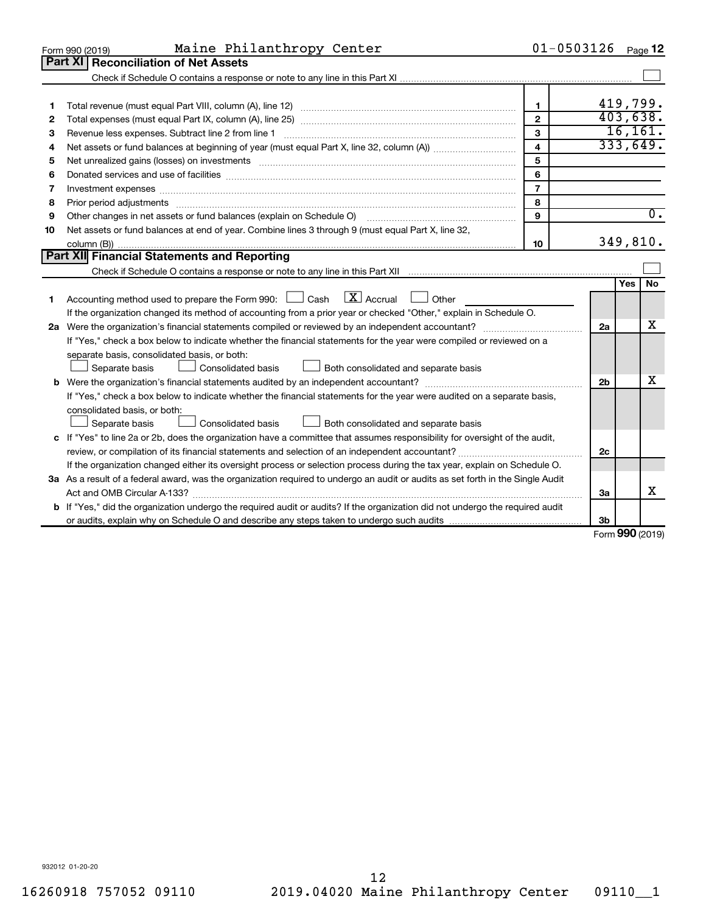|    | Maine Philanthropy Center<br>Form 990 (2019)                                                                                                                                                                                   |                | $01 - 0503126$ |            | Page 12          |
|----|--------------------------------------------------------------------------------------------------------------------------------------------------------------------------------------------------------------------------------|----------------|----------------|------------|------------------|
|    | Part XI<br><b>Reconciliation of Net Assets</b>                                                                                                                                                                                 |                |                |            |                  |
|    |                                                                                                                                                                                                                                |                |                |            |                  |
|    |                                                                                                                                                                                                                                |                |                |            |                  |
| 1  |                                                                                                                                                                                                                                | $\mathbf{1}$   | 419,799.       |            |                  |
| 2  |                                                                                                                                                                                                                                | $\mathbf{2}$   | 403,638.       |            |                  |
| з  |                                                                                                                                                                                                                                | 3              |                |            | 16, 161.         |
| 4  |                                                                                                                                                                                                                                | 4              |                |            | 333,649.         |
| 5  |                                                                                                                                                                                                                                | 5              |                |            |                  |
| 6  |                                                                                                                                                                                                                                | 6              |                |            |                  |
| 7  | Investment expenses www.communication.com/www.communication.com/www.communication.com/www.com                                                                                                                                  | $\overline{7}$ |                |            |                  |
| 8  | Prior period adjustments material contents and content and content and content and content and content and content and content and content and content and content and content and content and content and content and content | 8              |                |            |                  |
| 9  |                                                                                                                                                                                                                                | 9              |                |            | $\overline{0}$ . |
| 10 | Net assets or fund balances at end of year. Combine lines 3 through 9 (must equal Part X, line 32,                                                                                                                             |                |                |            |                  |
|    |                                                                                                                                                                                                                                | 10             |                |            | 349,810.         |
|    | <b>Part XII</b> Financial Statements and Reporting                                                                                                                                                                             |                |                |            |                  |
|    |                                                                                                                                                                                                                                |                |                |            |                  |
|    |                                                                                                                                                                                                                                |                |                | <b>Yes</b> | <b>No</b>        |
| 1. | Accounting method used to prepare the Form 990: $\Box$ Cash $\Box X$ Accrual<br>$\Box$ Other                                                                                                                                   |                |                |            |                  |
|    | If the organization changed its method of accounting from a prior year or checked "Other," explain in Schedule O.                                                                                                              |                |                |            |                  |
|    |                                                                                                                                                                                                                                |                | 2a             |            | х                |
|    | If "Yes," check a box below to indicate whether the financial statements for the year were compiled or reviewed on a                                                                                                           |                |                |            |                  |
|    | separate basis, consolidated basis, or both:                                                                                                                                                                                   |                |                |            |                  |
|    | Both consolidated and separate basis<br>Separate basis<br>Consolidated basis                                                                                                                                                   |                |                |            |                  |
|    |                                                                                                                                                                                                                                |                | 2 <sub>b</sub> |            | X                |
|    | If "Yes," check a box below to indicate whether the financial statements for the year were audited on a separate basis,                                                                                                        |                |                |            |                  |
|    | consolidated basis, or both:                                                                                                                                                                                                   |                |                |            |                  |
|    | <b>Consolidated basis</b><br>Both consolidated and separate basis<br>Separate basis                                                                                                                                            |                |                |            |                  |
|    | c If "Yes" to line 2a or 2b, does the organization have a committee that assumes responsibility for oversight of the audit,                                                                                                    |                |                |            |                  |
|    |                                                                                                                                                                                                                                |                | 2c             |            |                  |
|    | If the organization changed either its oversight process or selection process during the tax year, explain on Schedule O.                                                                                                      |                |                |            |                  |
|    | 3a As a result of a federal award, was the organization required to undergo an audit or audits as set forth in the Single Audit                                                                                                |                |                |            |                  |
|    |                                                                                                                                                                                                                                |                | За             |            | X                |
|    | b If "Yes," did the organization undergo the required audit or audits? If the organization did not undergo the required audit                                                                                                  |                |                |            |                  |
|    |                                                                                                                                                                                                                                |                | 3 <sub>b</sub> |            |                  |

Form (2019) **990**

932012 01-20-20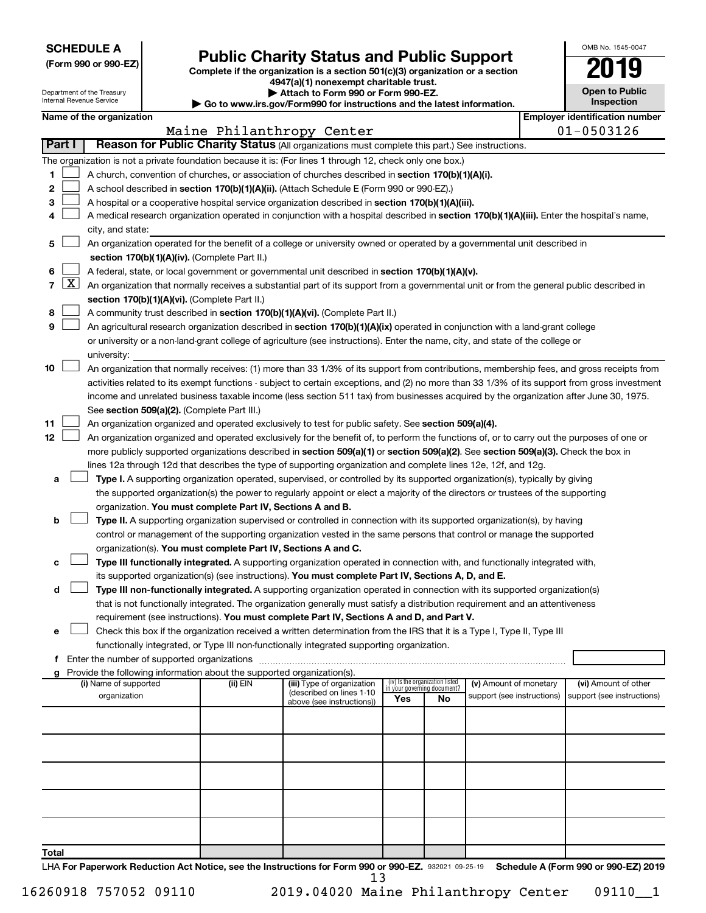**SCHEDULE A**

# Form 990 or 990-EZ)<br>
Complete if the organization is a section 501(c)(3) organization or a section<br> **Public Charity Status and Public Support**

**4947(a)(1) nonexempt charitable trust. | Attach to Form 990 or Form 990-EZ.** 

|    | <b>Open to Public</b><br>Inspection |
|----|-------------------------------------|
| ١r | identification numbe<br>ė           |

OMB No. 1545-0047

| Department of the Treasury<br>Internal Revenue Service |                     |                                                                                                                                                                            |  |                                                                        | Attach to Form 990 or Form 990-EZ.<br>Go to www.irs.gov/Form990 for instructions and the latest information.                                  |                                 |    |                                                      |  | <b>Open to Public</b><br>Inspection                |  |
|--------------------------------------------------------|---------------------|----------------------------------------------------------------------------------------------------------------------------------------------------------------------------|--|------------------------------------------------------------------------|-----------------------------------------------------------------------------------------------------------------------------------------------|---------------------------------|----|------------------------------------------------------|--|----------------------------------------------------|--|
|                                                        |                     | Name of the organization                                                                                                                                                   |  |                                                                        |                                                                                                                                               |                                 |    |                                                      |  | <b>Employer identification number</b>              |  |
|                                                        |                     |                                                                                                                                                                            |  |                                                                        | Maine Philanthropy Center                                                                                                                     |                                 |    |                                                      |  | $01 - 0503126$                                     |  |
|                                                        | <b>Part I</b>       |                                                                                                                                                                            |  |                                                                        | Reason for Public Charity Status (All organizations must complete this part.) See instructions.                                               |                                 |    |                                                      |  |                                                    |  |
|                                                        |                     |                                                                                                                                                                            |  |                                                                        | The organization is not a private foundation because it is: (For lines 1 through 12, check only one box.)                                     |                                 |    |                                                      |  |                                                    |  |
| 1                                                      |                     |                                                                                                                                                                            |  |                                                                        | A church, convention of churches, or association of churches described in section 170(b)(1)(A)(i).                                            |                                 |    |                                                      |  |                                                    |  |
| 2                                                      |                     |                                                                                                                                                                            |  |                                                                        | A school described in section 170(b)(1)(A)(ii). (Attach Schedule E (Form 990 or 990-EZ).)                                                     |                                 |    |                                                      |  |                                                    |  |
| з                                                      |                     |                                                                                                                                                                            |  |                                                                        | A hospital or a cooperative hospital service organization described in section 170(b)(1)(A)(iii).                                             |                                 |    |                                                      |  |                                                    |  |
| 4                                                      |                     |                                                                                                                                                                            |  |                                                                        | A medical research organization operated in conjunction with a hospital described in section 170(b)(1)(A)(iii). Enter the hospital's name,    |                                 |    |                                                      |  |                                                    |  |
|                                                        |                     | city, and state:                                                                                                                                                           |  |                                                                        |                                                                                                                                               |                                 |    |                                                      |  |                                                    |  |
| 5                                                      |                     |                                                                                                                                                                            |  |                                                                        |                                                                                                                                               |                                 |    |                                                      |  |                                                    |  |
|                                                        |                     | An organization operated for the benefit of a college or university owned or operated by a governmental unit described in<br>section 170(b)(1)(A)(iv). (Complete Part II.) |  |                                                                        |                                                                                                                                               |                                 |    |                                                      |  |                                                    |  |
| 6                                                      |                     |                                                                                                                                                                            |  |                                                                        | A federal, state, or local government or governmental unit described in section 170(b)(1)(A)(v).                                              |                                 |    |                                                      |  |                                                    |  |
| $\mathbf{7}$                                           | $\lfloor x \rfloor$ |                                                                                                                                                                            |  |                                                                        | An organization that normally receives a substantial part of its support from a governmental unit or from the general public described in     |                                 |    |                                                      |  |                                                    |  |
|                                                        |                     |                                                                                                                                                                            |  | section 170(b)(1)(A)(vi). (Complete Part II.)                          |                                                                                                                                               |                                 |    |                                                      |  |                                                    |  |
| 8                                                      |                     |                                                                                                                                                                            |  |                                                                        | A community trust described in section 170(b)(1)(A)(vi). (Complete Part II.)                                                                  |                                 |    |                                                      |  |                                                    |  |
| 9                                                      |                     |                                                                                                                                                                            |  |                                                                        | An agricultural research organization described in section 170(b)(1)(A)(ix) operated in conjunction with a land-grant college                 |                                 |    |                                                      |  |                                                    |  |
|                                                        |                     |                                                                                                                                                                            |  |                                                                        | or university or a non-land-grant college of agriculture (see instructions). Enter the name, city, and state of the college or                |                                 |    |                                                      |  |                                                    |  |
|                                                        |                     | university:                                                                                                                                                                |  |                                                                        |                                                                                                                                               |                                 |    |                                                      |  |                                                    |  |
| 10                                                     |                     |                                                                                                                                                                            |  |                                                                        | An organization that normally receives: (1) more than 33 1/3% of its support from contributions, membership fees, and gross receipts from     |                                 |    |                                                      |  |                                                    |  |
|                                                        |                     |                                                                                                                                                                            |  |                                                                        | activities related to its exempt functions - subject to certain exceptions, and (2) no more than 33 1/3% of its support from gross investment |                                 |    |                                                      |  |                                                    |  |
|                                                        |                     |                                                                                                                                                                            |  |                                                                        | income and unrelated business taxable income (less section 511 tax) from businesses acquired by the organization after June 30, 1975.         |                                 |    |                                                      |  |                                                    |  |
|                                                        |                     |                                                                                                                                                                            |  | See section 509(a)(2). (Complete Part III.)                            |                                                                                                                                               |                                 |    |                                                      |  |                                                    |  |
| 11                                                     |                     |                                                                                                                                                                            |  |                                                                        | An organization organized and operated exclusively to test for public safety. See section 509(a)(4).                                          |                                 |    |                                                      |  |                                                    |  |
| 12                                                     |                     |                                                                                                                                                                            |  |                                                                        | An organization organized and operated exclusively for the benefit of, to perform the functions of, or to carry out the purposes of one or    |                                 |    |                                                      |  |                                                    |  |
|                                                        |                     |                                                                                                                                                                            |  |                                                                        | more publicly supported organizations described in section 509(a)(1) or section 509(a)(2). See section 509(a)(3). Check the box in            |                                 |    |                                                      |  |                                                    |  |
|                                                        |                     |                                                                                                                                                                            |  |                                                                        | lines 12a through 12d that describes the type of supporting organization and complete lines 12e, 12f, and 12g.                                |                                 |    |                                                      |  |                                                    |  |
| a                                                      |                     |                                                                                                                                                                            |  |                                                                        | Type I. A supporting organization operated, supervised, or controlled by its supported organization(s), typically by giving                   |                                 |    |                                                      |  |                                                    |  |
|                                                        |                     |                                                                                                                                                                            |  |                                                                        | the supported organization(s) the power to regularly appoint or elect a majority of the directors or trustees of the supporting               |                                 |    |                                                      |  |                                                    |  |
|                                                        |                     |                                                                                                                                                                            |  | organization. You must complete Part IV, Sections A and B.             |                                                                                                                                               |                                 |    |                                                      |  |                                                    |  |
| b                                                      |                     |                                                                                                                                                                            |  |                                                                        | Type II. A supporting organization supervised or controlled in connection with its supported organization(s), by having                       |                                 |    |                                                      |  |                                                    |  |
|                                                        |                     |                                                                                                                                                                            |  |                                                                        | control or management of the supporting organization vested in the same persons that control or manage the supported                          |                                 |    |                                                      |  |                                                    |  |
|                                                        |                     |                                                                                                                                                                            |  | organization(s). You must complete Part IV, Sections A and C.          |                                                                                                                                               |                                 |    |                                                      |  |                                                    |  |
| с                                                      |                     |                                                                                                                                                                            |  |                                                                        | Type III functionally integrated. A supporting organization operated in connection with, and functionally integrated with,                    |                                 |    |                                                      |  |                                                    |  |
|                                                        |                     |                                                                                                                                                                            |  |                                                                        | its supported organization(s) (see instructions). You must complete Part IV, Sections A, D, and E.                                            |                                 |    |                                                      |  |                                                    |  |
|                                                        | d                   |                                                                                                                                                                            |  |                                                                        | Type III non-functionally integrated. A supporting organization operated in connection with its supported organization(s)                     |                                 |    |                                                      |  |                                                    |  |
|                                                        |                     |                                                                                                                                                                            |  |                                                                        | that is not functionally integrated. The organization generally must satisfy a distribution requirement and an attentiveness                  |                                 |    |                                                      |  |                                                    |  |
|                                                        |                     |                                                                                                                                                                            |  |                                                                        | requirement (see instructions). You must complete Part IV, Sections A and D, and Part V.                                                      |                                 |    |                                                      |  |                                                    |  |
| е                                                      |                     |                                                                                                                                                                            |  |                                                                        | Check this box if the organization received a written determination from the IRS that it is a Type I, Type II, Type III                       |                                 |    |                                                      |  |                                                    |  |
|                                                        |                     |                                                                                                                                                                            |  |                                                                        | functionally integrated, or Type III non-functionally integrated supporting organization.                                                     |                                 |    |                                                      |  |                                                    |  |
|                                                        |                     |                                                                                                                                                                            |  |                                                                        |                                                                                                                                               |                                 |    |                                                      |  |                                                    |  |
|                                                        | a                   |                                                                                                                                                                            |  | Provide the following information about the supported organization(s). |                                                                                                                                               | (iv) Is the organization listed |    |                                                      |  |                                                    |  |
|                                                        |                     | (i) Name of supported<br>organization                                                                                                                                      |  | (ii) EIN                                                               | (iii) Type of organization<br>(described on lines 1-10                                                                                        | in your governing document?     |    | (v) Amount of monetary<br>support (see instructions) |  | (vi) Amount of other<br>support (see instructions) |  |
|                                                        |                     |                                                                                                                                                                            |  |                                                                        | above (see instructions))                                                                                                                     | Yes                             | No |                                                      |  |                                                    |  |
|                                                        |                     |                                                                                                                                                                            |  |                                                                        |                                                                                                                                               |                                 |    |                                                      |  |                                                    |  |
|                                                        |                     |                                                                                                                                                                            |  |                                                                        |                                                                                                                                               |                                 |    |                                                      |  |                                                    |  |
|                                                        |                     |                                                                                                                                                                            |  |                                                                        |                                                                                                                                               |                                 |    |                                                      |  |                                                    |  |
|                                                        |                     |                                                                                                                                                                            |  |                                                                        |                                                                                                                                               |                                 |    |                                                      |  |                                                    |  |
|                                                        |                     |                                                                                                                                                                            |  |                                                                        |                                                                                                                                               |                                 |    |                                                      |  |                                                    |  |
|                                                        |                     |                                                                                                                                                                            |  |                                                                        |                                                                                                                                               |                                 |    |                                                      |  |                                                    |  |
|                                                        |                     |                                                                                                                                                                            |  |                                                                        |                                                                                                                                               |                                 |    |                                                      |  |                                                    |  |
|                                                        |                     |                                                                                                                                                                            |  |                                                                        |                                                                                                                                               |                                 |    |                                                      |  |                                                    |  |

**Total**

LHA For Paperwork Reduction Act Notice, see the Instructions for Form 990 or 990-EZ. 932021 09-25-19 Schedule A (Form 990 or 990-EZ) 2019 13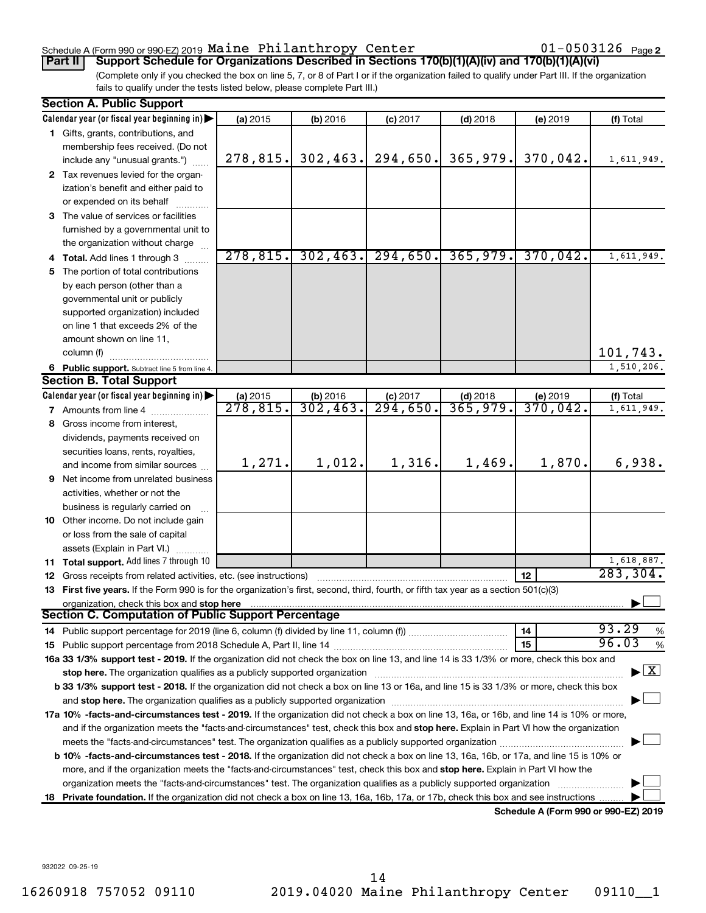### Schedule A (Form 990 or 990-EZ) 2019  ${\tt Maine~Philanthropy~Center} \hspace{1.5cm} 01-0503126$   ${\tt Page}$

01-0503126 Page 2

(Complete only if you checked the box on line 5, 7, or 8 of Part I or if the organization failed to qualify under Part III. If the organization fails to qualify under the tests listed below, please complete Part III.) **Part II Support Schedule for Organizations Described in Sections 170(b)(1)(A)(iv) and 170(b)(1)(A)(vi)**

|    | <b>Section A. Public Support</b>                                                                                                               |                      |                         |                      |            |                                      |                                          |
|----|------------------------------------------------------------------------------------------------------------------------------------------------|----------------------|-------------------------|----------------------|------------|--------------------------------------|------------------------------------------|
|    | Calendar year (or fiscal year beginning in)                                                                                                    | (a) 2015             | (b) 2016                | $(c)$ 2017           | $(d)$ 2018 | (e) 2019                             | (f) Total                                |
|    | 1 Gifts, grants, contributions, and                                                                                                            |                      |                         |                      |            |                                      |                                          |
|    | membership fees received. (Do not                                                                                                              |                      |                         |                      |            |                                      |                                          |
|    | include any "unusual grants.")                                                                                                                 | 278,815.             | 302, 463.               | 294,650.             | 365,979.   | 370,042.                             | 1,611,949.                               |
|    | 2 Tax revenues levied for the organ-                                                                                                           |                      |                         |                      |            |                                      |                                          |
|    | ization's benefit and either paid to                                                                                                           |                      |                         |                      |            |                                      |                                          |
|    | or expended on its behalf                                                                                                                      |                      |                         |                      |            |                                      |                                          |
|    | 3 The value of services or facilities                                                                                                          |                      |                         |                      |            |                                      |                                          |
|    | furnished by a governmental unit to                                                                                                            |                      |                         |                      |            |                                      |                                          |
|    | the organization without charge                                                                                                                |                      |                         |                      |            |                                      |                                          |
|    | 4 Total. Add lines 1 through 3                                                                                                                 | 278,815.             | 302, 463.               | 294,650.             | 365,979.   | 370,042.                             | 1,611,949.                               |
| 5. | The portion of total contributions                                                                                                             |                      |                         |                      |            |                                      |                                          |
|    | by each person (other than a                                                                                                                   |                      |                         |                      |            |                                      |                                          |
|    | governmental unit or publicly                                                                                                                  |                      |                         |                      |            |                                      |                                          |
|    | supported organization) included                                                                                                               |                      |                         |                      |            |                                      |                                          |
|    | on line 1 that exceeds 2% of the                                                                                                               |                      |                         |                      |            |                                      |                                          |
|    | amount shown on line 11,                                                                                                                       |                      |                         |                      |            |                                      |                                          |
|    | column (f)                                                                                                                                     |                      |                         |                      |            |                                      | 101,743.                                 |
|    | 6 Public support. Subtract line 5 from line 4.                                                                                                 |                      |                         |                      |            |                                      | 1,510,206.                               |
|    | <b>Section B. Total Support</b>                                                                                                                |                      |                         |                      |            |                                      |                                          |
|    | Calendar year (or fiscal year beginning in)                                                                                                    | (a) 2015             |                         | $(c)$ 2017           | $(d)$ 2018 |                                      | (f) Total                                |
|    | <b>7</b> Amounts from line 4                                                                                                                   | $\overline{278,815}$ | (b) $2016$<br>302, 463. | $\overline{294,650}$ | 365,979.   | $\frac{6}{2019}$<br>370,042.         | 1,611,949.                               |
| 8  | Gross income from interest,                                                                                                                    |                      |                         |                      |            |                                      |                                          |
|    | dividends, payments received on                                                                                                                |                      |                         |                      |            |                                      |                                          |
|    | securities loans, rents, royalties,                                                                                                            |                      |                         |                      |            |                                      |                                          |
|    | and income from similar sources                                                                                                                | 1,271.               | 1,012.                  | 1,316.               | 1,469.     | 1,870.                               | 6,938.                                   |
|    | <b>9</b> Net income from unrelated business                                                                                                    |                      |                         |                      |            |                                      |                                          |
|    | activities, whether or not the                                                                                                                 |                      |                         |                      |            |                                      |                                          |
|    | business is regularly carried on                                                                                                               |                      |                         |                      |            |                                      |                                          |
|    | 10 Other income. Do not include gain                                                                                                           |                      |                         |                      |            |                                      |                                          |
|    | or loss from the sale of capital                                                                                                               |                      |                         |                      |            |                                      |                                          |
|    | assets (Explain in Part VI.)                                                                                                                   |                      |                         |                      |            |                                      |                                          |
|    | 11 Total support. Add lines 7 through 10                                                                                                       |                      |                         |                      |            |                                      | 1,618,887.                               |
|    | 12 Gross receipts from related activities, etc. (see instructions)                                                                             |                      |                         |                      |            | 12                                   | 283, 304.                                |
|    | 13 First five years. If the Form 990 is for the organization's first, second, third, fourth, or fifth tax year as a section 501(c)(3)          |                      |                         |                      |            |                                      |                                          |
|    | organization, check this box and stop here                                                                                                     |                      |                         |                      |            |                                      |                                          |
|    | <b>Section C. Computation of Public Support Percentage</b>                                                                                     |                      |                         |                      |            |                                      |                                          |
|    |                                                                                                                                                |                      |                         |                      |            | 14                                   | 93.29<br>%                               |
|    |                                                                                                                                                |                      |                         |                      |            | 15                                   | 96.03<br>%                               |
|    | 16a 33 1/3% support test - 2019. If the organization did not check the box on line 13, and line 14 is 33 1/3% or more, check this box and      |                      |                         |                      |            |                                      |                                          |
|    | stop here. The organization qualifies as a publicly supported organization                                                                     |                      |                         |                      |            |                                      | $\blacktriangleright$ $\boxed{\text{X}}$ |
|    | b 33 1/3% support test - 2018. If the organization did not check a box on line 13 or 16a, and line 15 is 33 1/3% or more, check this box       |                      |                         |                      |            |                                      |                                          |
|    |                                                                                                                                                |                      |                         |                      |            |                                      |                                          |
|    | 17a 10% -facts-and-circumstances test - 2019. If the organization did not check a box on line 13, 16a, or 16b, and line 14 is 10% or more,     |                      |                         |                      |            |                                      |                                          |
|    | and if the organization meets the "facts-and-circumstances" test, check this box and stop here. Explain in Part VI how the organization        |                      |                         |                      |            |                                      |                                          |
|    |                                                                                                                                                |                      |                         |                      |            |                                      |                                          |
|    | <b>b 10%</b> -facts-and-circumstances test - 2018. If the organization did not check a box on line 13, 16a, 16b, or 17a, and line 15 is 10% or |                      |                         |                      |            |                                      |                                          |
|    | more, and if the organization meets the "facts-and-circumstances" test, check this box and stop here. Explain in Part VI how the               |                      |                         |                      |            |                                      |                                          |
|    | organization meets the "facts-and-circumstances" test. The organization qualifies as a publicly supported organization                         |                      |                         |                      |            |                                      |                                          |
| 18 | Private foundation. If the organization did not check a box on line 13, 16a, 16b, 17a, or 17b, check this box and see instructions             |                      |                         |                      |            |                                      |                                          |
|    |                                                                                                                                                |                      |                         |                      |            | Schedule A (Form 990 or 990-F7) 2019 |                                          |

**Schedule A (Form 990 or 990-EZ) 2019**

932022 09-25-19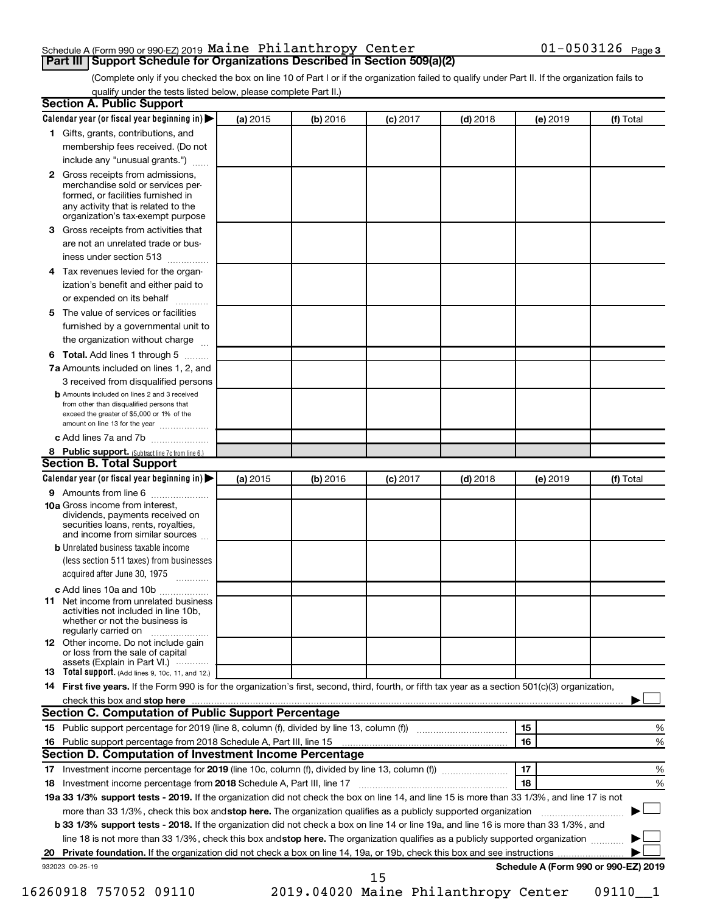### Schedule A (Form 990 or 990-EZ) 2019  ${\tt Maine~Philanthropy~Center} \hspace{1.5cm} 01-0503126$   ${\tt Page}$ **Part III Support Schedule for Organizations Described in Section 509(a)(2)**

(Complete only if you checked the box on line 10 of Part I or if the organization failed to qualify under Part II. If the organization fails to qualify under the tests listed below, please complete Part II.)

| <b>Section A. Public Support</b>                                                                                                                                                                |          |          |            |            |          |                                      |
|-------------------------------------------------------------------------------------------------------------------------------------------------------------------------------------------------|----------|----------|------------|------------|----------|--------------------------------------|
| Calendar year (or fiscal year beginning in)                                                                                                                                                     | (a) 2015 | (b) 2016 | $(c)$ 2017 | $(d)$ 2018 | (e) 2019 | (f) Total                            |
| 1 Gifts, grants, contributions, and                                                                                                                                                             |          |          |            |            |          |                                      |
| membership fees received. (Do not                                                                                                                                                               |          |          |            |            |          |                                      |
| include any "unusual grants.")                                                                                                                                                                  |          |          |            |            |          |                                      |
| <b>2</b> Gross receipts from admissions,<br>merchandise sold or services per-<br>formed, or facilities furnished in<br>any activity that is related to the<br>organization's tax-exempt purpose |          |          |            |            |          |                                      |
| 3 Gross receipts from activities that                                                                                                                                                           |          |          |            |            |          |                                      |
| are not an unrelated trade or bus-                                                                                                                                                              |          |          |            |            |          |                                      |
| iness under section 513                                                                                                                                                                         |          |          |            |            |          |                                      |
| 4 Tax revenues levied for the organ-                                                                                                                                                            |          |          |            |            |          |                                      |
| ization's benefit and either paid to                                                                                                                                                            |          |          |            |            |          |                                      |
| or expended on its behalf                                                                                                                                                                       |          |          |            |            |          |                                      |
| 5 The value of services or facilities                                                                                                                                                           |          |          |            |            |          |                                      |
| furnished by a governmental unit to                                                                                                                                                             |          |          |            |            |          |                                      |
| the organization without charge                                                                                                                                                                 |          |          |            |            |          |                                      |
| 6 Total. Add lines 1 through 5                                                                                                                                                                  |          |          |            |            |          |                                      |
| 7a Amounts included on lines 1, 2, and                                                                                                                                                          |          |          |            |            |          |                                      |
| 3 received from disqualified persons                                                                                                                                                            |          |          |            |            |          |                                      |
| <b>b</b> Amounts included on lines 2 and 3 received<br>from other than disqualified persons that<br>exceed the greater of \$5,000 or 1% of the<br>amount on line 13 for the year                |          |          |            |            |          |                                      |
| c Add lines 7a and 7b                                                                                                                                                                           |          |          |            |            |          |                                      |
| 8 Public support. (Subtract line 7c from line 6.)                                                                                                                                               |          |          |            |            |          |                                      |
| <b>Section B. Total Support</b>                                                                                                                                                                 |          |          |            |            |          |                                      |
| Calendar year (or fiscal year beginning in)                                                                                                                                                     | (a) 2015 | (b) 2016 | $(c)$ 2017 | $(d)$ 2018 | (e) 2019 | (f) Total                            |
| 9 Amounts from line 6                                                                                                                                                                           |          |          |            |            |          |                                      |
| <b>10a</b> Gross income from interest,<br>dividends, payments received on<br>securities loans, rents, royalties,<br>and income from similar sources                                             |          |          |            |            |          |                                      |
| <b>b</b> Unrelated business taxable income                                                                                                                                                      |          |          |            |            |          |                                      |
| (less section 511 taxes) from businesses<br>acquired after June 30, 1975                                                                                                                        |          |          |            |            |          |                                      |
| c Add lines 10a and 10b                                                                                                                                                                         |          |          |            |            |          |                                      |
| <b>11</b> Net income from unrelated business<br>activities not included in line 10b.<br>whether or not the business is<br>regularly carried on                                                  |          |          |            |            |          |                                      |
| <b>12</b> Other income. Do not include gain<br>or loss from the sale of capital                                                                                                                 |          |          |            |            |          |                                      |
| assets (Explain in Part VI.)<br><b>13</b> Total support. (Add lines 9, 10c, 11, and 12.)                                                                                                        |          |          |            |            |          |                                      |
| 14 First five years. If the Form 990 is for the organization's first, second, third, fourth, or fifth tax year as a section 501(c)(3) organization,                                             |          |          |            |            |          |                                      |
| check this box and stop here <b>contained and the contained and stop here</b> check this box and stop here <b>contained and stop here</b>                                                       |          |          |            |            |          |                                      |
| Section C. Computation of Public Support Percentage                                                                                                                                             |          |          |            |            |          |                                      |
|                                                                                                                                                                                                 |          |          |            |            | 15       | ℅                                    |
| 16 Public support percentage from 2018 Schedule A, Part III, line 15                                                                                                                            |          |          |            |            | 16       | %                                    |
| Section D. Computation of Investment Income Percentage                                                                                                                                          |          |          |            |            |          |                                      |
|                                                                                                                                                                                                 |          |          |            |            | 17       | %                                    |
| 18 Investment income percentage from 2018 Schedule A, Part III, line 17                                                                                                                         |          |          |            |            | 18       | %                                    |
| 19a 33 1/3% support tests - 2019. If the organization did not check the box on line 14, and line 15 is more than 33 1/3%, and line 17 is not                                                    |          |          |            |            |          |                                      |
| more than 33 1/3%, check this box and stop here. The organization qualifies as a publicly supported organization                                                                                |          |          |            |            |          |                                      |
| <b>b 33 1/3% support tests - 2018.</b> If the organization did not check a box on line 14 or line 19a, and line 16 is more than 33 1/3%, and                                                    |          |          |            |            |          |                                      |
| line 18 is not more than 33 1/3%, check this box and stop here. The organization qualifies as a publicly supported organization                                                                 |          |          |            |            |          |                                      |
|                                                                                                                                                                                                 |          |          |            |            |          |                                      |
| 932023 09-25-19                                                                                                                                                                                 |          |          |            |            |          | Schedule A (Form 990 or 990-EZ) 2019 |
|                                                                                                                                                                                                 |          |          | 15         |            |          |                                      |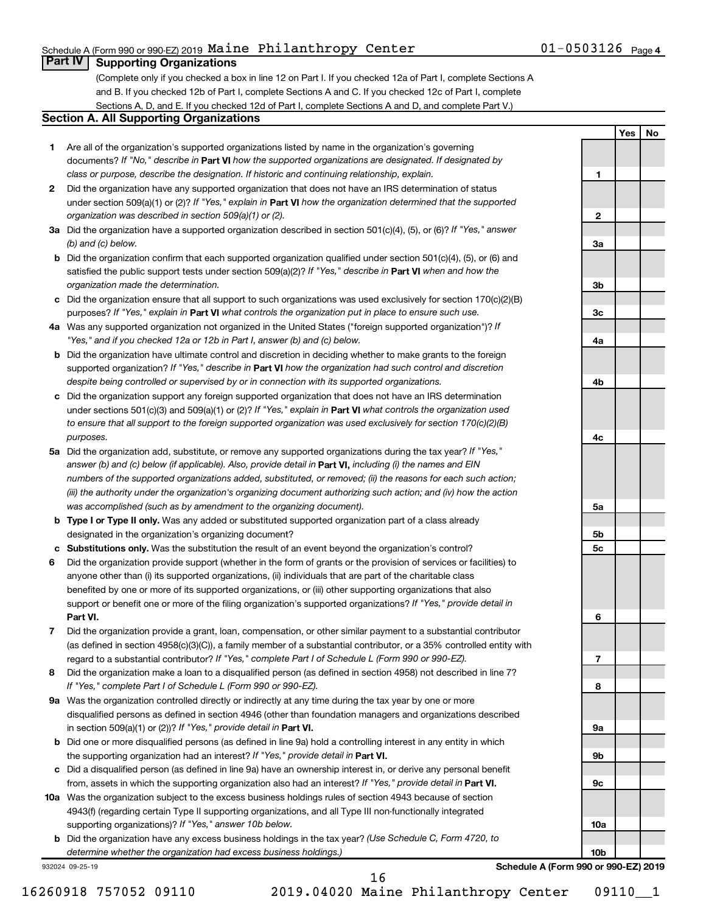### Schedule A (Form 990 or 990-EZ) 2019  ${\tt Maine~Philanthropy~Center} \hspace{1.5cm} 01-0503126$   ${\tt Page}$

**1**

**2**

**3a**

**Yes No**

### **Part IV Supporting Organizations**

(Complete only if you checked a box in line 12 on Part I. If you checked 12a of Part I, complete Sections A and B. If you checked 12b of Part I, complete Sections A and C. If you checked 12c of Part I, complete Sections A, D, and E. If you checked 12d of Part I, complete Sections A and D, and complete Part V.)

### **Section A. All Supporting Organizations**

- **1** Are all of the organization's supported organizations listed by name in the organization's governing documents? If "No," describe in Part VI how the supported organizations are designated. If designated by *class or purpose, describe the designation. If historic and continuing relationship, explain.*
- **2** Did the organization have any supported organization that does not have an IRS determination of status under section 509(a)(1) or (2)? If "Yes," explain in Part **VI** how the organization determined that the supported *organization was described in section 509(a)(1) or (2).*
- **3a** Did the organization have a supported organization described in section 501(c)(4), (5), or (6)? If "Yes," answer *(b) and (c) below.*
- **b** Did the organization confirm that each supported organization qualified under section 501(c)(4), (5), or (6) and satisfied the public support tests under section 509(a)(2)? If "Yes," describe in Part VI when and how the *organization made the determination.*
- **c** Did the organization ensure that all support to such organizations was used exclusively for section 170(c)(2)(B) purposes? If "Yes," explain in Part VI what controls the organization put in place to ensure such use.
- **4 a** *If* Was any supported organization not organized in the United States ("foreign supported organization")? *"Yes," and if you checked 12a or 12b in Part I, answer (b) and (c) below.*
- **b** Did the organization have ultimate control and discretion in deciding whether to make grants to the foreign supported organization? If "Yes," describe in Part VI how the organization had such control and discretion *despite being controlled or supervised by or in connection with its supported organizations.*
- **c** Did the organization support any foreign supported organization that does not have an IRS determination under sections 501(c)(3) and 509(a)(1) or (2)? If "Yes," explain in Part VI what controls the organization used *to ensure that all support to the foreign supported organization was used exclusively for section 170(c)(2)(B) purposes.*
- **5a** Did the organization add, substitute, or remove any supported organizations during the tax year? If "Yes," answer (b) and (c) below (if applicable). Also, provide detail in **Part VI,** including (i) the names and EIN *numbers of the supported organizations added, substituted, or removed; (ii) the reasons for each such action; (iii) the authority under the organization's organizing document authorizing such action; and (iv) how the action was accomplished (such as by amendment to the organizing document).*
- **b** Type I or Type II only. Was any added or substituted supported organization part of a class already designated in the organization's organizing document?
- **c Substitutions only.**  Was the substitution the result of an event beyond the organization's control?
- **6** Did the organization provide support (whether in the form of grants or the provision of services or facilities) to **Part VI.** support or benefit one or more of the filing organization's supported organizations? If "Yes," provide detail in anyone other than (i) its supported organizations, (ii) individuals that are part of the charitable class benefited by one or more of its supported organizations, or (iii) other supporting organizations that also
- **7** Did the organization provide a grant, loan, compensation, or other similar payment to a substantial contributor regard to a substantial contributor? If "Yes," complete Part I of Schedule L (Form 990 or 990-EZ). (as defined in section 4958(c)(3)(C)), a family member of a substantial contributor, or a 35% controlled entity with
- **8** Did the organization make a loan to a disqualified person (as defined in section 4958) not described in line 7? *If "Yes," complete Part I of Schedule L (Form 990 or 990-EZ).*
- **9 a** Was the organization controlled directly or indirectly at any time during the tax year by one or more in section 509(a)(1) or (2))? If "Yes," provide detail in **Part VI.** disqualified persons as defined in section 4946 (other than foundation managers and organizations described
- **b** Did one or more disqualified persons (as defined in line 9a) hold a controlling interest in any entity in which the supporting organization had an interest? If "Yes," provide detail in Part VI.
- **c** Did a disqualified person (as defined in line 9a) have an ownership interest in, or derive any personal benefit from, assets in which the supporting organization also had an interest? If "Yes," provide detail in Part VI.
- **10 a** Was the organization subject to the excess business holdings rules of section 4943 because of section supporting organizations)? If "Yes," answer 10b below. 4943(f) (regarding certain Type II supporting organizations, and all Type III non-functionally integrated
	- **b** Did the organization have any excess business holdings in the tax year? (Use Schedule C, Form 4720, to *determine whether the organization had excess business holdings.)*

932024 09-25-19

**Schedule A (Form 990 or 990-EZ) 2019**

16260918 757052 09110 2019.04020 Maine Philanthropy Center 09110\_\_1

16

**3b 3c 4a 4b 4c 5a 5b 5c 6 7 8 9a 9b 9c 10a 10b**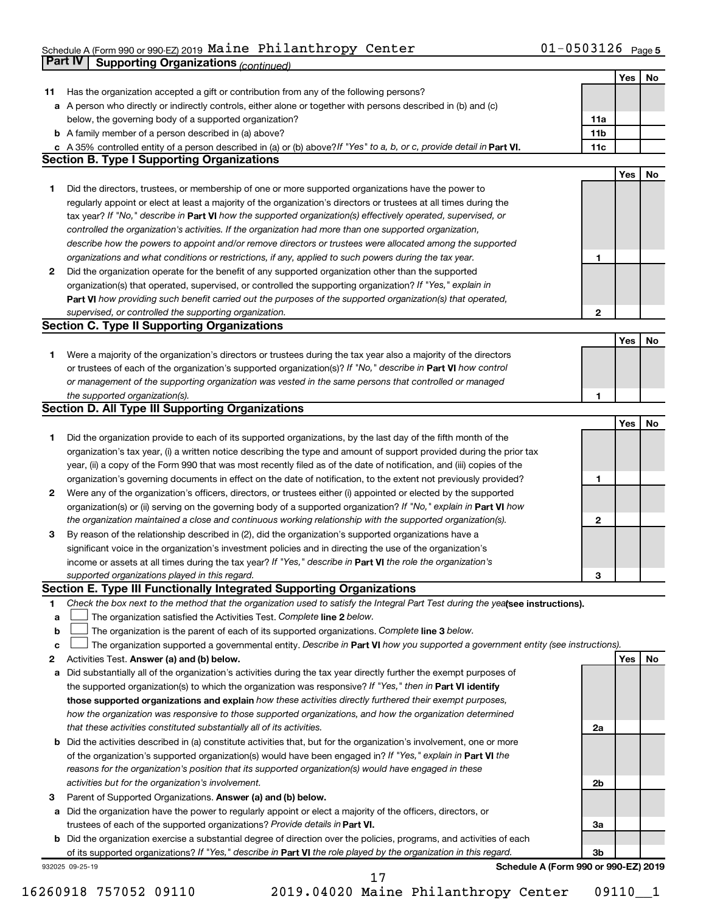#### Schedule A (Form 990 or 990-EZ) 2019 Maine Philanthropy Center  $01-0.503126$  Page Maine Philanthropy Center 01-0503126

|    | <b>Part IV</b>  | <b>Supporting Organizations (continued)</b>                                                                                                                                                                                |                 |            |    |
|----|-----------------|----------------------------------------------------------------------------------------------------------------------------------------------------------------------------------------------------------------------------|-----------------|------------|----|
|    |                 |                                                                                                                                                                                                                            |                 | Yes        | No |
| 11 |                 | Has the organization accepted a gift or contribution from any of the following persons?                                                                                                                                    |                 |            |    |
| а  |                 | A person who directly or indirectly controls, either alone or together with persons described in (b) and (c)                                                                                                               |                 |            |    |
|    |                 | below, the governing body of a supported organization?                                                                                                                                                                     | 11a             |            |    |
|    |                 | <b>b</b> A family member of a person described in (a) above?                                                                                                                                                               | 11 <sub>b</sub> |            |    |
|    |                 | c A 35% controlled entity of a person described in (a) or (b) above? If "Yes" to a, b, or c, provide detail in Part VI.                                                                                                    | 11c             |            |    |
|    |                 | <b>Section B. Type I Supporting Organizations</b>                                                                                                                                                                          |                 |            |    |
|    |                 |                                                                                                                                                                                                                            |                 | <b>Yes</b> | No |
| 1. |                 | Did the directors, trustees, or membership of one or more supported organizations have the power to                                                                                                                        |                 |            |    |
|    |                 | regularly appoint or elect at least a majority of the organization's directors or trustees at all times during the                                                                                                         |                 |            |    |
|    |                 | tax year? If "No," describe in Part VI how the supported organization(s) effectively operated, supervised, or                                                                                                              |                 |            |    |
|    |                 | controlled the organization's activities. If the organization had more than one supported organization,                                                                                                                    |                 |            |    |
|    |                 | describe how the powers to appoint and/or remove directors or trustees were allocated among the supported                                                                                                                  |                 |            |    |
|    |                 | organizations and what conditions or restrictions, if any, applied to such powers during the tax year.                                                                                                                     | 1               |            |    |
| 2  |                 | Did the organization operate for the benefit of any supported organization other than the supported                                                                                                                        |                 |            |    |
|    |                 | organization(s) that operated, supervised, or controlled the supporting organization? If "Yes," explain in                                                                                                                 |                 |            |    |
|    |                 | Part VI how providing such benefit carried out the purposes of the supported organization(s) that operated,                                                                                                                |                 |            |    |
|    |                 | supervised, or controlled the supporting organization.                                                                                                                                                                     | $\mathbf{2}$    |            |    |
|    |                 | <b>Section C. Type II Supporting Organizations</b>                                                                                                                                                                         |                 |            |    |
|    |                 |                                                                                                                                                                                                                            |                 | Yes        | No |
| 1. |                 | Were a majority of the organization's directors or trustees during the tax year also a majority of the directors                                                                                                           |                 |            |    |
|    |                 | or trustees of each of the organization's supported organization(s)? If "No," describe in Part VI how control                                                                                                              |                 |            |    |
|    |                 | or management of the supporting organization was vested in the same persons that controlled or managed                                                                                                                     |                 |            |    |
|    |                 | the supported organization(s).                                                                                                                                                                                             | 1               |            |    |
|    |                 | <b>Section D. All Type III Supporting Organizations</b>                                                                                                                                                                    |                 |            |    |
|    |                 |                                                                                                                                                                                                                            |                 | Yes        | No |
|    |                 | Did the organization provide to each of its supported organizations, by the last day of the fifth month of the                                                                                                             |                 |            |    |
| 1  |                 | organization's tax year, (i) a written notice describing the type and amount of support provided during the prior tax                                                                                                      |                 |            |    |
|    |                 |                                                                                                                                                                                                                            |                 |            |    |
|    |                 | year, (ii) a copy of the Form 990 that was most recently filed as of the date of notification, and (iii) copies of the                                                                                                     |                 |            |    |
|    |                 | organization's governing documents in effect on the date of notification, to the extent not previously provided?                                                                                                           | 1               |            |    |
| 2  |                 | Were any of the organization's officers, directors, or trustees either (i) appointed or elected by the supported                                                                                                           |                 |            |    |
|    |                 | organization(s) or (ii) serving on the governing body of a supported organization? If "No," explain in Part VI how                                                                                                         | $\mathbf{2}$    |            |    |
|    |                 | the organization maintained a close and continuous working relationship with the supported organization(s).                                                                                                                |                 |            |    |
| 3  |                 | By reason of the relationship described in (2), did the organization's supported organizations have a                                                                                                                      |                 |            |    |
|    |                 | significant voice in the organization's investment policies and in directing the use of the organization's<br>income or assets at all times during the tax year? If "Yes," describe in Part VI the role the organization's |                 |            |    |
|    |                 | supported organizations played in this regard.                                                                                                                                                                             |                 |            |    |
|    |                 | Section E. Type III Functionally Integrated Supporting Organizations                                                                                                                                                       | З               |            |    |
| 1  |                 | Check the box next to the method that the organization used to satisfy the Integral Part Test during the yealsee instructions).                                                                                            |                 |            |    |
| a  |                 | The organization satisfied the Activities Test. Complete line 2 below.                                                                                                                                                     |                 |            |    |
| b  |                 | The organization is the parent of each of its supported organizations. Complete line 3 below.                                                                                                                              |                 |            |    |
| c  |                 | The organization supported a governmental entity. Describe in Part VI how you supported a government entity (see instructions).                                                                                            |                 |            |    |
| 2  |                 | Activities Test. Answer (a) and (b) below.                                                                                                                                                                                 |                 | Yes        | No |
| а  |                 | Did substantially all of the organization's activities during the tax year directly further the exempt purposes of                                                                                                         |                 |            |    |
|    |                 | the supported organization(s) to which the organization was responsive? If "Yes," then in Part VI identify                                                                                                                 |                 |            |    |
|    |                 | those supported organizations and explain how these activities directly furthered their exempt purposes,                                                                                                                   |                 |            |    |
|    |                 | how the organization was responsive to those supported organizations, and how the organization determined                                                                                                                  |                 |            |    |
|    |                 | that these activities constituted substantially all of its activities.                                                                                                                                                     | 2a              |            |    |
| b  |                 | Did the activities described in (a) constitute activities that, but for the organization's involvement, one or more                                                                                                        |                 |            |    |
|    |                 | of the organization's supported organization(s) would have been engaged in? If "Yes," explain in Part VI the                                                                                                               |                 |            |    |
|    |                 | reasons for the organization's position that its supported organization(s) would have engaged in these                                                                                                                     |                 |            |    |
|    |                 | activities but for the organization's involvement.                                                                                                                                                                         | 2b              |            |    |
| з  |                 | Parent of Supported Organizations. Answer (a) and (b) below.                                                                                                                                                               |                 |            |    |
| а  |                 | Did the organization have the power to regularly appoint or elect a majority of the officers, directors, or                                                                                                                |                 |            |    |
|    |                 | trustees of each of the supported organizations? Provide details in Part VI.                                                                                                                                               | За              |            |    |
| b  |                 | Did the organization exercise a substantial degree of direction over the policies, programs, and activities of each                                                                                                        |                 |            |    |
|    |                 | of its supported organizations? If "Yes," describe in Part VI the role played by the organization in this regard.                                                                                                          | 3b              |            |    |
|    | 932025 09-25-19 | Schedule A (Form 990 or 990-EZ) 2019                                                                                                                                                                                       |                 |            |    |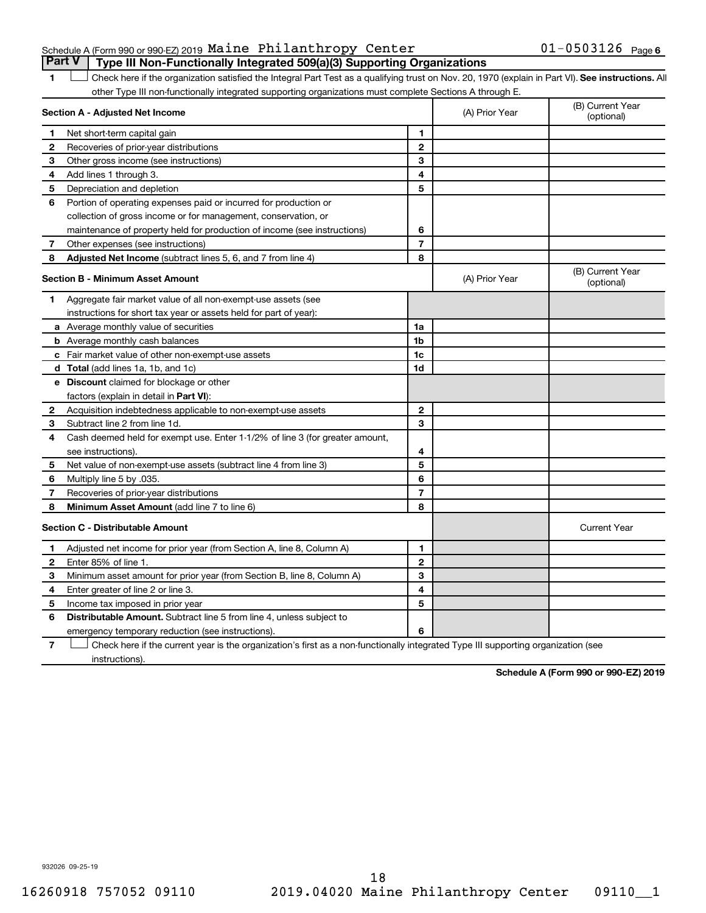### Schedule A (Form 990 or 990-EZ) 2019  ${\tt Maine~Philanthropy~Center} \hspace{1.5cm} 01-0503126$   ${\tt Page}$ **Part V Type III Non-Functionally Integrated 509(a)(3) Supporting Organizations**

1 **Letter See instructions.** All Check here if the organization satisfied the Integral Part Test as a qualifying trust on Nov. 20, 1970 (explain in Part VI). See instructions. All other Type III non-functionally integrated supporting organizations must complete Sections A through E.

|              | Section A - Adjusted Net Income                                                            |                | (A) Prior Year | (B) Current Year<br>(optional) |
|--------------|--------------------------------------------------------------------------------------------|----------------|----------------|--------------------------------|
| 1            | Net short-term capital gain                                                                | 1              |                |                                |
| 2            | Recoveries of prior-year distributions                                                     | $\mathbf{2}$   |                |                                |
| 3            | Other gross income (see instructions)                                                      | 3              |                |                                |
| 4            | Add lines 1 through 3.                                                                     | 4              |                |                                |
| 5            | Depreciation and depletion                                                                 | 5              |                |                                |
| 6            | Portion of operating expenses paid or incurred for production or                           |                |                |                                |
|              | collection of gross income or for management, conservation, or                             |                |                |                                |
|              | maintenance of property held for production of income (see instructions)                   | 6              |                |                                |
| 7            | Other expenses (see instructions)                                                          | $\overline{7}$ |                |                                |
| 8            | Adjusted Net Income (subtract lines 5, 6, and 7 from line 4)                               | 8              |                |                                |
|              | <b>Section B - Minimum Asset Amount</b>                                                    |                | (A) Prior Year | (B) Current Year<br>(optional) |
| 1            | Aggregate fair market value of all non-exempt-use assets (see                              |                |                |                                |
|              | instructions for short tax year or assets held for part of year):                          |                |                |                                |
|              | <b>a</b> Average monthly value of securities                                               | 1a             |                |                                |
|              | <b>b</b> Average monthly cash balances                                                     | 1 <sub>b</sub> |                |                                |
|              | c Fair market value of other non-exempt-use assets                                         | 1c             |                |                                |
|              | <b>d</b> Total (add lines 1a, 1b, and 1c)                                                  | 1d             |                |                                |
|              | e Discount claimed for blockage or other                                                   |                |                |                                |
|              | factors (explain in detail in Part VI):                                                    |                |                |                                |
| 2            | Acquisition indebtedness applicable to non-exempt-use assets                               | $\mathbf{2}$   |                |                                |
| З            | Subtract line 2 from line 1d.                                                              | 3              |                |                                |
| 4            | Cash deemed held for exempt use. Enter 1-1/2% of line 3 (for greater amount,               |                |                |                                |
|              | see instructions).                                                                         | 4              |                |                                |
| 5            | Net value of non-exempt-use assets (subtract line 4 from line 3)                           | 5              |                |                                |
| 6            | Multiply line 5 by .035.                                                                   | 6              |                |                                |
| 7            | Recoveries of prior-year distributions                                                     | $\overline{7}$ |                |                                |
| 8            | Minimum Asset Amount (add line 7 to line 6)                                                | 8              |                |                                |
|              | <b>Section C - Distributable Amount</b>                                                    |                |                | <b>Current Year</b>            |
| 1            | Adjusted net income for prior year (from Section A, line 8, Column A)                      | 1              |                |                                |
| $\mathbf{2}$ | Enter 85% of line 1.                                                                       | $\mathbf{2}$   |                |                                |
| З            | Minimum asset amount for prior year (from Section B, line 8, Column A)                     | 3              |                |                                |
| 4            | Enter greater of line 2 or line 3.                                                         | 4              |                |                                |
| 5            | Income tax imposed in prior year                                                           | 5              |                |                                |
| 6            | <b>Distributable Amount.</b> Subtract line 5 from line 4, unless subject to                |                |                |                                |
|              | emergency temporary reduction (see instructions).                                          | 6              |                |                                |
| –            | الملاقة المستملحات والمطالح<br>a consequent of a series that the a<br>بالمستنقص والمستوفية |                |                |                                |

**7** Check here if the current year is the organization's first as a non-functionally integrated Type III supporting organization (see † instructions).

**Schedule A (Form 990 or 990-EZ) 2019**

932026 09-25-19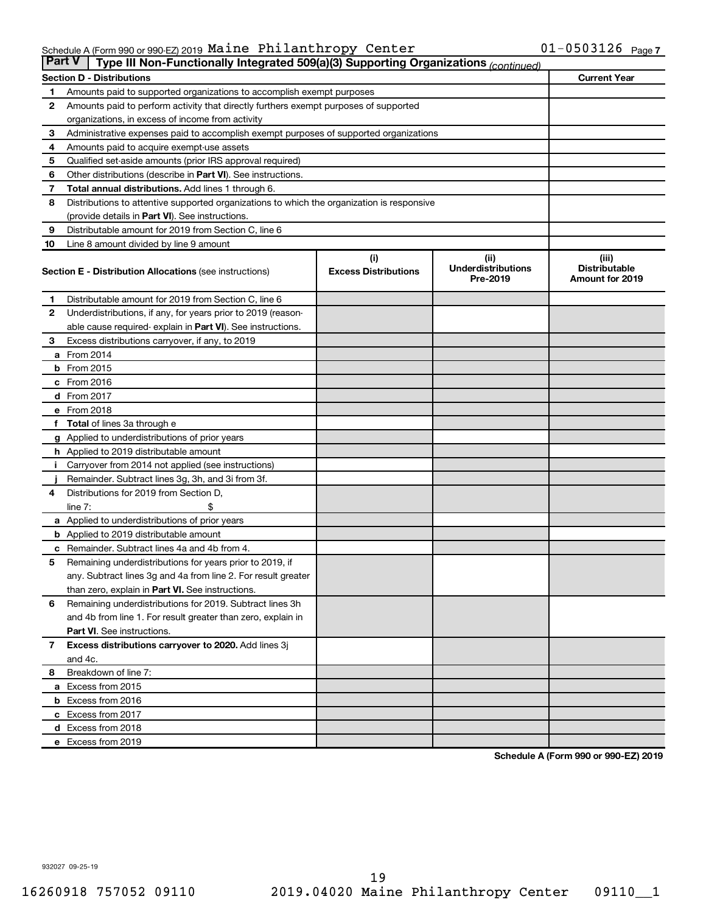#### Schedule A (Form 990 or 990-EZ) 2019 Maine Philanthropy Center  $01-0.503126$  Page Maine Philanthropy Center 01-0503126

|                | <b>Part V</b><br>Type III Non-Functionally Integrated 509(a)(3) Supporting Organizations (continued) |                                    |                                               |                                                         |  |  |  |  |  |  |  |
|----------------|------------------------------------------------------------------------------------------------------|------------------------------------|-----------------------------------------------|---------------------------------------------------------|--|--|--|--|--|--|--|
|                | <b>Section D - Distributions</b>                                                                     |                                    |                                               | <b>Current Year</b>                                     |  |  |  |  |  |  |  |
| 1              | Amounts paid to supported organizations to accomplish exempt purposes                                |                                    |                                               |                                                         |  |  |  |  |  |  |  |
| $\mathbf{2}$   | Amounts paid to perform activity that directly furthers exempt purposes of supported                 |                                    |                                               |                                                         |  |  |  |  |  |  |  |
|                | organizations, in excess of income from activity                                                     |                                    |                                               |                                                         |  |  |  |  |  |  |  |
| 3              | Administrative expenses paid to accomplish exempt purposes of supported organizations                |                                    |                                               |                                                         |  |  |  |  |  |  |  |
| 4              | Amounts paid to acquire exempt-use assets                                                            |                                    |                                               |                                                         |  |  |  |  |  |  |  |
| 5              | Qualified set-aside amounts (prior IRS approval required)                                            |                                    |                                               |                                                         |  |  |  |  |  |  |  |
| 6              | Other distributions (describe in <b>Part VI</b> ). See instructions.                                 |                                    |                                               |                                                         |  |  |  |  |  |  |  |
| 7              | Total annual distributions. Add lines 1 through 6.                                                   |                                    |                                               |                                                         |  |  |  |  |  |  |  |
| 8              | Distributions to attentive supported organizations to which the organization is responsive           |                                    |                                               |                                                         |  |  |  |  |  |  |  |
|                | (provide details in Part VI). See instructions.                                                      |                                    |                                               |                                                         |  |  |  |  |  |  |  |
| 9              | Distributable amount for 2019 from Section C, line 6                                                 |                                    |                                               |                                                         |  |  |  |  |  |  |  |
| 10             | Line 8 amount divided by line 9 amount                                                               |                                    |                                               |                                                         |  |  |  |  |  |  |  |
|                | <b>Section E - Distribution Allocations (see instructions)</b>                                       | (i)<br><b>Excess Distributions</b> | (ii)<br><b>Underdistributions</b><br>Pre-2019 | (iii)<br><b>Distributable</b><br><b>Amount for 2019</b> |  |  |  |  |  |  |  |
| 1              | Distributable amount for 2019 from Section C, line 6                                                 |                                    |                                               |                                                         |  |  |  |  |  |  |  |
| $\mathbf{2}$   | Underdistributions, if any, for years prior to 2019 (reason-                                         |                                    |                                               |                                                         |  |  |  |  |  |  |  |
|                | able cause required- explain in Part VI). See instructions.                                          |                                    |                                               |                                                         |  |  |  |  |  |  |  |
| 3              | Excess distributions carryover, if any, to 2019                                                      |                                    |                                               |                                                         |  |  |  |  |  |  |  |
|                | a From 2014                                                                                          |                                    |                                               |                                                         |  |  |  |  |  |  |  |
|                | $b$ From 2015                                                                                        |                                    |                                               |                                                         |  |  |  |  |  |  |  |
|                | c From 2016                                                                                          |                                    |                                               |                                                         |  |  |  |  |  |  |  |
|                | <b>d</b> From 2017                                                                                   |                                    |                                               |                                                         |  |  |  |  |  |  |  |
|                | e From 2018                                                                                          |                                    |                                               |                                                         |  |  |  |  |  |  |  |
|                | f Total of lines 3a through e                                                                        |                                    |                                               |                                                         |  |  |  |  |  |  |  |
|                | <b>g</b> Applied to underdistributions of prior years                                                |                                    |                                               |                                                         |  |  |  |  |  |  |  |
|                | <b>h</b> Applied to 2019 distributable amount                                                        |                                    |                                               |                                                         |  |  |  |  |  |  |  |
| Ť.             | Carryover from 2014 not applied (see instructions)                                                   |                                    |                                               |                                                         |  |  |  |  |  |  |  |
|                | Remainder. Subtract lines 3g, 3h, and 3i from 3f.                                                    |                                    |                                               |                                                         |  |  |  |  |  |  |  |
| 4              | Distributions for 2019 from Section D,                                                               |                                    |                                               |                                                         |  |  |  |  |  |  |  |
|                | line $7:$                                                                                            |                                    |                                               |                                                         |  |  |  |  |  |  |  |
|                | <b>a</b> Applied to underdistributions of prior years                                                |                                    |                                               |                                                         |  |  |  |  |  |  |  |
|                | <b>b</b> Applied to 2019 distributable amount                                                        |                                    |                                               |                                                         |  |  |  |  |  |  |  |
| c              | Remainder. Subtract lines 4a and 4b from 4.                                                          |                                    |                                               |                                                         |  |  |  |  |  |  |  |
| 5              | Remaining underdistributions for years prior to 2019, if                                             |                                    |                                               |                                                         |  |  |  |  |  |  |  |
|                | any. Subtract lines 3g and 4a from line 2. For result greater                                        |                                    |                                               |                                                         |  |  |  |  |  |  |  |
|                | than zero, explain in Part VI. See instructions.                                                     |                                    |                                               |                                                         |  |  |  |  |  |  |  |
| 6              | Remaining underdistributions for 2019. Subtract lines 3h                                             |                                    |                                               |                                                         |  |  |  |  |  |  |  |
|                | and 4b from line 1. For result greater than zero, explain in                                         |                                    |                                               |                                                         |  |  |  |  |  |  |  |
|                | <b>Part VI.</b> See instructions.                                                                    |                                    |                                               |                                                         |  |  |  |  |  |  |  |
| $\overline{7}$ | Excess distributions carryover to 2020. Add lines 3j                                                 |                                    |                                               |                                                         |  |  |  |  |  |  |  |
|                | and 4c.                                                                                              |                                    |                                               |                                                         |  |  |  |  |  |  |  |
| 8              | Breakdown of line 7:                                                                                 |                                    |                                               |                                                         |  |  |  |  |  |  |  |
|                | a Excess from 2015                                                                                   |                                    |                                               |                                                         |  |  |  |  |  |  |  |
|                | <b>b</b> Excess from 2016                                                                            |                                    |                                               |                                                         |  |  |  |  |  |  |  |
|                | c Excess from 2017                                                                                   |                                    |                                               |                                                         |  |  |  |  |  |  |  |
|                | d Excess from 2018                                                                                   |                                    |                                               |                                                         |  |  |  |  |  |  |  |
|                | e Excess from 2019                                                                                   |                                    |                                               |                                                         |  |  |  |  |  |  |  |

**Schedule A (Form 990 or 990-EZ) 2019**

932027 09-25-19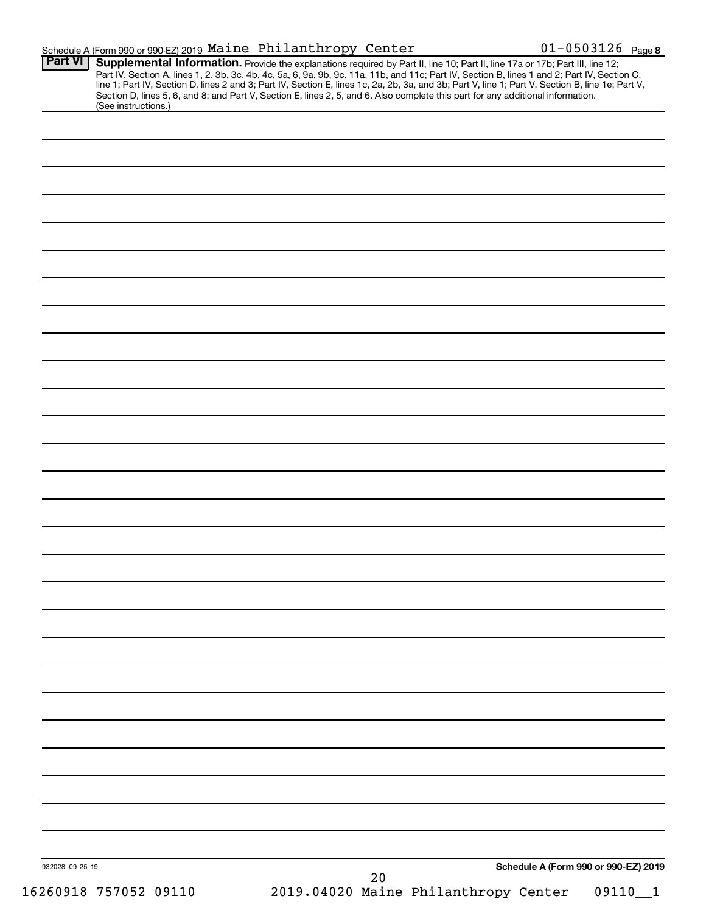| <b>Part VI</b>  | Schedule A (Form 990 or 990-EZ) 2019 Maine Philanthropy Center                                                                                                                                                                                                                                                                                                                                                                                                                                                                                                       |    |                                      | $01 - 0503126$ Page 8 |
|-----------------|----------------------------------------------------------------------------------------------------------------------------------------------------------------------------------------------------------------------------------------------------------------------------------------------------------------------------------------------------------------------------------------------------------------------------------------------------------------------------------------------------------------------------------------------------------------------|----|--------------------------------------|-----------------------|
|                 | Supplemental Information. Provide the explanations required by Part II, line 10; Part II, line 17a or 17b; Part III, line 12;<br>Part IV, Section A, lines 1, 2, 3b, 3c, 4b, 4c, 5a, 6, 9a, 9b, 9c, 11a, 11b, and 11c; Part IV, Section B, lines 1 and 2; Part IV, Section C,<br>line 1; Part IV, Section D, lines 2 and 3; Part IV, Section E, lines 1c, 2a, 2b, 3a, and 3b; Part V, line 1; Part V, Section B, line 1e; Part V,<br>Section D, lines 5, 6, and 8; and Part V, Section E, lines 2, 5, and 6. Also complete this part for any additional information. |    |                                      |                       |
|                 | (See instructions.)                                                                                                                                                                                                                                                                                                                                                                                                                                                                                                                                                  |    |                                      |                       |
|                 |                                                                                                                                                                                                                                                                                                                                                                                                                                                                                                                                                                      |    |                                      |                       |
|                 |                                                                                                                                                                                                                                                                                                                                                                                                                                                                                                                                                                      |    |                                      |                       |
|                 |                                                                                                                                                                                                                                                                                                                                                                                                                                                                                                                                                                      |    |                                      |                       |
|                 |                                                                                                                                                                                                                                                                                                                                                                                                                                                                                                                                                                      |    |                                      |                       |
|                 |                                                                                                                                                                                                                                                                                                                                                                                                                                                                                                                                                                      |    |                                      |                       |
|                 |                                                                                                                                                                                                                                                                                                                                                                                                                                                                                                                                                                      |    |                                      |                       |
|                 |                                                                                                                                                                                                                                                                                                                                                                                                                                                                                                                                                                      |    |                                      |                       |
|                 |                                                                                                                                                                                                                                                                                                                                                                                                                                                                                                                                                                      |    |                                      |                       |
|                 |                                                                                                                                                                                                                                                                                                                                                                                                                                                                                                                                                                      |    |                                      |                       |
|                 |                                                                                                                                                                                                                                                                                                                                                                                                                                                                                                                                                                      |    |                                      |                       |
|                 |                                                                                                                                                                                                                                                                                                                                                                                                                                                                                                                                                                      |    |                                      |                       |
|                 |                                                                                                                                                                                                                                                                                                                                                                                                                                                                                                                                                                      |    |                                      |                       |
|                 |                                                                                                                                                                                                                                                                                                                                                                                                                                                                                                                                                                      |    |                                      |                       |
|                 |                                                                                                                                                                                                                                                                                                                                                                                                                                                                                                                                                                      |    |                                      |                       |
|                 |                                                                                                                                                                                                                                                                                                                                                                                                                                                                                                                                                                      |    |                                      |                       |
|                 |                                                                                                                                                                                                                                                                                                                                                                                                                                                                                                                                                                      |    |                                      |                       |
|                 |                                                                                                                                                                                                                                                                                                                                                                                                                                                                                                                                                                      |    |                                      |                       |
|                 |                                                                                                                                                                                                                                                                                                                                                                                                                                                                                                                                                                      |    |                                      |                       |
|                 |                                                                                                                                                                                                                                                                                                                                                                                                                                                                                                                                                                      |    |                                      |                       |
|                 |                                                                                                                                                                                                                                                                                                                                                                                                                                                                                                                                                                      |    |                                      |                       |
|                 |                                                                                                                                                                                                                                                                                                                                                                                                                                                                                                                                                                      |    |                                      |                       |
|                 |                                                                                                                                                                                                                                                                                                                                                                                                                                                                                                                                                                      |    |                                      |                       |
|                 |                                                                                                                                                                                                                                                                                                                                                                                                                                                                                                                                                                      |    |                                      |                       |
|                 |                                                                                                                                                                                                                                                                                                                                                                                                                                                                                                                                                                      |    |                                      |                       |
|                 |                                                                                                                                                                                                                                                                                                                                                                                                                                                                                                                                                                      |    |                                      |                       |
|                 |                                                                                                                                                                                                                                                                                                                                                                                                                                                                                                                                                                      |    |                                      |                       |
|                 |                                                                                                                                                                                                                                                                                                                                                                                                                                                                                                                                                                      |    |                                      |                       |
|                 |                                                                                                                                                                                                                                                                                                                                                                                                                                                                                                                                                                      |    |                                      |                       |
|                 |                                                                                                                                                                                                                                                                                                                                                                                                                                                                                                                                                                      |    |                                      |                       |
|                 |                                                                                                                                                                                                                                                                                                                                                                                                                                                                                                                                                                      |    |                                      |                       |
|                 |                                                                                                                                                                                                                                                                                                                                                                                                                                                                                                                                                                      |    |                                      |                       |
|                 |                                                                                                                                                                                                                                                                                                                                                                                                                                                                                                                                                                      |    |                                      |                       |
|                 |                                                                                                                                                                                                                                                                                                                                                                                                                                                                                                                                                                      |    |                                      |                       |
|                 |                                                                                                                                                                                                                                                                                                                                                                                                                                                                                                                                                                      |    |                                      |                       |
|                 |                                                                                                                                                                                                                                                                                                                                                                                                                                                                                                                                                                      |    |                                      |                       |
|                 |                                                                                                                                                                                                                                                                                                                                                                                                                                                                                                                                                                      |    |                                      |                       |
|                 |                                                                                                                                                                                                                                                                                                                                                                                                                                                                                                                                                                      |    |                                      |                       |
|                 |                                                                                                                                                                                                                                                                                                                                                                                                                                                                                                                                                                      |    |                                      |                       |
|                 |                                                                                                                                                                                                                                                                                                                                                                                                                                                                                                                                                                      |    |                                      |                       |
|                 |                                                                                                                                                                                                                                                                                                                                                                                                                                                                                                                                                                      |    |                                      |                       |
| 932028 09-25-19 |                                                                                                                                                                                                                                                                                                                                                                                                                                                                                                                                                                      |    | Schedule A (Form 990 or 990-EZ) 2019 |                       |
|                 |                                                                                                                                                                                                                                                                                                                                                                                                                                                                                                                                                                      | 20 |                                      |                       |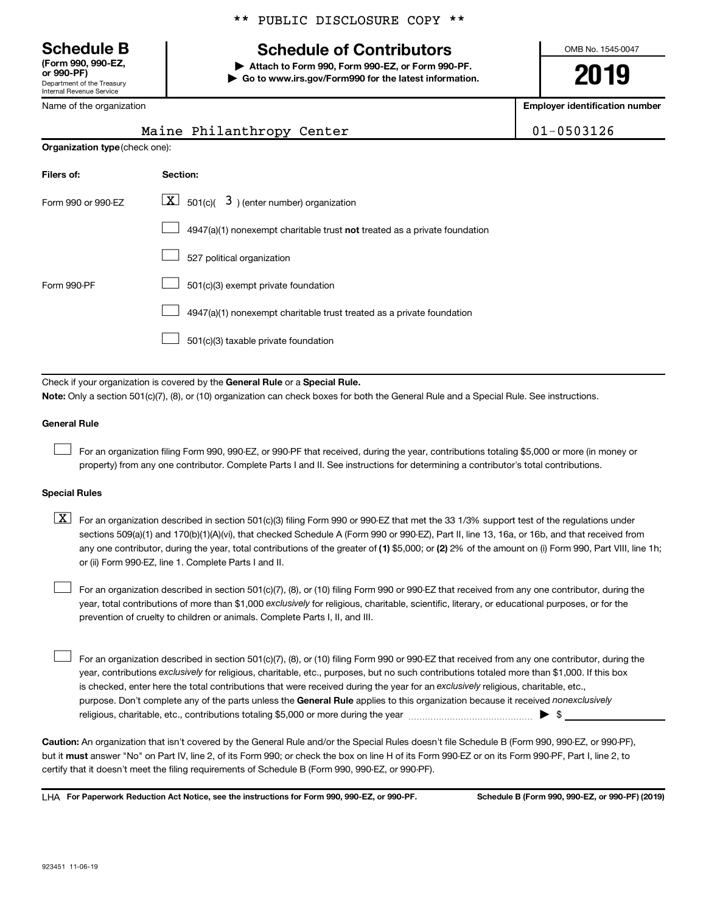**(Form 990, 990-EZ,**

Department of the Treasury Internal Revenue Service

Name of the organization

# **Schedule B Schedule of Contributors**

**or 990-PF) | Attach to Form 990, Form 990-EZ, or Form 990-PF. | Go to www.irs.gov/Form990 for the latest information.** OMB No. 1545-0047

**2019**

**Employer identification number**

| Maine Philanthropy Center | $01 - 0503126$ |
|---------------------------|----------------|
|---------------------------|----------------|

| <b>Organization type (check one):</b> |                                                                           |
|---------------------------------------|---------------------------------------------------------------------------|
| Filers of:                            | Section:                                                                  |
| Form 990 or 990-EZ                    | $\boxed{\textbf{X}}$ 501(c)( 3) (enter number) organization               |
|                                       | 4947(a)(1) nonexempt charitable trust not treated as a private foundation |
|                                       | 527 political organization                                                |
| Form 990-PF                           | 501(c)(3) exempt private foundation                                       |
|                                       | 4947(a)(1) nonexempt charitable trust treated as a private foundation     |
|                                       | 501(c)(3) taxable private foundation                                      |

Check if your organization is covered by the General Rule or a Special Rule. **Note:**  Only a section 501(c)(7), (8), or (10) organization can check boxes for both the General Rule and a Special Rule. See instructions.

#### **General Rule**

 $\Box$ 

For an organization filing Form 990, 990-EZ, or 990-PF that received, during the year, contributions totaling \$5,000 or more (in money or property) from any one contributor. Complete Parts I and II. See instructions for determining a contributor's total contributions.

#### **Special Rules**

any one contributor, during the year, total contributions of the greater of (1) \$5,000; or (2) 2% of the amount on (i) Form 990, Part VIII, line 1h;  $\boxed{\text{X}}$  For an organization described in section 501(c)(3) filing Form 990 or 990-EZ that met the 33 1/3% support test of the regulations under sections 509(a)(1) and 170(b)(1)(A)(vi), that checked Schedule A (Form 990 or 990-EZ), Part II, line 13, 16a, or 16b, and that received from or (ii) Form 990-EZ, line 1. Complete Parts I and II.

year, total contributions of more than \$1,000 *exclusively* for religious, charitable, scientific, literary, or educational purposes, or for the For an organization described in section 501(c)(7), (8), or (10) filing Form 990 or 990-EZ that received from any one contributor, during the prevention of cruelty to children or animals. Complete Parts I, II, and III.  $\Box$ 

purpose. Don't complete any of the parts unless the General Rule applies to this organization because it received nonexclusively year, contributions exclusively for religious, charitable, etc., purposes, but no such contributions totaled more than \$1,000. If this box is checked, enter here the total contributions that were received during the year for an exclusively religious, charitable, etc., For an organization described in section 501(c)(7), (8), or (10) filing Form 990 or 990-EZ that received from any one contributor, during the religious, charitable, etc., contributions totaling \$5,000 or more during the year  $\ldots$  $\ldots$  $\ldots$  $\ldots$  $\ldots$  $\ldots$  $\Box$ 

**Caution:**  An organization that isn't covered by the General Rule and/or the Special Rules doesn't file Schedule B (Form 990, 990-EZ, or 990-PF),  **must** but it answer "No" on Part IV, line 2, of its Form 990; or check the box on line H of its Form 990-EZ or on its Form 990-PF, Part I, line 2, to certify that it doesn't meet the filing requirements of Schedule B (Form 990, 990-EZ, or 990-PF).

**For Paperwork Reduction Act Notice, see the instructions for Form 990, 990-EZ, or 990-PF. Schedule B (Form 990, 990-EZ, or 990-PF) (2019)** LHA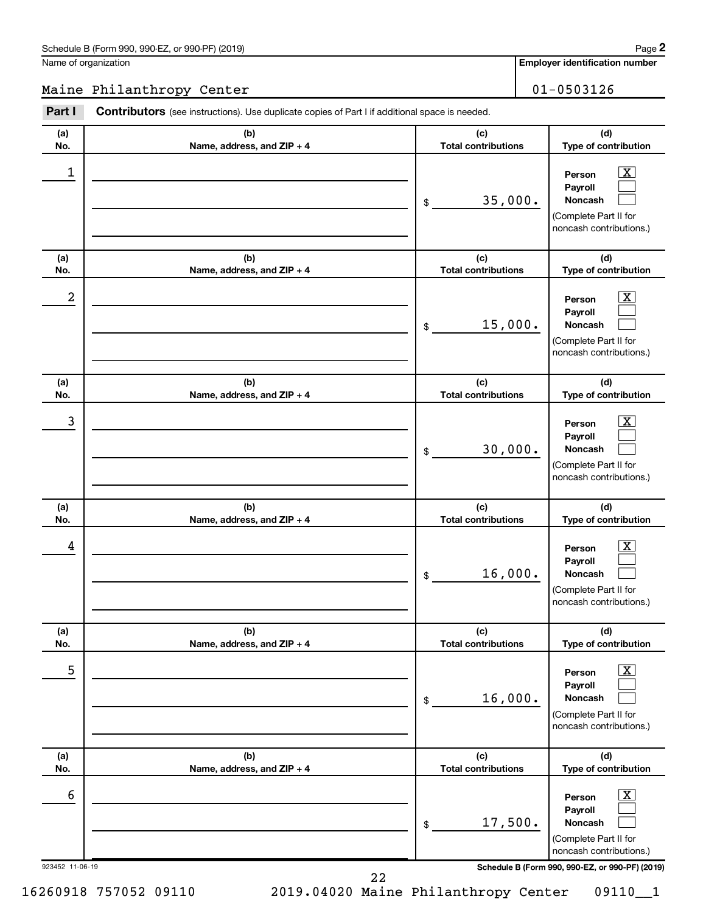### Schedule B (Form 990, 990-EZ, or 990-PF) (2019)

Name of organization

**Employer identification number**

### Maine Philanthropy Center 1999 101-0503126

| Part I               | <b>Contributors</b> (see instructions). Use duplicate copies of Part I if additional space is needed. |                                   |                                                                                                                                                            |
|----------------------|-------------------------------------------------------------------------------------------------------|-----------------------------------|------------------------------------------------------------------------------------------------------------------------------------------------------------|
| (a)<br>No.           | (b)<br>Name, address, and ZIP + 4                                                                     | (c)<br><b>Total contributions</b> | (d)<br>Type of contribution                                                                                                                                |
| 1                    |                                                                                                       | 35,000.<br>\$                     | $\mathbf{X}$<br>Person<br>Payroll<br><b>Noncash</b><br>(Complete Part II for<br>noncash contributions.)                                                    |
| (a)<br>No.           | (b)<br>Name, address, and ZIP + 4                                                                     | (c)<br><b>Total contributions</b> | (d)<br>Type of contribution                                                                                                                                |
| 2                    |                                                                                                       | 15,000.<br>\$                     | $\mathbf{X}$<br>Person<br>Payroll<br><b>Noncash</b><br>(Complete Part II for<br>noncash contributions.)                                                    |
| (a)<br>No.           | (b)<br>Name, address, and ZIP + 4                                                                     | (c)<br><b>Total contributions</b> | (d)<br>Type of contribution                                                                                                                                |
| 3                    |                                                                                                       | 30,000.<br>\$                     | $\overline{\mathbf{x}}$<br>Person<br>Payroll<br><b>Noncash</b><br>(Complete Part II for<br>noncash contributions.)                                         |
| (a)<br>No.           | (b)<br>Name, address, and ZIP + 4                                                                     | (c)<br><b>Total contributions</b> | (d)<br>Type of contribution                                                                                                                                |
| 4                    |                                                                                                       | 16,000.<br>\$                     | $\mathbf{X}$<br>Person<br>Payroll<br>Noncash<br>(Complete Part II for<br>noncash contributions.)                                                           |
| (a)<br>No.           | (b)<br>Name, address, and ZIP + 4                                                                     | (c)<br><b>Total contributions</b> | (d)<br>Type of contribution                                                                                                                                |
| 5                    |                                                                                                       | 16,000.<br>\$                     | $\overline{\mathbf{X}}$<br>Person<br>Payroll<br><b>Noncash</b><br>(Complete Part II for<br>noncash contributions.)                                         |
| (a)<br>No.           | (b)<br>Name, address, and ZIP + 4                                                                     | (c)<br><b>Total contributions</b> | (d)<br>Type of contribution                                                                                                                                |
| 6<br>923452 11-06-19 |                                                                                                       | 17,500.<br>\$                     | $\mathbf{X}$<br>Person<br>Payroll<br><b>Noncash</b><br>(Complete Part II for<br>noncash contributions.)<br>Schedule B (Form 990, 990-EZ, or 990-PF) (2019) |

16260918 757052 09110 2019.04020 Maine Philanthropy Center 09110\_\_1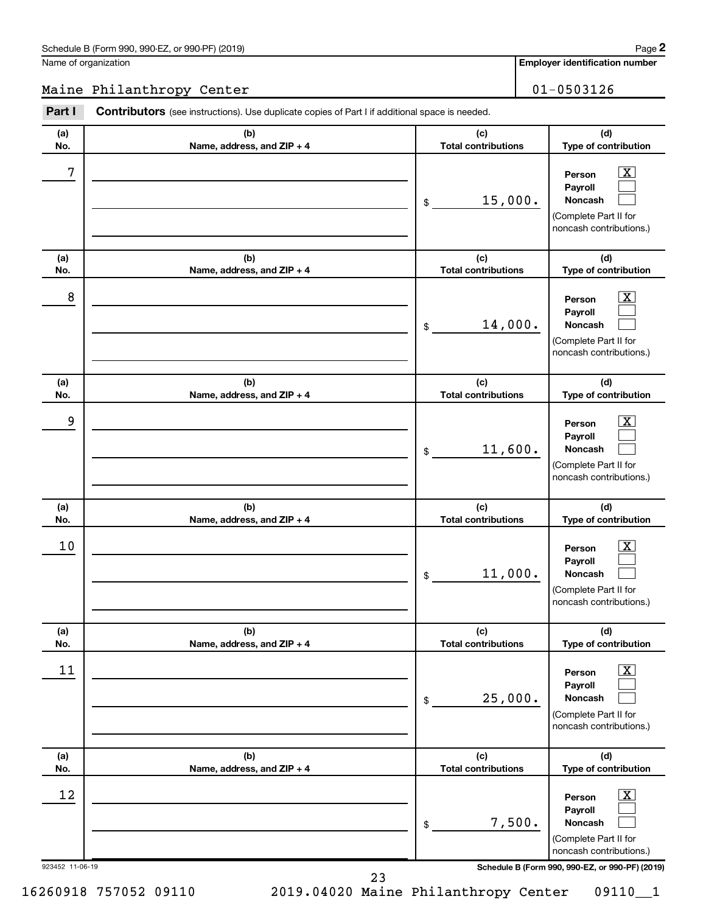Name of organization

**Employer identification number**

### Maine Philanthropy Center 1999 101-0503126

| Part I                | <b>Contributors</b> (see instructions). Use duplicate copies of Part I if additional space is needed. |                                   |                                                                                                                                                                    |
|-----------------------|-------------------------------------------------------------------------------------------------------|-----------------------------------|--------------------------------------------------------------------------------------------------------------------------------------------------------------------|
| (a)<br>No.            | (b)<br>Name, address, and ZIP + 4                                                                     | (c)<br><b>Total contributions</b> | (d)<br>Type of contribution                                                                                                                                        |
| 7                     |                                                                                                       | 15,000.<br>\$                     | $\mathbf{X}$<br>Person<br>Payroll<br><b>Noncash</b><br>(Complete Part II for<br>noncash contributions.)                                                            |
| (a)<br>No.            | (b)<br>Name, address, and ZIP + 4                                                                     | (c)<br><b>Total contributions</b> | (d)<br>Type of contribution                                                                                                                                        |
| 8                     |                                                                                                       | 14,000.<br>\$                     | $\mathbf{X}$<br>Person<br>Payroll<br><b>Noncash</b><br>(Complete Part II for<br>noncash contributions.)                                                            |
| (a)<br>No.            | (b)<br>Name, address, and ZIP + 4                                                                     | (c)<br><b>Total contributions</b> | (d)<br>Type of contribution                                                                                                                                        |
| 9                     |                                                                                                       | 11,600.<br>\$                     | $\mathbf{X}$<br>Person<br>Payroll<br><b>Noncash</b><br>(Complete Part II for<br>noncash contributions.)                                                            |
| (a)<br>No.            | (b)<br>Name, address, and ZIP + 4                                                                     | (c)<br><b>Total contributions</b> | (d)<br>Type of contribution                                                                                                                                        |
| 10                    |                                                                                                       | 11,000.<br>\$                     | $\mathbf{X}$<br>Person<br>Payroll<br><b>Noncash</b><br>(Complete Part II for<br>noncash contributions.)                                                            |
| (a)<br>No.            | (b)<br>Name, address, and ZIP + 4                                                                     | (c)<br><b>Total contributions</b> | (d)<br>Type of contribution                                                                                                                                        |
| 11                    |                                                                                                       | 25,000.<br>\$                     | $\boxed{\textbf{X}}$<br>Person<br>Payroll<br><b>Noncash</b><br>(Complete Part II for<br>noncash contributions.)                                                    |
| (a)<br>No.            | (b)<br>Name, address, and ZIP + 4                                                                     | (c)<br><b>Total contributions</b> | (d)<br>Type of contribution                                                                                                                                        |
| 12<br>923452 11-06-19 |                                                                                                       | 7,500.<br>\$                      | $\boxed{\textbf{X}}$<br>Person<br>Payroll<br><b>Noncash</b><br>(Complete Part II for<br>noncash contributions.)<br>Schedule B (Form 990, 990-EZ, or 990-PF) (2019) |

16260918 757052 09110 2019.04020 Maine Philanthropy Center 09110\_\_1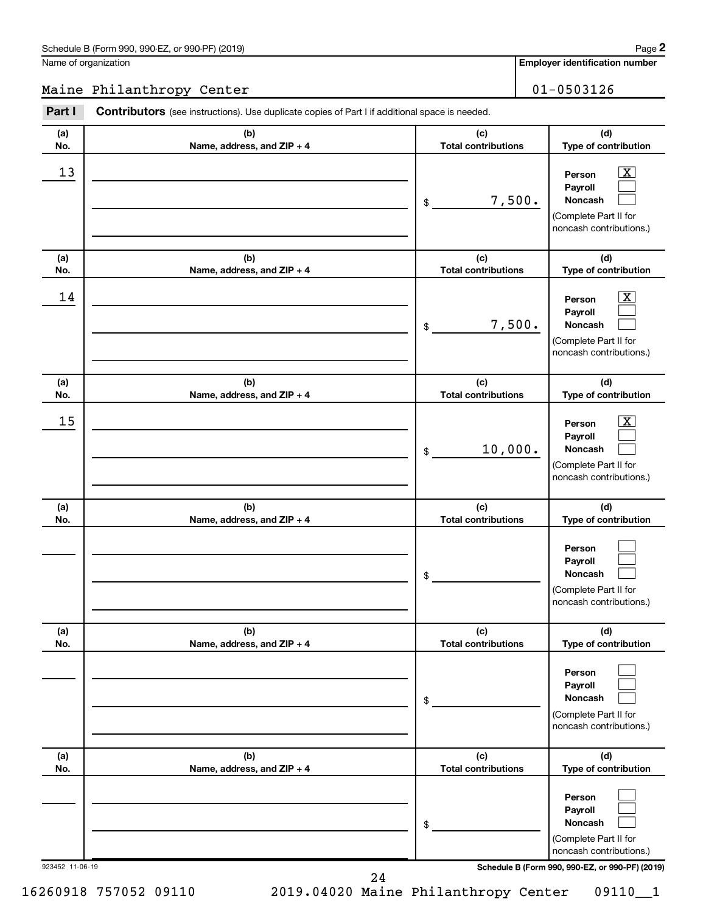### Schedule B (Form 990, 990-EZ, or 990-PF) (2019)

Name of organization

**Employer identification number**

### Maine Philanthropy Center 01-0503126

| Part I          | <b>Contributors</b> (see instructions). Use duplicate copies of Part I if additional space is needed. |                                   |                                                                                                                    |
|-----------------|-------------------------------------------------------------------------------------------------------|-----------------------------------|--------------------------------------------------------------------------------------------------------------------|
| (a)<br>No.      | (b)<br>Name, address, and ZIP + 4                                                                     | (c)<br><b>Total contributions</b> | (d)<br>Type of contribution                                                                                        |
| 13              |                                                                                                       | 7,500.<br>\$                      | $\mathbf{X}$<br>Person<br>Payroll<br><b>Noncash</b><br>(Complete Part II for<br>noncash contributions.)            |
| (a)<br>No.      | (b)<br>Name, address, and ZIP + 4                                                                     | (c)<br><b>Total contributions</b> | (d)<br>Type of contribution                                                                                        |
| 14              |                                                                                                       | 7,500.<br>\$                      | $\overline{\mathbf{X}}$<br>Person<br>Payroll<br><b>Noncash</b><br>(Complete Part II for<br>noncash contributions.) |
| (a)<br>No.      | (b)<br>Name, address, and ZIP + 4                                                                     | (c)<br><b>Total contributions</b> | (d)<br>Type of contribution                                                                                        |
| 15              |                                                                                                       | 10,000.<br>\$                     | $\overline{\mathbf{x}}$<br>Person<br>Payroll<br><b>Noncash</b><br>(Complete Part II for<br>noncash contributions.) |
| (a)<br>No.      | (b)<br>Name, address, and ZIP + 4                                                                     | (c)<br><b>Total contributions</b> | (d)<br>Type of contribution                                                                                        |
|                 |                                                                                                       | \$                                | Person<br>Payroll<br><b>Noncash</b><br>(Complete Part II for<br>noncash contributions.)                            |
| (a)<br>No.      | (b)<br>Name, address, and ZIP + 4                                                                     | (c)<br><b>Total contributions</b> | (d)<br>Type of contribution                                                                                        |
|                 |                                                                                                       | \$                                | Person<br>Payroll<br><b>Noncash</b><br>(Complete Part II for<br>noncash contributions.)                            |
| (a)<br>No.      | (b)<br>Name, address, and ZIP + 4                                                                     | (c)<br><b>Total contributions</b> | (d)<br>Type of contribution                                                                                        |
|                 |                                                                                                       | \$                                | Person<br>Payroll<br><b>Noncash</b><br>(Complete Part II for<br>noncash contributions.)                            |
| 923452 11-06-19 |                                                                                                       | 21                                | Schedule B (Form 990, 990-EZ, or 990-PF) (2019)                                                                    |

**2**

16260918 757052 09110 2019.04020 Maine Philanthropy Center 09110\_\_1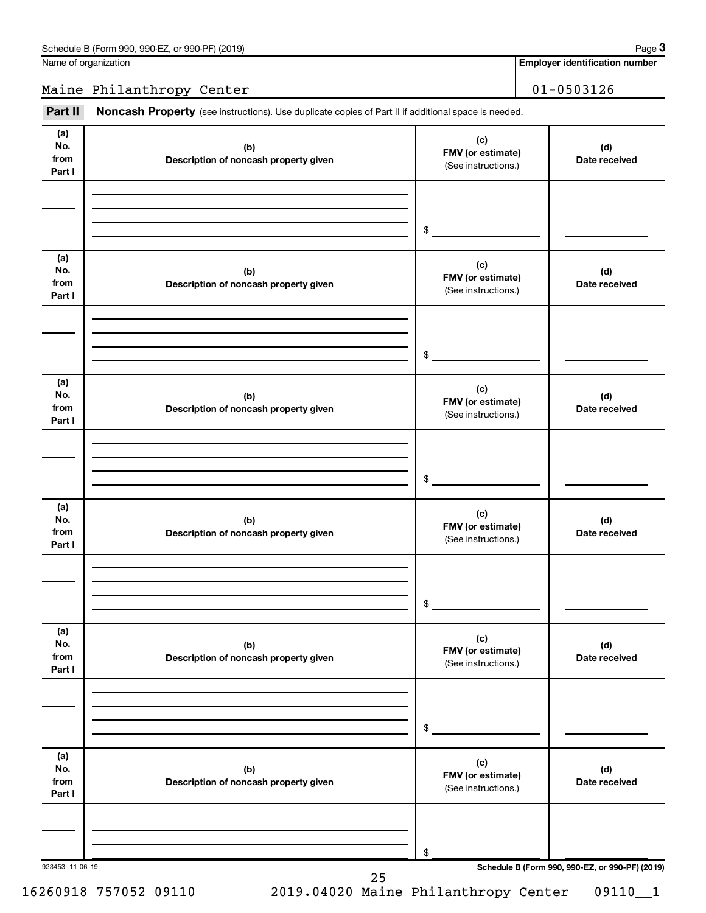Name of organization

**Employer identification number**

Maine Philanthropy Center 1999 | 01-0503126

Part II Noncash Property (see instructions). Use duplicate copies of Part II if additional space is needed.

| (b)<br>Description of noncash property given | (c)<br>FMV (or estimate)<br>(See instructions.)<br>$\,$ | (d)<br>Date received                                  |
|----------------------------------------------|---------------------------------------------------------|-------------------------------------------------------|
|                                              |                                                         |                                                       |
|                                              |                                                         |                                                       |
| (b)<br>Description of noncash property given | (c)<br>FMV (or estimate)<br>(See instructions.)         | (d)<br>Date received                                  |
|                                              | $\,$                                                    |                                                       |
| (b)<br>Description of noncash property given | (c)<br>FMV (or estimate)<br>(See instructions.)         | (d)<br>Date received                                  |
|                                              | $\$$                                                    |                                                       |
| (b)<br>Description of noncash property given | (c)<br>FMV (or estimate)<br>(See instructions.)         | (d)<br>Date received                                  |
|                                              | $\$$                                                    |                                                       |
| (b)<br>Description of noncash property given | (c)<br>FMV (or estimate)<br>(See instructions.)         | (d)<br>Date received                                  |
|                                              | $\$$                                                    |                                                       |
| (b)<br>Description of noncash property given | (c)<br>FMV (or estimate)<br>(See instructions.)         | (d)<br>Date received                                  |
|                                              | \$                                                      |                                                       |
|                                              |                                                         | Schedule B (Form 990, 990-EZ, or 990-PF) (2019)<br>25 |

**3**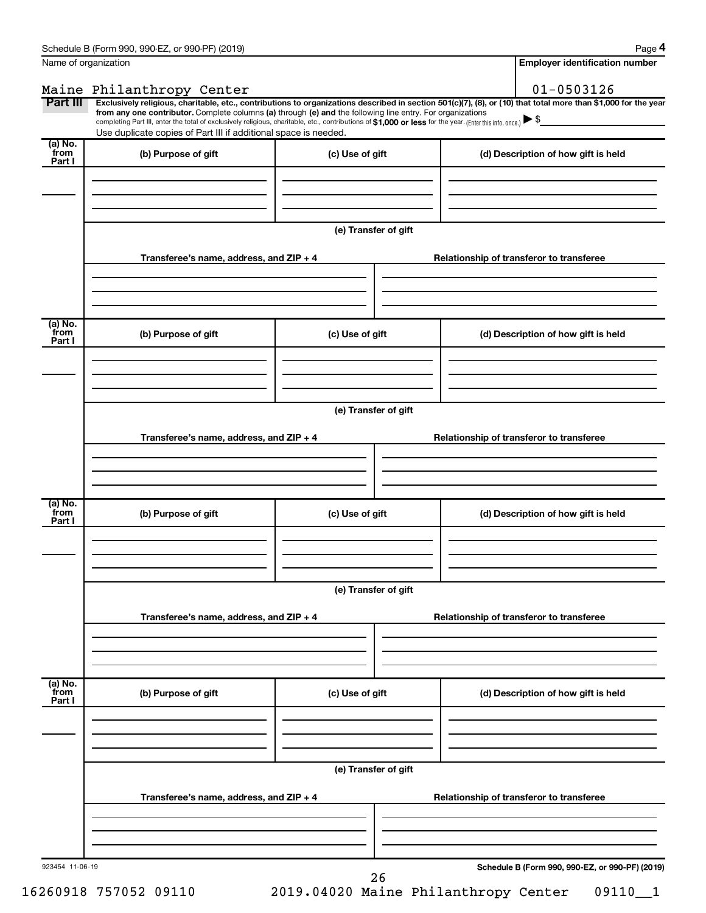**4**

| Maine Philanthropy Center<br>Part III<br>Exclusively religious, charitable, etc., contributions to organizations described in section 501(c)(7), (8), or (10) that total more than \$1,000 for the year<br>from any one contributor. Complete columns (a) through (e) and the following line entry. For organizations<br>completing Part III, enter the total of exclusively religious, charitable, etc., contributions of \$1,000 or less for the year. (Enter this info. once.)<br>Use duplicate copies of Part III if additional space is needed.<br>(a) No.<br>from<br>(b) Purpose of gift<br>(c) Use of gift<br>(d) Description of how gift is held<br>Part I<br>(e) Transfer of gift<br>Transferee's name, address, and ZIP + 4<br>Relationship of transferor to transferee<br>$\overline{a}$ ) No.<br>from<br>(b) Purpose of gift<br>(c) Use of gift<br>(d) Description of how gift is held<br>Part I<br>(e) Transfer of gift<br>Transferee's name, address, and ZIP + 4<br>Relationship of transferor to transferee<br>$\overline{a}$ ) No.<br>from<br>(b) Purpose of gift<br>(c) Use of gift<br>(d) Description of how gift is held<br>Part I<br>(e) Transfer of gift<br>Transferee's name, address, and ZIP + 4<br>Relationship of transferor to transferee<br>(a) No.<br>from<br>(b) Purpose of gift<br>(c) Use of gift<br>(d) Description of how gift is held<br>Part I<br>(e) Transfer of gift<br>Transferee's name, address, and ZIP + 4<br>Relationship of transferor to transferee | Name of organization |  | <b>Employer identification number</b> |
|----------------------------------------------------------------------------------------------------------------------------------------------------------------------------------------------------------------------------------------------------------------------------------------------------------------------------------------------------------------------------------------------------------------------------------------------------------------------------------------------------------------------------------------------------------------------------------------------------------------------------------------------------------------------------------------------------------------------------------------------------------------------------------------------------------------------------------------------------------------------------------------------------------------------------------------------------------------------------------------------------------------------------------------------------------------------------------------------------------------------------------------------------------------------------------------------------------------------------------------------------------------------------------------------------------------------------------------------------------------------------------------------------------------------------------------------------------------------------------------------------|----------------------|--|---------------------------------------|
|                                                                                                                                                                                                                                                                                                                                                                                                                                                                                                                                                                                                                                                                                                                                                                                                                                                                                                                                                                                                                                                                                                                                                                                                                                                                                                                                                                                                                                                                                                    |                      |  | $01 - 0503126$                        |
|                                                                                                                                                                                                                                                                                                                                                                                                                                                                                                                                                                                                                                                                                                                                                                                                                                                                                                                                                                                                                                                                                                                                                                                                                                                                                                                                                                                                                                                                                                    |                      |  |                                       |
|                                                                                                                                                                                                                                                                                                                                                                                                                                                                                                                                                                                                                                                                                                                                                                                                                                                                                                                                                                                                                                                                                                                                                                                                                                                                                                                                                                                                                                                                                                    |                      |  |                                       |
|                                                                                                                                                                                                                                                                                                                                                                                                                                                                                                                                                                                                                                                                                                                                                                                                                                                                                                                                                                                                                                                                                                                                                                                                                                                                                                                                                                                                                                                                                                    |                      |  |                                       |
|                                                                                                                                                                                                                                                                                                                                                                                                                                                                                                                                                                                                                                                                                                                                                                                                                                                                                                                                                                                                                                                                                                                                                                                                                                                                                                                                                                                                                                                                                                    |                      |  |                                       |
|                                                                                                                                                                                                                                                                                                                                                                                                                                                                                                                                                                                                                                                                                                                                                                                                                                                                                                                                                                                                                                                                                                                                                                                                                                                                                                                                                                                                                                                                                                    |                      |  |                                       |
|                                                                                                                                                                                                                                                                                                                                                                                                                                                                                                                                                                                                                                                                                                                                                                                                                                                                                                                                                                                                                                                                                                                                                                                                                                                                                                                                                                                                                                                                                                    |                      |  |                                       |
|                                                                                                                                                                                                                                                                                                                                                                                                                                                                                                                                                                                                                                                                                                                                                                                                                                                                                                                                                                                                                                                                                                                                                                                                                                                                                                                                                                                                                                                                                                    |                      |  |                                       |
|                                                                                                                                                                                                                                                                                                                                                                                                                                                                                                                                                                                                                                                                                                                                                                                                                                                                                                                                                                                                                                                                                                                                                                                                                                                                                                                                                                                                                                                                                                    |                      |  |                                       |
|                                                                                                                                                                                                                                                                                                                                                                                                                                                                                                                                                                                                                                                                                                                                                                                                                                                                                                                                                                                                                                                                                                                                                                                                                                                                                                                                                                                                                                                                                                    |                      |  |                                       |
|                                                                                                                                                                                                                                                                                                                                                                                                                                                                                                                                                                                                                                                                                                                                                                                                                                                                                                                                                                                                                                                                                                                                                                                                                                                                                                                                                                                                                                                                                                    |                      |  |                                       |
|                                                                                                                                                                                                                                                                                                                                                                                                                                                                                                                                                                                                                                                                                                                                                                                                                                                                                                                                                                                                                                                                                                                                                                                                                                                                                                                                                                                                                                                                                                    |                      |  |                                       |
|                                                                                                                                                                                                                                                                                                                                                                                                                                                                                                                                                                                                                                                                                                                                                                                                                                                                                                                                                                                                                                                                                                                                                                                                                                                                                                                                                                                                                                                                                                    |                      |  |                                       |
|                                                                                                                                                                                                                                                                                                                                                                                                                                                                                                                                                                                                                                                                                                                                                                                                                                                                                                                                                                                                                                                                                                                                                                                                                                                                                                                                                                                                                                                                                                    |                      |  |                                       |
|                                                                                                                                                                                                                                                                                                                                                                                                                                                                                                                                                                                                                                                                                                                                                                                                                                                                                                                                                                                                                                                                                                                                                                                                                                                                                                                                                                                                                                                                                                    |                      |  |                                       |
|                                                                                                                                                                                                                                                                                                                                                                                                                                                                                                                                                                                                                                                                                                                                                                                                                                                                                                                                                                                                                                                                                                                                                                                                                                                                                                                                                                                                                                                                                                    |                      |  |                                       |
|                                                                                                                                                                                                                                                                                                                                                                                                                                                                                                                                                                                                                                                                                                                                                                                                                                                                                                                                                                                                                                                                                                                                                                                                                                                                                                                                                                                                                                                                                                    |                      |  |                                       |
|                                                                                                                                                                                                                                                                                                                                                                                                                                                                                                                                                                                                                                                                                                                                                                                                                                                                                                                                                                                                                                                                                                                                                                                                                                                                                                                                                                                                                                                                                                    |                      |  |                                       |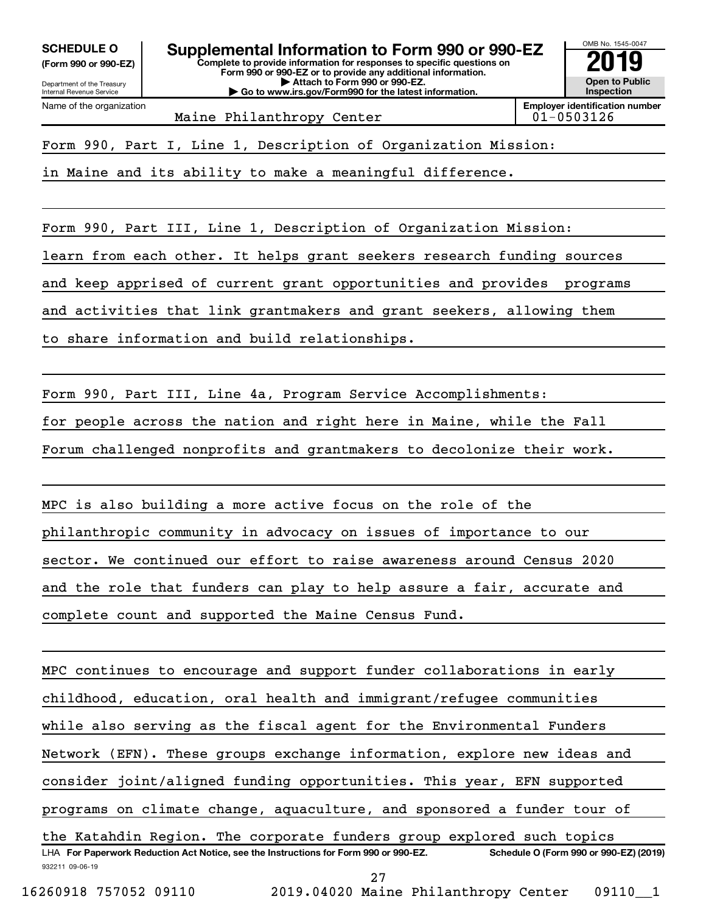**(Form 990 or 990-EZ)**

Department of the Treasury Internal Revenue Service Name of the organization

**Complete to provide information for responses to specific questions on Form 990 or 990-EZ or to provide any additional information. | Attach to Form 990 or 990-EZ. | Go to www.irs.gov/Form990 for the latest information. SCHEDULE O Supplemental Information to Form 990 or 990-EZ 2019**



Maine Philanthropy Center 1988 101-0503126

Form 990, Part I, Line 1, Description of Organization Mission:

in Maine and its ability to make a meaningful difference.

Form 990, Part III, Line 1, Description of Organization Mission:

learn from each other. It helps grant seekers research funding sources

and keep apprised of current grant opportunities and provides programs

and activities that link grantmakers and grant seekers, allowing them

to share information and build relationships.

Form 990, Part III, Line 4a, Program Service Accomplishments:

for people across the nation and right here in Maine, while the Fall

Forum challenged nonprofits and grantmakers to decolonize their work.

MPC is also building a more active focus on the role of the philanthropic community in advocacy on issues of importance to our sector. We continued our effort to raise awareness around Census 2020 and the role that funders can play to help assure a fair, accurate and complete count and supported the Maine Census Fund.

932211 09-06-19 LHA For Paperwork Reduction Act Notice, see the Instructions for Form 990 or 990-EZ. Schedule O (Form 990 or 990-EZ) (2019) MPC continues to encourage and support funder collaborations in early childhood, education, oral health and immigrant/refugee communities while also serving as the fiscal agent for the Environmental Funders Network (EFN). These groups exchange information, explore new ideas and consider joint/aligned funding opportunities. This year, EFN supported programs on climate change, aquaculture, and sponsored a funder tour of the Katahdin Region. The corporate funders group explored such topics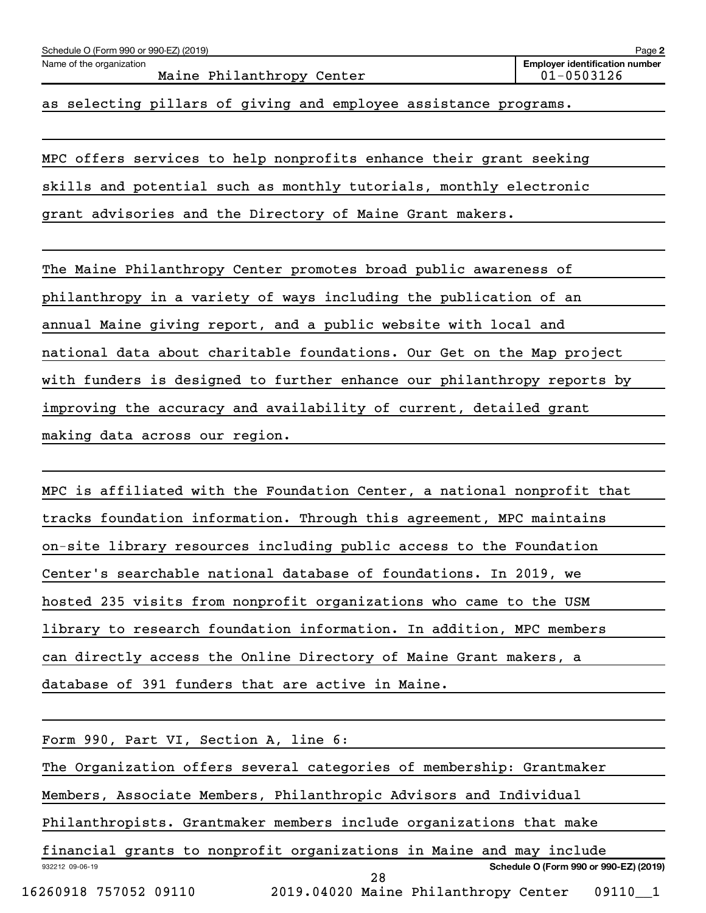| Schedule O (Form 990 or 990-EZ) (2019)                | Page 2                                              |
|-------------------------------------------------------|-----------------------------------------------------|
| Name of the organization<br>Maine Philanthropy Center | <b>Employer identification number</b><br>01-0503126 |
|                                                       |                                                     |

as selecting pillars of giving and employee assistance programs.

MPC offers services to help nonprofits enhance their grant seeking skills and potential such as monthly tutorials, monthly electronic grant advisories and the Directory of Maine Grant makers.

The Maine Philanthropy Center promotes broad public awareness of philanthropy in a variety of ways including the publication of an annual Maine giving report, and a public website with local and national data about charitable foundations. Our Get on the Map project with funders is designed to further enhance our philanthropy reports by improving the accuracy and availability of current, detailed grant making data across our region.

MPC is affiliated with the Foundation Center, a national nonprofit that tracks foundation information. Through this agreement, MPC maintains on-site library resources including public access to the Foundation Center's searchable national database of foundations. In 2019, we hosted 235 visits from nonprofit organizations who came to the USM library to research foundation information. In addition, MPC members can directly access the Online Directory of Maine Grant makers, a database of 391 funders that are active in Maine.

932212 09-06-19 **Schedule O (Form 990 or 990-EZ) (2019)** Form 990, Part VI, Section A, line 6: The Organization offers several categories of membership: Grantmaker Members, Associate Members, Philanthropic Advisors and Individual Philanthropists. Grantmaker members include organizations that make financial grants to nonprofit organizations in Maine and may include 16260918 757052 09110 2019.04020 Maine Philanthropy Center 09110\_\_1 28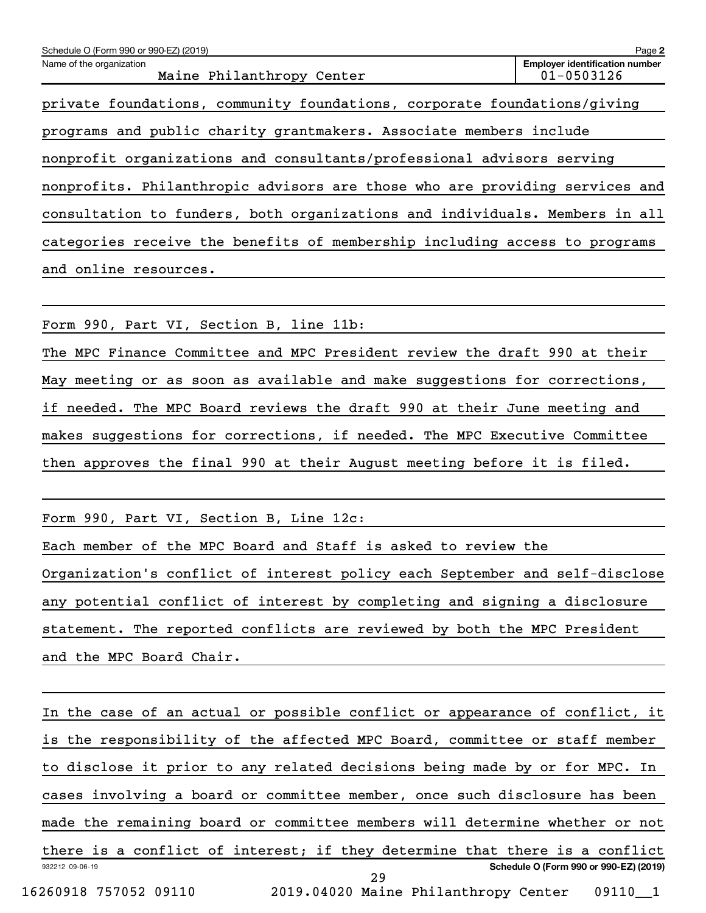| Schedule O (Form 990 or 990-EZ) (2019)                                      | Page 2                                                  |  |  |
|-----------------------------------------------------------------------------|---------------------------------------------------------|--|--|
| Name of the organization<br>Maine Philanthropy Center                       | <b>Employer identification number</b><br>$01 - 0503126$ |  |  |
| private foundations, community foundations, corporate foundations/giving    |                                                         |  |  |
| programs and public charity grantmakers. Associate members include          |                                                         |  |  |
| nonprofit organizations and consultants/professional advisors serving       |                                                         |  |  |
| nonprofits. Philanthropic advisors are those who are providing services and |                                                         |  |  |
| consultation to funders, both organizations and individuals. Members in all |                                                         |  |  |
| categories receive the benefits of membership including access to programs  |                                                         |  |  |
| and online resources.                                                       |                                                         |  |  |
|                                                                             |                                                         |  |  |
| Form 990, Part VI, Section B, line 11b:                                     |                                                         |  |  |
| The MPC Finance Committee and MPC President review the draft 990 at their   |                                                         |  |  |

May meeting or as soon as available and make suggestions for corrections, if needed. The MPC Board reviews the draft 990 at their June meeting and makes suggestions for corrections, if needed. The MPC Executive Committee then approves the final 990 at their August meeting before it is filed.

Form 990, Part VI, Section B, Line 12c:

Each member of the MPC Board and Staff is asked to review the Organization's conflict of interest policy each September and self-disclose any potential conflict of interest by completing and signing a disclosure statement. The reported conflicts are reviewed by both the MPC President and the MPC Board Chair.

932212 09-06-19 **Schedule O (Form 990 or 990-EZ) (2019)** In the case of an actual or possible conflict or appearance of conflict, it is the responsibility of the affected MPC Board, committee or staff member to disclose it prior to any related decisions being made by or for MPC. In cases involving a board or committee member, once such disclosure has been made the remaining board or committee members will determine whether or not there is a conflict of interest; if they determine that there is a conflict 16260918 757052 09110 2019.04020 Maine Philanthropy Center 09110\_\_1 29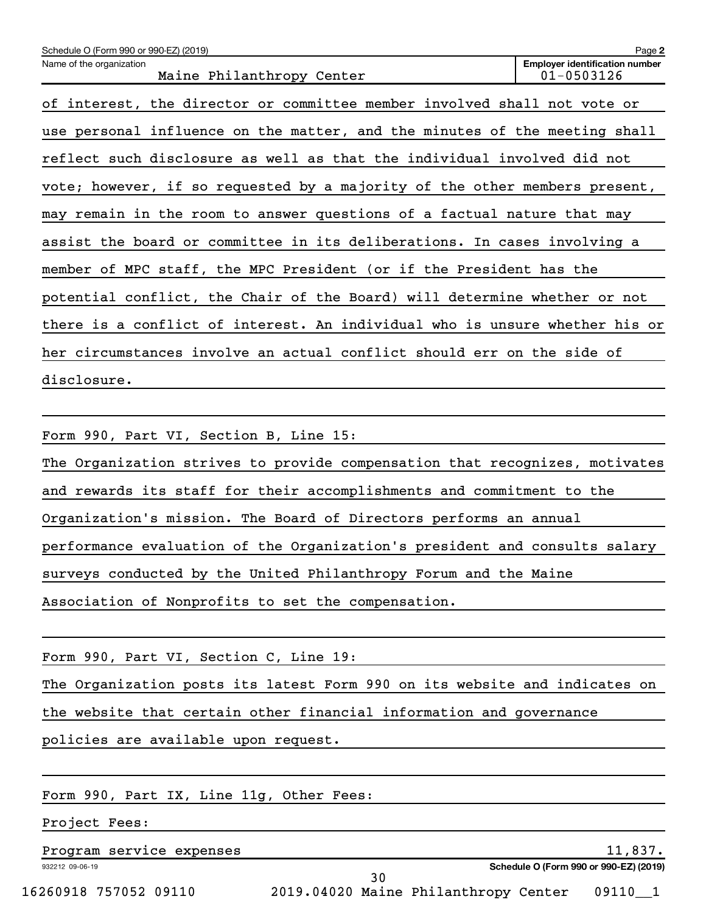| Schedule O (Form 990 or 990-EZ) (2019)                                      | Page 2                                                  |
|-----------------------------------------------------------------------------|---------------------------------------------------------|
| Name of the organization<br>Maine Philanthropy Center                       | <b>Employer identification number</b><br>$01 - 0503126$ |
| of interest, the director or committee member involved shall not vote or    |                                                         |
| use personal influence on the matter, and the minutes of the meeting shall  |                                                         |
| reflect such disclosure as well as that the individual involved did not     |                                                         |
| vote; however, if so requested by a majority of the other members present,  |                                                         |
| may remain in the room to answer questions of a factual nature that may     |                                                         |
| assist the board or committee in its deliberations. In cases involving a    |                                                         |
| member of MPC staff, the MPC President (or if the President has the         |                                                         |
| potential conflict, the Chair of the Board) will determine whether or not   |                                                         |
| there is a conflict of interest. An individual who is unsure whether his or |                                                         |
| her circumstances involve an actual conflict should err on the side of      |                                                         |
| disclosure.                                                                 |                                                         |

Form 990, Part VI, Section B, Line 15: The Organization strives to provide compensation that recognizes, motivates and rewards its staff for their accomplishments and commitment to the Organization's mission. The Board of Directors performs an annual performance evaluation of the Organization's president and consults salary surveys conducted by the United Philanthropy Forum and the Maine Association of Nonprofits to set the compensation.

| Form 990, Part VI, Section C, Line 19:                                     |
|----------------------------------------------------------------------------|
| The Organization posts its latest Form 990 on its website and indicates on |
| the website that certain other financial information and governance        |
| policies are available upon request.                                       |
|                                                                            |
| Form 990, Part IX, Line 11g, Other Fees:                                   |

Project Fees:

932212 09-06-19 Program service expenses and the service of the service expenses and the service of the service of the service of  $11,837$ .

**Schedule O (Form 990 or 990-EZ) (2019)**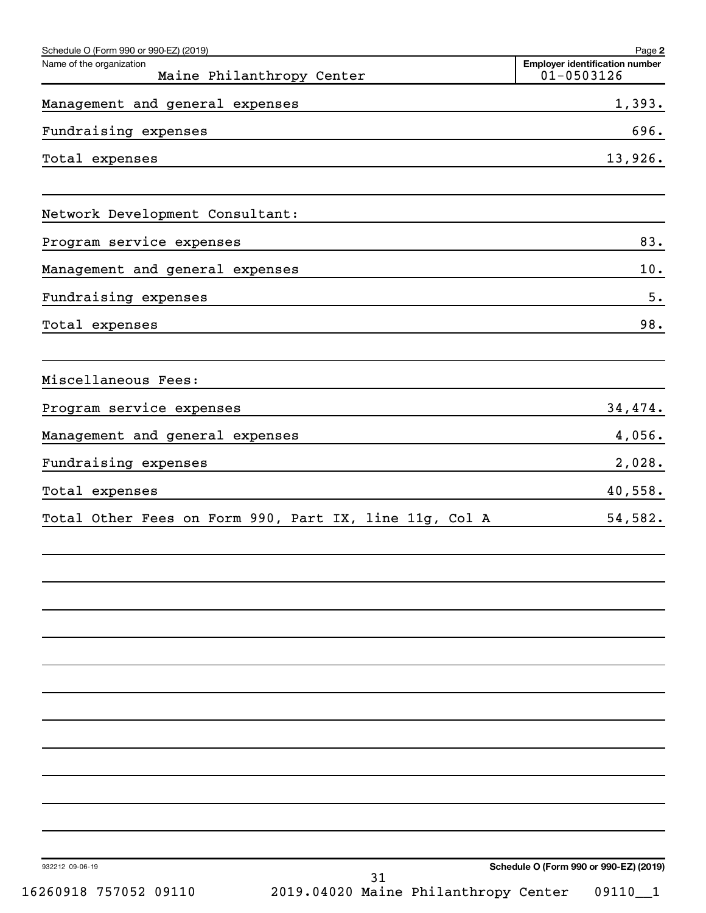| Schedule O (Form 990 or 990-EZ) (2019)                 | Page 2                                                  |
|--------------------------------------------------------|---------------------------------------------------------|
| Name of the organization<br>Maine Philanthropy Center  | <b>Employer identification number</b><br>$01 - 0503126$ |
| Management and general expenses                        | 1,393.                                                  |
| Fundraising expenses                                   | 696.                                                    |
| Total expenses                                         | 13,926.                                                 |
| Network Development Consultant:                        |                                                         |
| Program service expenses                               | 83.                                                     |
| Management and general expenses                        | $10.$                                                   |
| Fundraising expenses                                   | 5.                                                      |
| Total expenses                                         | 98.                                                     |
| Miscellaneous Fees:                                    |                                                         |
| Program service expenses                               | 34,474.                                                 |
| Management and general expenses                        | 4,056.                                                  |
| Fundraising expenses                                   | 2,028.                                                  |
| Total expenses                                         | 40,558.                                                 |
| Total Other Fees on Form 990, Part IX, line 11g, Col A | 54,582.                                                 |
|                                                        |                                                         |
|                                                        |                                                         |
|                                                        |                                                         |
|                                                        |                                                         |
|                                                        |                                                         |
|                                                        |                                                         |
| 932212 09-06-19<br>31                                  | Schedule O (Form 990 or 990-EZ) (2019)                  |